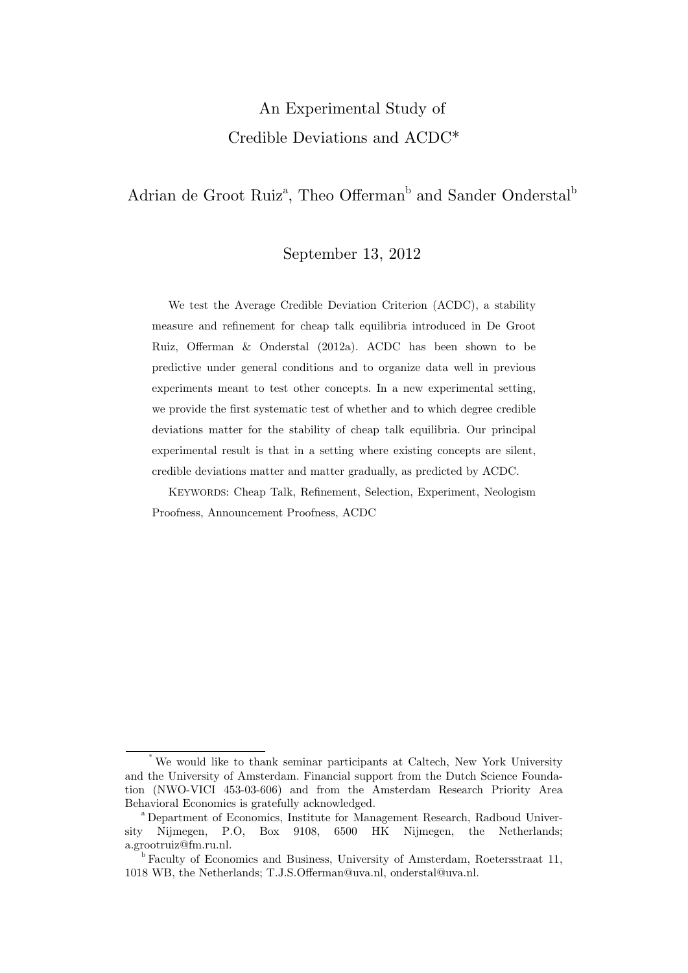# An Experimental Study of Credible Deviations and ACDC\*

## Adrian de Groot Ruiz<sup>a</sup>, Theo Offerman<sup>b</sup> and Sander Onderstal<sup>b</sup>

#### September 13, 2012

We test the Average Credible Deviation Criterion (ACDC), a stability measure and refinement for cheap talk equilibria introduced in De Groot Ruiz, Offerman & Onderstal (2012a). ACDC has been shown to be predictive under general conditions and to organize data well in previous experiments meant to test other concepts. In a new experimental setting, we provide the first systematic test of whether and to which degree credible deviations matter for the stability of cheap talk equilibria. Our principal experimental result is that in a setting where existing concepts are silent, credible deviations matter and matter gradually, as predicted by ACDC.

KEYWORDS: Cheap Talk, Refinement, Selection, Experiment, Neologism Proofness, Announcement Proofness, ACDC

We would like to thank seminar participants at Caltech, New York University and the University of Amsterdam. Financial support from the Dutch Science Foundation (NWO-VICI 453-03-606) and from the Amsterdam Research Priority Area Behavioral Economics is gratefully acknowledged.<br><sup>a</sup> Department of Economics, Institute for Management Research, Radboud Univer-

sity Nijmegen, P.O, Box 9108, 6500 HK Nijmegen, the Netherlands; a.grootruiz@fm.ru.nl.

<sup>&</sup>lt;sup>b</sup> Faculty of Economics and Business, University of Amsterdam, Roetersstraat 11, 1018 WB, the Netherlands; T.J.S.Offerman@uva.nl, onderstal@uva.nl.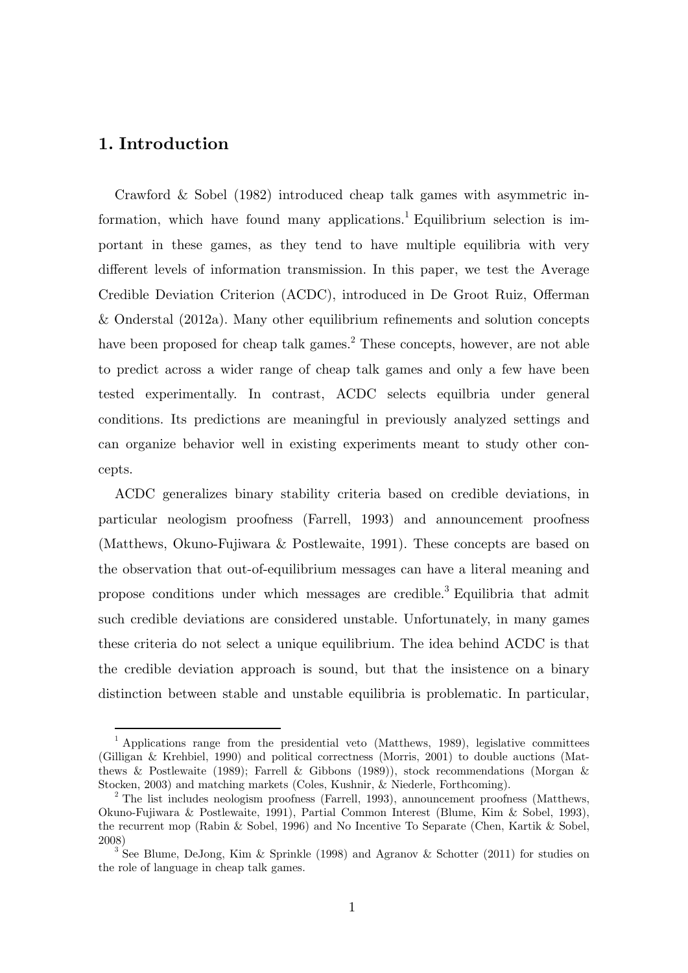## **1. Introduction**

-

Crawford & Sobel (1982) introduced cheap talk games with asymmetric information, which have found many applications.<sup>1</sup> Equilibrium selection is important in these games, as they tend to have multiple equilibria with very different levels of information transmission. In this paper, we test the Average Credible Deviation Criterion (ACDC), introduced in De Groot Ruiz, Offerman & Onderstal (2012a). Many other equilibrium refinements and solution concepts have been proposed for cheap talk games.<sup>2</sup> These concepts, however, are not able to predict across a wider range of cheap talk games and only a few have been tested experimentally. In contrast, ACDC selects equilbria under general conditions. Its predictions are meaningful in previously analyzed settings and can organize behavior well in existing experiments meant to study other concepts.

ACDC generalizes binary stability criteria based on credible deviations, in particular neologism proofness (Farrell, 1993) and announcement proofness (Matthews, Okuno-Fujiwara & Postlewaite, 1991). These concepts are based on the observation that out-of-equilibrium messages can have a literal meaning and propose conditions under which messages are credible.<sup>3</sup> Equilibria that admit such credible deviations are considered unstable. Unfortunately, in many games these criteria do not select a unique equilibrium. The idea behind ACDC is that the credible deviation approach is sound, but that the insistence on a binary distinction between stable and unstable equilibria is problematic. In particular,

<sup>&</sup>lt;sup>1</sup> Applications range from the presidential veto (Matthews, 1989), legislative committees (Gilligan & Krehbiel, 1990) and political correctness (Morris, 2001) to double auctions (Matthews & Postlewaite (1989); Farrell & Gibbons (1989)), stock recommendations (Morgan & Stocken, 2003) and matching markets (Coles, Kushnir, & Niederle, Forthcoming). 2

 $2$  The list includes neologism proofness (Farrell, 1993), announcement proofness (Matthews, Okuno-Fujiwara & Postlewaite, 1991), Partial Common Interest (Blume, Kim & Sobel, 1993), the recurrent mop (Rabin & Sobel, 1996) and No Incentive To Separate (Chen, Kartik & Sobel, 2008)

See Blume, DeJong, Kim & Sprinkle (1998) and Agranov & Schotter (2011) for studies on the role of language in cheap talk games.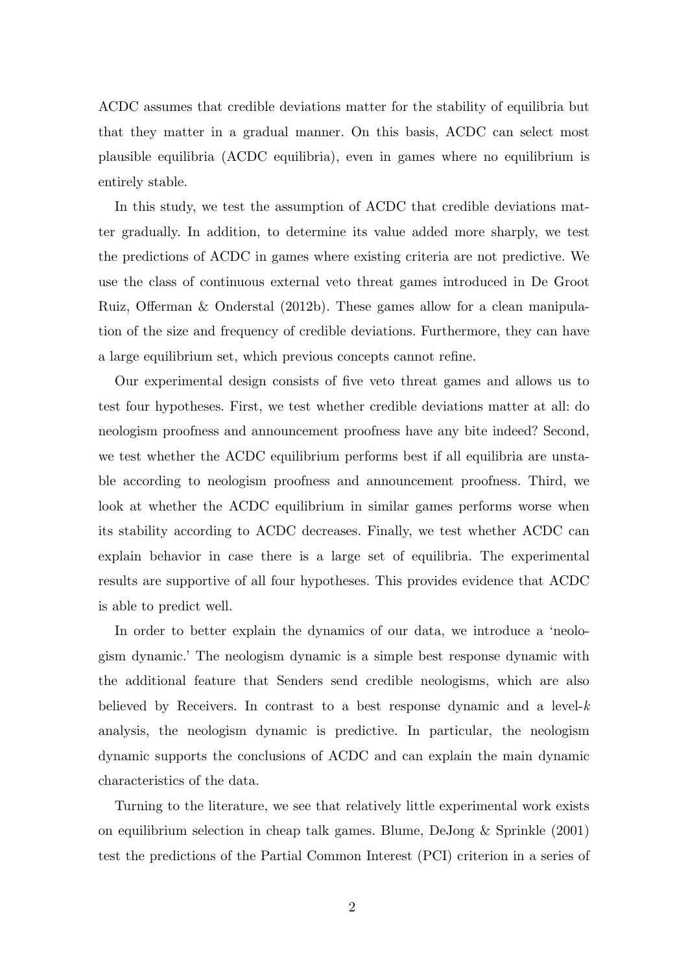ACDC assumes that credible deviations matter for the stability of equilibria but that they matter in a gradual manner. On this basis, ACDC can select most plausible equilibria (ACDC equilibria), even in games where no equilibrium is entirely stable.

In this study, we test the assumption of ACDC that credible deviations matter gradually. In addition, to determine its value added more sharply, we test the predictions of ACDC in games where existing criteria are not predictive. We use the class of continuous external veto threat games introduced in De Groot Ruiz, Offerman & Onderstal (2012b). These games allow for a clean manipulation of the size and frequency of credible deviations. Furthermore, they can have a large equilibrium set, which previous concepts cannot refine.

Our experimental design consists of five veto threat games and allows us to test four hypotheses. First, we test whether credible deviations matter at all: do neologism proofness and announcement proofness have any bite indeed? Second, we test whether the ACDC equilibrium performs best if all equilibria are unstable according to neologism proofness and announcement proofness. Third, we look at whether the ACDC equilibrium in similar games performs worse when its stability according to ACDC decreases. Finally, we test whether ACDC can explain behavior in case there is a large set of equilibria. The experimental results are supportive of all four hypotheses. This provides evidence that ACDC is able to predict well.

In order to better explain the dynamics of our data, we introduce a 'neologism dynamic.' The neologism dynamic is a simple best response dynamic with the additional feature that Senders send credible neologisms, which are also believed by Receivers. In contrast to a best response dynamic and a level-*k* analysis, the neologism dynamic is predictive. In particular, the neologism dynamic supports the conclusions of ACDC and can explain the main dynamic characteristics of the data.

Turning to the literature, we see that relatively little experimental work exists on equilibrium selection in cheap talk games. Blume, DeJong & Sprinkle (2001) test the predictions of the Partial Common Interest (PCI) criterion in a series of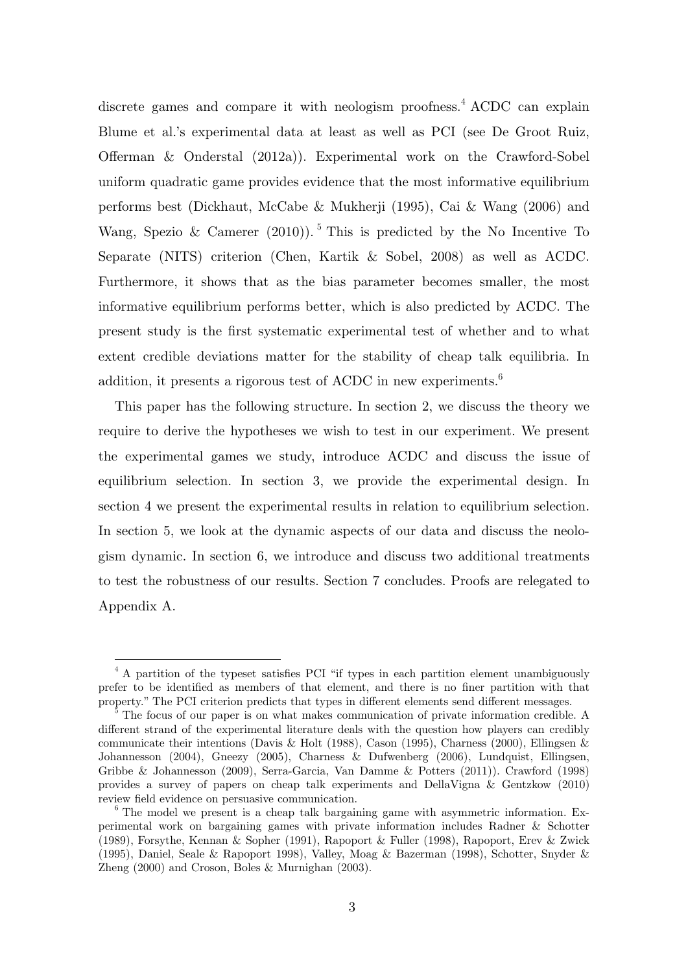discrete games and compare it with neologism proofness.<sup>4</sup> ACDC can explain Blume et al.'s experimental data at least as well as PCI (see De Groot Ruiz, Offerman & Onderstal (2012a)). Experimental work on the Crawford-Sobel uniform quadratic game provides evidence that the most informative equilibrium performs best (Dickhaut, McCabe & Mukherji (1995), Cai & Wang (2006) and Wang, Spezio & Camerer (2010)).<sup>5</sup> This is predicted by the No Incentive To Separate (NITS) criterion (Chen, Kartik & Sobel, 2008) as well as ACDC. Furthermore, it shows that as the bias parameter becomes smaller, the most informative equilibrium performs better, which is also predicted by ACDC. The present study is the first systematic experimental test of whether and to what extent credible deviations matter for the stability of cheap talk equilibria. In addition, it presents a rigorous test of ACDC in new experiments.<sup>6</sup>

This paper has the following structure. In section 2, we discuss the theory we require to derive the hypotheses we wish to test in our experiment. We present the experimental games we study, introduce ACDC and discuss the issue of equilibrium selection. In section 3, we provide the experimental design. In section 4 we present the experimental results in relation to equilibrium selection. In section 5, we look at the dynamic aspects of our data and discuss the neologism dynamic. In section 6, we introduce and discuss two additional treatments to test the robustness of our results. Section 7 concludes. Proofs are relegated to Appendix A.

<sup>&</sup>lt;sup>4</sup> A partition of the typeset satisfies PCI "if types in each partition element unambiguously prefer to be identified as members of that element, and there is no finer partition with that property." The PCI criterion predicts that types in different elements send different messages.

The focus of our paper is on what makes communication of private information credible. A different strand of the experimental literature deals with the question how players can credibly communicate their intentions (Davis & Holt (1988), Cason (1995), Charness (2000), Ellingsen & Johannesson (2004), Gneezy (2005), Charness & Dufwenberg (2006), Lundquist, Ellingsen, Gribbe & Johannesson (2009), Serra-Garcia, Van Damme & Potters (2011)). Crawford (1998) provides a survey of papers on cheap talk experiments and DellaVigna & Gentzkow (2010) review field evidence on persuasive communication.<br><sup>6</sup> The model we present is a cheap talk bargaining game with asymmetric information. Ex-

perimental work on bargaining games with private information includes Radner & Schotter (1989), Forsythe, Kennan & Sopher (1991), Rapoport & Fuller (1998), Rapoport, Erev & Zwick (1995), Daniel, Seale & Rapoport 1998), Valley, Moag & Bazerman (1998), Schotter, Snyder & Zheng (2000) and Croson, Boles & Murnighan (2003).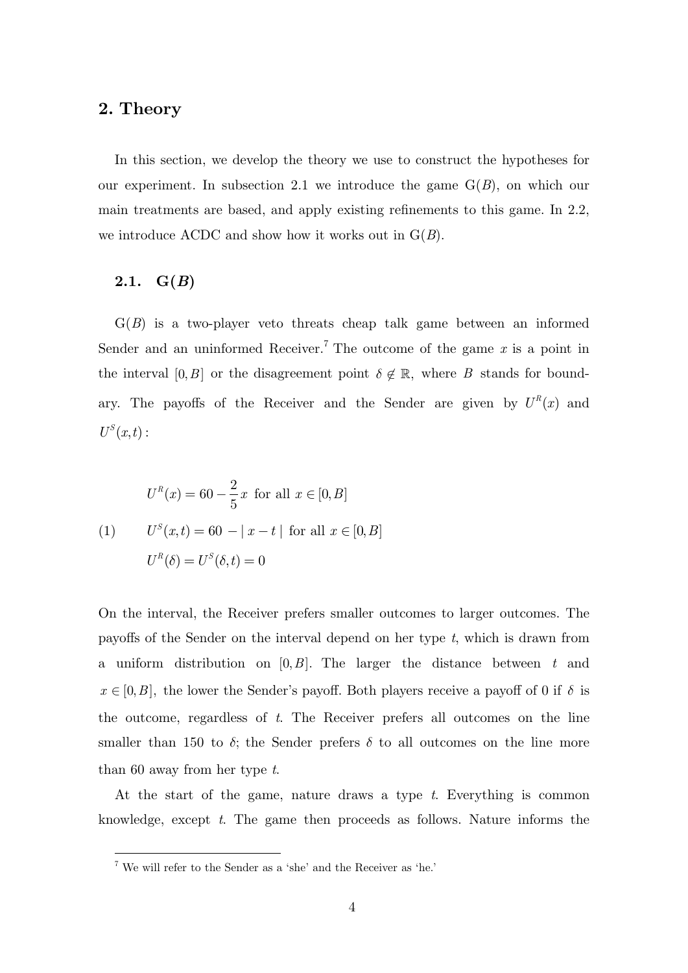## **2. Theory**

In this section, we develop the theory we use to construct the hypotheses for our experiment. In subsection 2.1 we introduce the game  $G(B)$ , on which our main treatments are based, and apply existing refinements to this game. In 2.2, we introduce ACDC and show how it works out in G(*B*).

#### 2.1.  $G(B)$

-

G(*B*) is a two-player veto threats cheap talk game between an informed Sender and an uninformed Receiver.<sup>7</sup> The outcome of the game  $x$  is a point in the interval  $[0, B]$  or the disagreement point  $\delta \notin \mathbb{R}$ , where *B* stands for boundary. The payoffs of the Receiver and the Sender are given by  $U^R(x)$  and  $U^S(x,t):$ 

$$
U^{R}(x) = 60 - \frac{2}{5}x \text{ for all } x \in [0, B]
$$
  
(1) 
$$
U^{S}(x,t) = 60 - |x - t| \text{ for all } x \in [0, B]
$$
  

$$
U^{R}(\delta) = U^{S}(\delta, t) = 0
$$

On the interval, the Receiver prefers smaller outcomes to larger outcomes. The payoffs of the Sender on the interval depend on her type *t*, which is drawn from a uniform distribution on [0,*B*]. The larger the distance between *t* and  $x \in [0, B]$ , the lower the Sender's payoff. Both players receive a payoff of 0 if  $\delta$  is the outcome, regardless of *t*. The Receiver prefers all outcomes on the line smaller than 150 to  $\delta$ ; the Sender prefers  $\delta$  to all outcomes on the line more than 60 away from her type *t*.

At the start of the game, nature draws a type *t*. Everything is common knowledge, except *t*. The game then proceeds as follows. Nature informs the

 $^7$  We will refer to the Sender as a 'she' and the Receiver as 'he.'  $\,$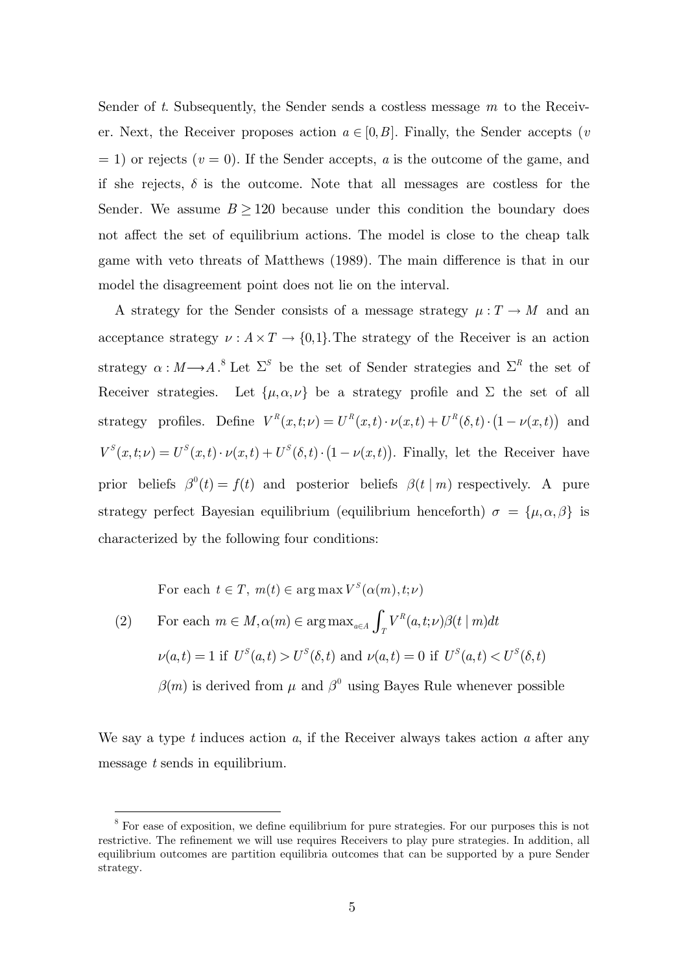Sender of *t*. Subsequently, the Sender sends a costless message *m* to the Receiver. Next, the Receiver proposes action  $a \in [0, B]$ . Finally, the Sender accepts (*v*  $(2i)$  or rejects  $(v = 0)$ . If the Sender accepts, *a* is the outcome of the game, and if she rejects,  $\delta$  is the outcome. Note that all messages are costless for the Sender. We assume  $B \geq 120$  because under this condition the boundary does not affect the set of equilibrium actions. The model is close to the cheap talk game with veto threats of Matthews (1989). The main difference is that in our model the disagreement point does not lie on the interval.

A strategy for the Sender consists of a message strategy  $\mu: T \to M$  and an acceptance strategy  $\nu : A \times T \to \{0,1\}$ . The strategy of the Receiver is an action strategy  $\alpha : M \longrightarrow A$ .<sup>8</sup> Let  $\Sigma^S$  be the set of Sender strategies and  $\Sigma^R$  the set of Receiver strategies. Let  $\{\mu, \alpha, \nu\}$  be a strategy profile and  $\Sigma$  the set of all strategy profiles. Define  $V^R(x,t;\nu) = U^R(x,t) \cdot \nu(x,t) + U^R(\delta,t) \cdot (1 - \nu(x,t))$  and  $V^{S}(x,t;\nu) = U^{S}(x,t) \cdot \nu(x,t) + U^{S}(\delta,t) \cdot (1 - \nu(x,t)).$  Finally, let the Receiver have prior beliefs  $\beta^{0}(t) = f(t)$  and posterior beliefs  $\beta(t | m)$  respectively. A pure strategy perfect Bayesian equilibrium (equilibrium henceforth)  $\sigma = {\mu, \alpha, \beta}$  is characterized by the following four conditions:

For each  $t \in T$ ,  $m(t) \in \arg \max V^S(\alpha(m), t; \nu)$ 

-

(2) For each  $m \in M, \alpha(m) \in \arg \max_{a \in A} \int_{T} V^R(a, t; \nu) \beta(t | m)$  $m \in M, \alpha(m) \in \arg \max_{a \in A} \int_{T} V^{R}(a, t; \nu) \beta(t \mid m) dt$  $\nu(a, t) = 1$  if  $U^{S}(a,t) > U^{S}(\delta, t)$  and  $\nu(a, t) = 0$  if  $U^{S}(a, t) < U^{S}(\delta, t)$  $\beta(m)$  is derived from  $\mu$  and  $\beta^{0}$  using Bayes Rule whenever possible

We say a type *t* induces action *a*, if the Receiver always takes action *a* after any message *t* sends in equilibrium.

<sup>&</sup>lt;sup>8</sup> For ease of exposition, we define equilibrium for pure strategies. For our purposes this is not restrictive. The refinement we will use requires Receivers to play pure strategies. In addition, all equilibrium outcomes are partition equilibria outcomes that can be supported by a pure Sender strategy.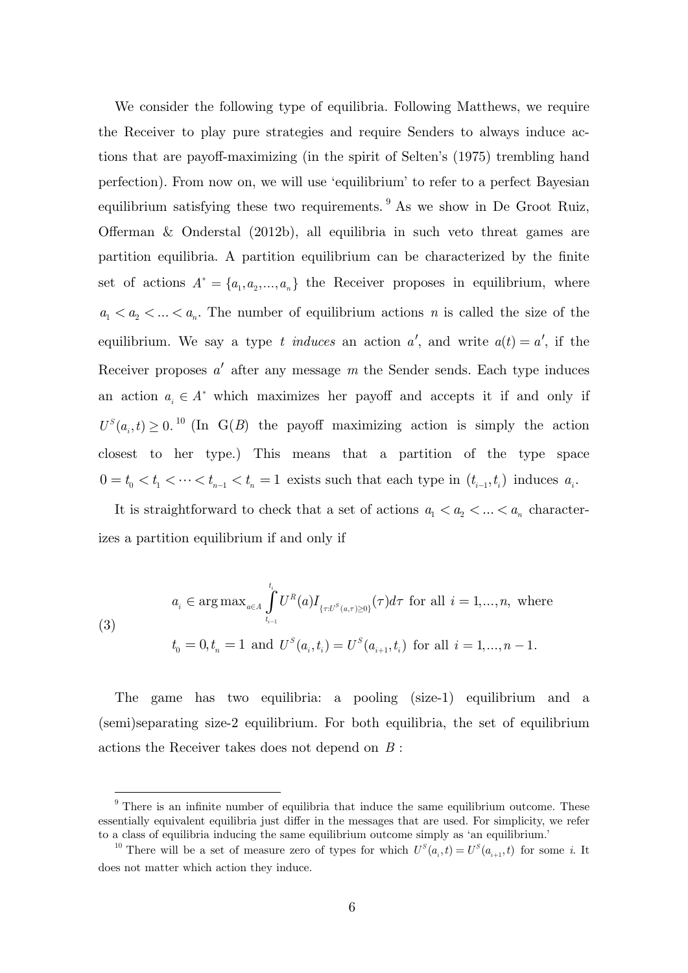We consider the following type of equilibria. Following Matthews, we require the Receiver to play pure strategies and require Senders to always induce actions that are payoff-maximizing (in the spirit of Selten's (1975) trembling hand perfection). From now on, we will use 'equilibrium' to refer to a perfect Bayesian equilibrium satisfying these two requirements.  $9$  As we show in De Groot Ruiz, Offerman & Onderstal (2012b), all equilibria in such veto threat games are partition equilibria. A partition equilibrium can be characterized by the finite set of actions  $A^* = \{a_1, a_2, ..., a_n\}$  the Receiver proposes in equilibrium, where  $a_1 < a_2 < \ldots < a_n$ . The number of equilibrium actions *n* is called the size of the equilibrium. We say a type *t induces* an action  $a'$ , and write  $a(t) = a'$ , if the Receiver proposes  $a'$  after any message  $m$  the Sender sends. Each type induces an action  $a_i \in A^*$  which maximizes her payoff and accepts it if and only if  $U^{S}(a_{i},t) \geq 0$ . <sup>10</sup> (In G(*B*) the payoff maximizing action is simply the action closest to her type.) This means that a partition of the type space  $0 = t_0 < t_1 < \cdots < t_{n-1} < t_n = 1$  exists such that each type in  $(t_{i-1}, t_i)$  induces  $a_i$ .

It is straightforward to check that a set of actions  $a_1 < a_2 < \ldots < a_n$  characterizes a partition equilibrium if and only if

(3)  
\n
$$
a_{i} \in \arg \max_{a \in A} \int_{t_{i-1}}^{t_{i}} U^{R}(a) I_{\{\tau : U^{S}(a,\tau) \ge 0\}}(\tau) d\tau \text{ for all } i = 1,...,n, \text{ where}
$$
\n
$$
t_{0} = 0, t_{n} = 1 \text{ and } U^{S}(a_{i}, t_{i}) = U^{S}(a_{i+1}, t_{i}) \text{ for all } i = 1,...,n-1.
$$

The game has two equilibria: a pooling (size-1) equilibrium and a (semi)separating size-2 equilibrium. For both equilibria, the set of equilibrium actions the Receiver takes does not depend on *B* :

<sup>&</sup>lt;sup>9</sup> There is an infinite number of equilibria that induce the same equilibrium outcome. These essentially equivalent equilibria just differ in the messages that are used. For simplicity, we refer to a class of equilibria inducing the same equilibrium outcome simply as 'an equilibrium.'<br><sup>10</sup> There will be a set of measure zero of types for which  $U^{S}(a_i, t) = U^{S}(a_{i+1}, t)$  for some *i*. It

does not matter which action they induce.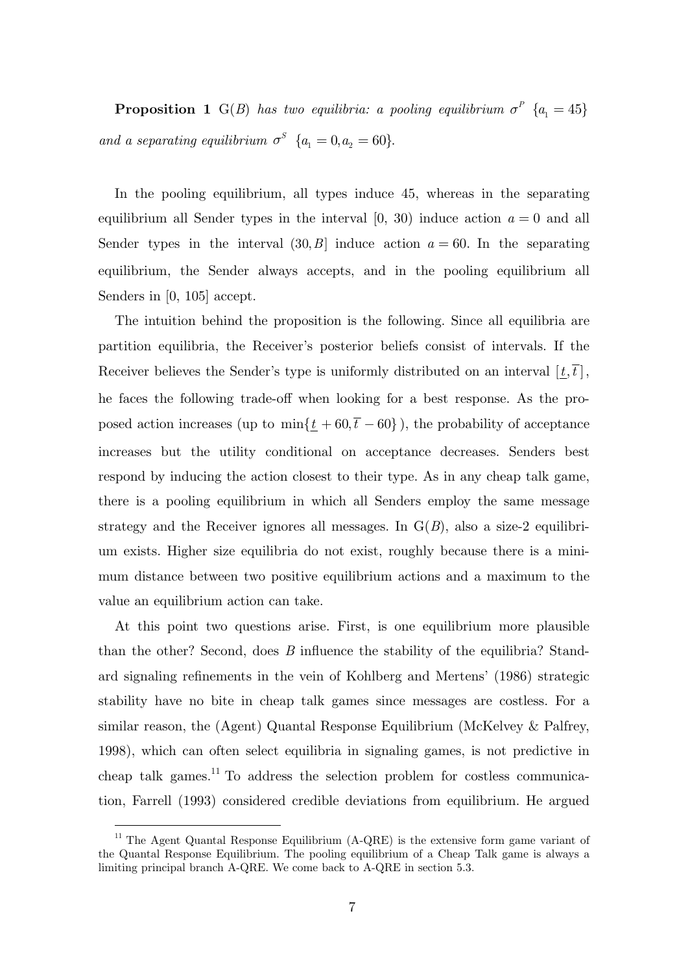**Proposition 1**  $G(B)$  *has two equilibria: a pooling equilibrium*  $\sigma^P$   $\{a_1 = 45\}$ *and a separating equilibrium*  $\sigma^S$  { $a_1 = 0, a_2 = 60$ }.

In the pooling equilibrium, all types induce 45, whereas in the separating equilibrium all Sender types in the interval  $[0, 30)$  induce action  $a = 0$  and all Sender types in the interval  $(30, B)$  induce action  $a = 60$ . In the separating equilibrium, the Sender always accepts, and in the pooling equilibrium all Senders in [0, 105] accept.

The intuition behind the proposition is the following. Since all equilibria are partition equilibria, the Receiver's posterior beliefs consist of intervals. If the Receiver believes the Sender's type is uniformly distributed on an interval  $[\underline{t}, \overline{t}]$ , he faces the following trade-off when looking for a best response. As the proposed action increases (up to  $\min{\{\underline{t} + 60, \overline{t} - 60\}}$ ), the probability of acceptance increases but the utility conditional on acceptance decreases. Senders best respond by inducing the action closest to their type. As in any cheap talk game, there is a pooling equilibrium in which all Senders employ the same message strategy and the Receiver ignores all messages. In  $G(B)$ , also a size-2 equilibrium exists. Higher size equilibria do not exist, roughly because there is a minimum distance between two positive equilibrium actions and a maximum to the value an equilibrium action can take.

At this point two questions arise. First, is one equilibrium more plausible than the other? Second, does *B* influence the stability of the equilibria? Standard signaling refinements in the vein of Kohlberg and Mertens' (1986) strategic stability have no bite in cheap talk games since messages are costless. For a similar reason, the (Agent) Quantal Response Equilibrium (McKelvey & Palfrey, 1998), which can often select equilibria in signaling games, is not predictive in cheap talk games.<sup>11</sup> To address the selection problem for costless communication, Farrell (1993) considered credible deviations from equilibrium. He argued

 $11$  The Agent Quantal Response Equilibrium (A-QRE) is the extensive form game variant of the Quantal Response Equilibrium. The pooling equilibrium of a Cheap Talk game is always a limiting principal branch A-QRE. We come back to A-QRE in section 5.3.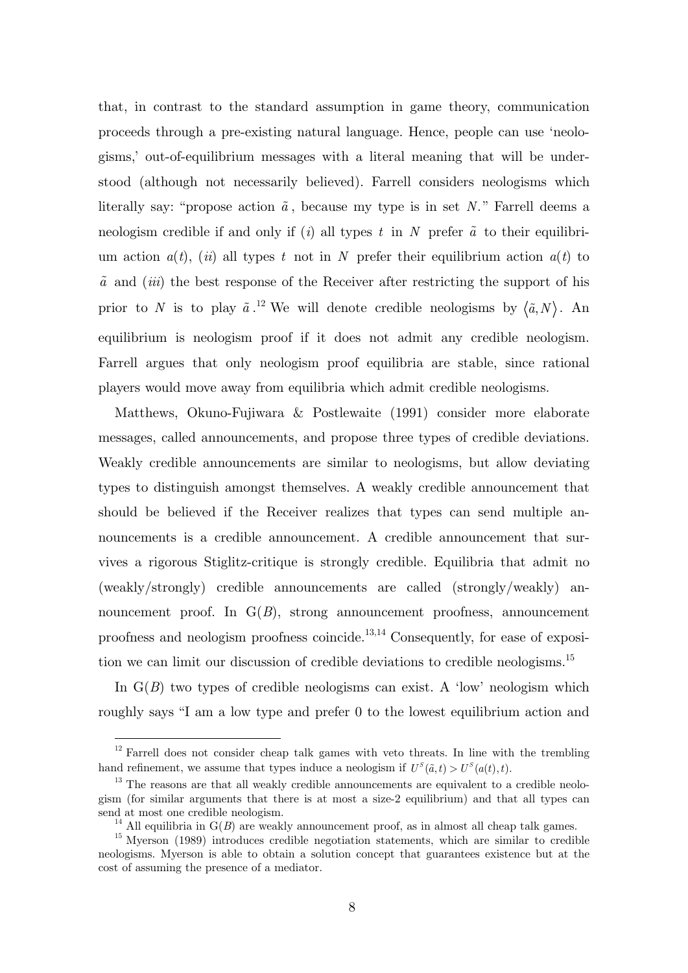that, in contrast to the standard assumption in game theory, communication proceeds through a pre-existing natural language. Hence, people can use 'neologisms,' out-of-equilibrium messages with a literal meaning that will be understood (although not necessarily believed). Farrell considers neologisms which literally say: "propose action  $\tilde{a}$ , because my type is in set *N*." Farrell deems a neologism credible if and only if (*i*) all types  $t$  in  $N$  prefer  $\tilde{a}$  to their equilibrium action  $a(t)$ , *(ii)* all types *t* not in *N* prefer their equilibrium action  $a(t)$  to *a* and (*iii*) the best response of the Receiver after restricting the support of his prior to *N* is to play  $\tilde{a}$ .<sup>12</sup> We will denote credible neologisms by  $\langle \tilde{a}, N \rangle$ . An equilibrium is neologism proof if it does not admit any credible neologism. Farrell argues that only neologism proof equilibria are stable, since rational players would move away from equilibria which admit credible neologisms.

Matthews, Okuno-Fujiwara & Postlewaite (1991) consider more elaborate messages, called announcements, and propose three types of credible deviations. Weakly credible announcements are similar to neologisms, but allow deviating types to distinguish amongst themselves. A weakly credible announcement that should be believed if the Receiver realizes that types can send multiple announcements is a credible announcement. A credible announcement that survives a rigorous Stiglitz-critique is strongly credible. Equilibria that admit no (weakly/strongly) credible announcements are called (strongly/weakly) announcement proof. In  $G(B)$ , strong announcement proofness, announcement proofness and neologism proofness coincide. $13,14$  Consequently, for ease of exposition we can limit our discussion of credible deviations to credible neologisms.<sup>15</sup>

In  $G(B)$  two types of credible neologisms can exist. A 'low' neologism which roughly says "I am a low type and prefer 0 to the lowest equilibrium action and

 $12$  Farrell does not consider cheap talk games with veto threats. In line with the trembling hand refinement, we assume that types induce a neologism if  $U^s(\tilde{a}, t) > U^s(a(t), t)$ .

 $13$  The reasons are that all weakly credible announcements are equivalent to a credible neologism (for similar arguments that there is at most a size-2 equilibrium) and that all types can

<sup>&</sup>lt;sup>14</sup> All equilibria in  $G(B)$  are weakly announcement proof, as in almost all cheap talk games.<br><sup>15</sup> Mverson (1989) introduces credible negotiation statements, which are similar to credible neologisms. Myerson is able to obtain a solution concept that guarantees existence but at the cost of assuming the presence of a mediator.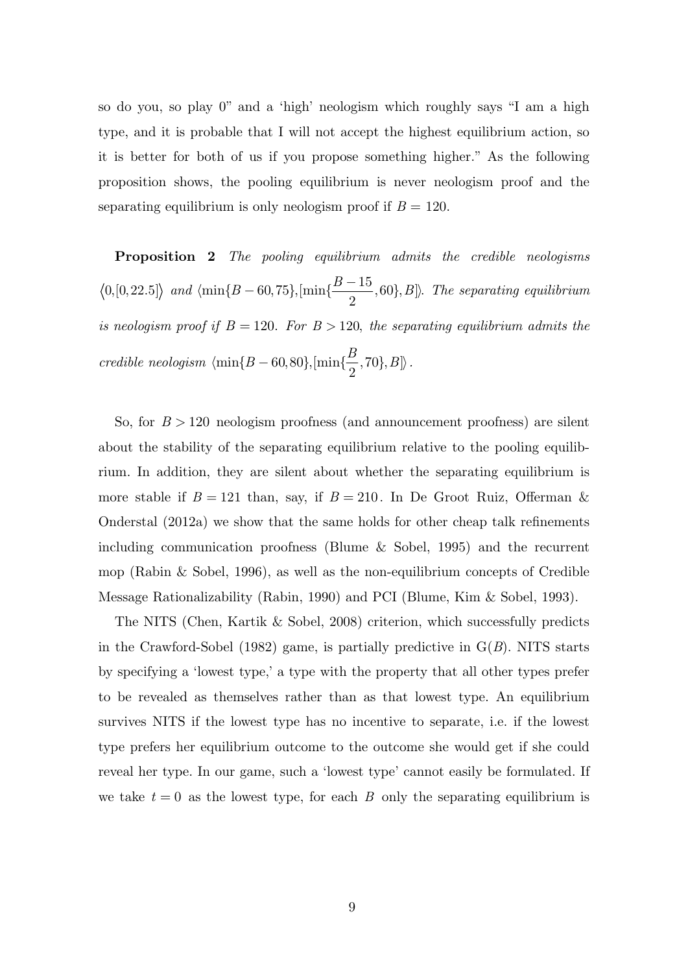so do you, so play 0" and a 'high' neologism which roughly says "I am a high type, and it is probable that I will not accept the highest equilibrium action, so it is better for both of us if you propose something higher." As the following proposition shows, the pooling equilibrium is never neologism proof and the separating equilibrium is only neologism proof if  $B = 120$ .

**Proposition 2** *The pooling equilibrium admits the credible neologisms*   $|0, [0, 22.5] \rangle$  and  $\langle \min\{B - 60, 75\}, [\min\{\frac{B - 15}{2}, 60\}, B]$ . The separating equilibrium *is neologism proof if*  $B = 120$ *. For*  $B > 120$ *, the separating equilibrium admits the credible neologism*  $\langle \min\{B - 60, 80\}, [\min\{\frac{B}{2}, 70\}, B] \rangle$ .

So, for  $B > 120$  neologism proofness (and announcement proofness) are silent about the stability of the separating equilibrium relative to the pooling equilibrium. In addition, they are silent about whether the separating equilibrium is more stable if  $B = 121$  than, say, if  $B = 210$ . In De Groot Ruiz, Offerman & Onderstal (2012a) we show that the same holds for other cheap talk refinements including communication proofness (Blume & Sobel, 1995) and the recurrent mop (Rabin & Sobel, 1996), as well as the non-equilibrium concepts of Credible Message Rationalizability (Rabin, 1990) and PCI (Blume, Kim & Sobel, 1993).

The NITS (Chen, Kartik & Sobel, 2008) criterion, which successfully predicts in the Crawford-Sobel (1982) game, is partially predictive in  $G(B)$ . NITS starts by specifying a 'lowest type,' a type with the property that all other types prefer to be revealed as themselves rather than as that lowest type. An equilibrium survives NITS if the lowest type has no incentive to separate, i.e. if the lowest type prefers her equilibrium outcome to the outcome she would get if she could reveal her type. In our game, such a 'lowest type' cannot easily be formulated. If we take  $t = 0$  as the lowest type, for each *B* only the separating equilibrium is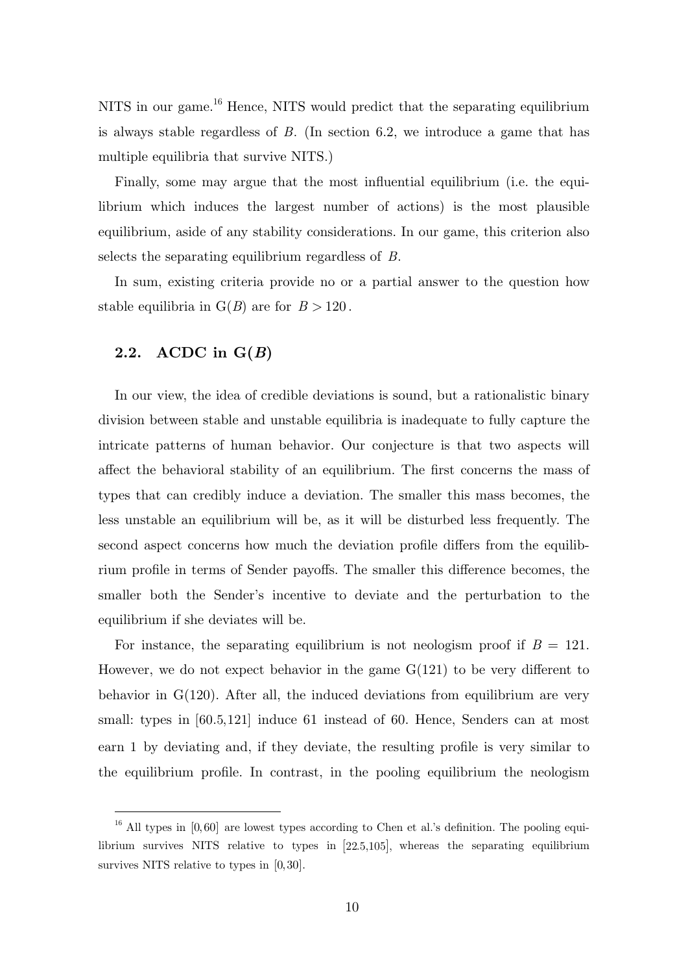NITS in our game.<sup>16</sup> Hence, NITS would predict that the separating equilibrium is always stable regardless of *B*. (In section 6.2, we introduce a game that has multiple equilibria that survive NITS.)

Finally, some may argue that the most influential equilibrium (i.e. the equilibrium which induces the largest number of actions) is the most plausible equilibrium, aside of any stability considerations. In our game, this criterion also selects the separating equilibrium regardless of *B*.

In sum, existing criteria provide no or a partial answer to the question how stable equilibria in  $G(B)$  are for  $B > 120$ .

### **2.2. ACDC in G(***B***)**

-

In our view, the idea of credible deviations is sound, but a rationalistic binary division between stable and unstable equilibria is inadequate to fully capture the intricate patterns of human behavior. Our conjecture is that two aspects will affect the behavioral stability of an equilibrium. The first concerns the mass of types that can credibly induce a deviation. The smaller this mass becomes, the less unstable an equilibrium will be, as it will be disturbed less frequently. The second aspect concerns how much the deviation profile differs from the equilibrium profile in terms of Sender payoffs. The smaller this difference becomes, the smaller both the Sender's incentive to deviate and the perturbation to the equilibrium if she deviates will be.

For instance, the separating equilibrium is not neologism proof if  $B = 121$ . However, we do not expect behavior in the game  $G(121)$  to be very different to behavior in G(120). After all, the induced deviations from equilibrium are very small: types in [60.5,121] induce 61 instead of 60. Hence, Senders can at most earn 1 by deviating and, if they deviate, the resulting profile is very similar to the equilibrium profile. In contrast, in the pooling equilibrium the neologism

 $16$  All types in [0,60] are lowest types according to Chen et al.'s definition. The pooling equilibrium survives NITS relative to types in  $[22.5,105]$ , whereas the separating equilibrium survives NITS relative to types in [0,30].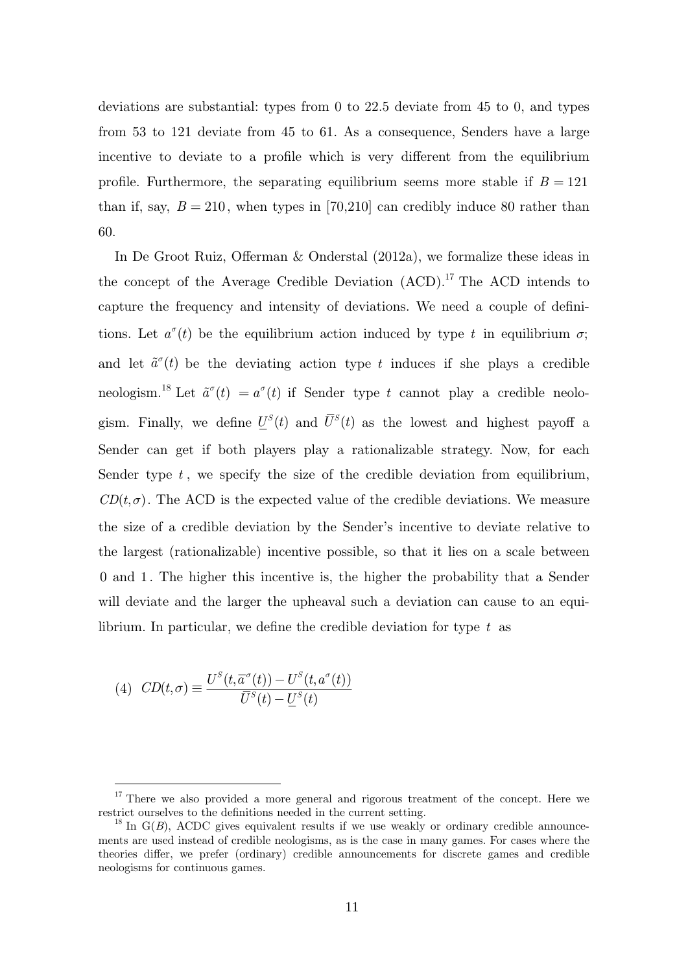deviations are substantial: types from 0 to 22.5 deviate from 45 to 0, and types from 53 to 121 deviate from 45 to 61. As a consequence, Senders have a large incentive to deviate to a profile which is very different from the equilibrium profile. Furthermore, the separating equilibrium seems more stable if  $B = 121$ than if, say,  $B = 210$ , when types in [70,210] can credibly induce 80 rather than 60.

In De Groot Ruiz, Offerman & Onderstal (2012a), we formalize these ideas in the concept of the Average Credible Deviation  $(ACD)$ .<sup>17</sup> The ACD intends to capture the frequency and intensity of deviations. We need a couple of definitions. Let  $a^{\sigma}(t)$  be the equilibrium action induced by type t in equilibrium  $\sigma$ ; and let  $\tilde{a}^{\sigma}(t)$  be the deviating action type *t* induces if she plays a credible neologism.<sup>18</sup> Let  $\tilde{a}^{\sigma}(t) = a^{\sigma}(t)$  if Sender type *t* cannot play a credible neologism. Finally, we define  $U^S(t)$  and  $\overline{U}^S(t)$  as the lowest and highest payoff a Sender can get if both players play a rationalizable strategy. Now, for each Sender type t, we specify the size of the credible deviation from equilibrium,  $CD(t, \sigma)$ . The ACD is the expected value of the credible deviations. We measure the size of a credible deviation by the Sender's incentive to deviate relative to the largest (rationalizable) incentive possible, so that it lies on a scale between 0 and 1 . The higher this incentive is, the higher the probability that a Sender will deviate and the larger the upheaval such a deviation can cause to an equilibrium. In particular, we define the credible deviation for type *t* as

(4) 
$$
CD(t, \sigma) \equiv \frac{U^S(t, \overline{a}^{\sigma}(t)) - U^S(t, a^{\sigma}(t))}{\overline{U}^S(t) - \underline{U}^S(t)}
$$

<sup>&</sup>lt;sup>17</sup> There we also provided a more general and rigorous treatment of the concept. Here we restrict ourselves to the definitions needed in the current setting.<br><sup>18</sup> In G(*B*), ACDC gives equivalent results if we use weakly or ordinary credible announce-

ments are used instead of credible neologisms, as is the case in many games. For cases where the theories differ, we prefer (ordinary) credible announcements for discrete games and credible neologisms for continuous games.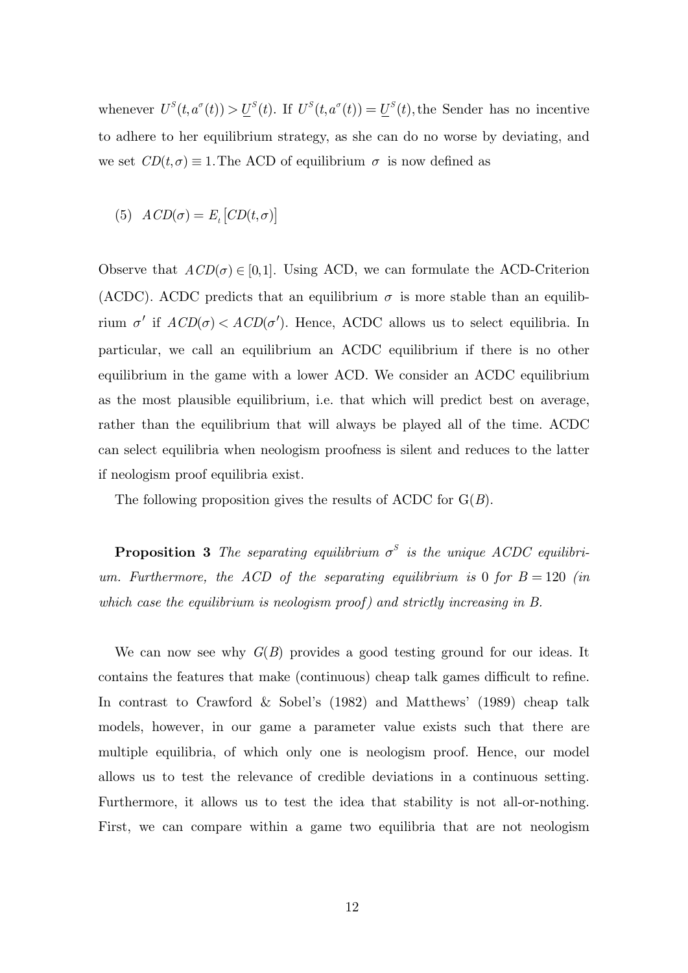whenever  $U^S(t, a^{\sigma}(t)) > U^S(t)$ . If  $U^S(t, a^{\sigma}(t)) = U^S(t)$ , the Sender has no incentive to adhere to her equilibrium strategy, as she can do no worse by deviating, and we set  $CD(t, \sigma) \equiv 1$ . The ACD of equilibrium  $\sigma$  is now defined as

(5) 
$$
ACD(\sigma) = E_t[CD(t, \sigma)]
$$

Observe that  $ACD(\sigma) \in [0,1]$ . Using ACD, we can formulate the ACD-Criterion (ACDC). ACDC predicts that an equilibrium  $\sigma$  is more stable than an equilibrium  $\sigma'$  if  $ACD(\sigma) < ACD(\sigma')$ . Hence, ACDC allows us to select equilibria. In particular, we call an equilibrium an ACDC equilibrium if there is no other equilibrium in the game with a lower ACD. We consider an ACDC equilibrium as the most plausible equilibrium, i.e. that which will predict best on average, rather than the equilibrium that will always be played all of the time. ACDC can select equilibria when neologism proofness is silent and reduces to the latter if neologism proof equilibria exist.

The following proposition gives the results of ACDC for G(*B*).

**Proposition 3** The separating equilibrium  $\sigma^S$  is the unique ACDC equilibri*um.* Furthermore, the ACD of the separating equilibrium is 0 for  $B = 120$  (in *which case the equilibrium is neologism proof) and strictly increasing in B.*

We can now see why *G*(*B*) provides a good testing ground for our ideas. It contains the features that make (continuous) cheap talk games difficult to refine. In contrast to Crawford & Sobel's (1982) and Matthews' (1989) cheap talk models, however, in our game a parameter value exists such that there are multiple equilibria, of which only one is neologism proof. Hence, our model allows us to test the relevance of credible deviations in a continuous setting. Furthermore, it allows us to test the idea that stability is not all-or-nothing. First, we can compare within a game two equilibria that are not neologism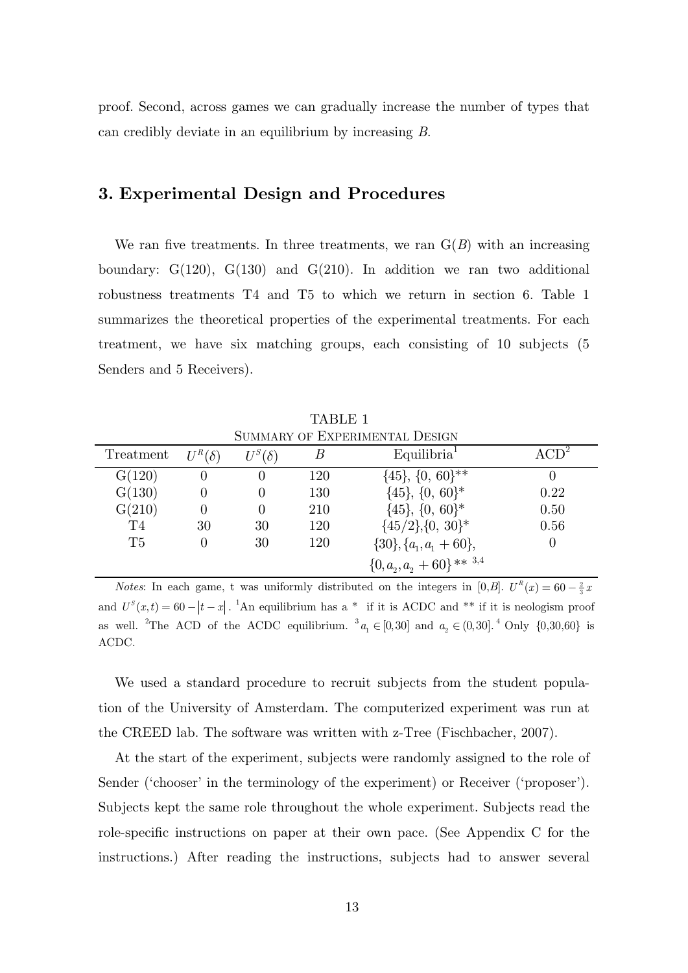proof. Second, across games we can gradually increase the number of types that can credibly deviate in an equilibrium by increasing *B*.

### **3. Experimental Design and Procedures**

We ran five treatments. In three treatments, we ran  $G(B)$  with an increasing boundary:  $G(120)$ ,  $G(130)$  and  $G(210)$ . In addition we ran two additional robustness treatments T4 and T5 to which we return in section 6. Table 1 summarizes the theoretical properties of the experimental treatments. For each treatment, we have six matching groups, each consisting of 10 subjects (5 Senders and 5 Receivers).

 TABLE 1 SUMMARY OF EXPERIMENTAL DESIGN

|                |               |               |     | OUMMARY OF EAFERIMENTAL DESIGN                               |                          |
|----------------|---------------|---------------|-----|--------------------------------------------------------------|--------------------------|
| Treatment      | $U^R(\delta)$ | $U^S(\delta)$ |     | Equilibria <sup>1</sup>                                      | $\Delta$ CD <sup>2</sup> |
| G(120)         |               | $\theta$      | 120 | $\{45\}, \{0, 60\}^{**}$                                     |                          |
| G(130)         |               |               | 130 | $\{45\}, \{0, 60\}^*$                                        | 0.22                     |
| G(210)         |               |               | 210 | $\{45\}, \{0, 60\}^*$                                        | 0.50                     |
| T4             | 30            | 30            | 120 | $\{45/2\},\{0, 30\}^*$                                       | 0.56                     |
| T <sub>5</sub> | $\theta$      | 30            | 120 | $\{30\}, \{a_{1}, a_{1} + 60\},\$                            |                          |
|                |               |               |     | $\{0,a^{\vphantom{*}}_2,a^{\vphantom{*}}_2+60\}$ ** $^{3,4}$ |                          |

*Notes*: In each game, t was uniformly distributed on the integers in [0,*B*].  $U^R(x) = 60 - \frac{2}{3}x$ and  $U^{s}(x,t) = 60 - |t - x|$ . <sup>1</sup>An equilibrium has a \* if it is ACDC and \*\* if it is neologism proof as well. <sup>2</sup>The ACD of the ACDC equilibrium. <sup>3</sup> $a_1 \in [0,30]$  and  $a_2 \in (0,30]$ .<sup>4</sup> Only  $\{0,30,60\}$  is ACDC.

We used a standard procedure to recruit subjects from the student population of the University of Amsterdam. The computerized experiment was run at the CREED lab. The software was written with z-Tree (Fischbacher, 2007).

At the start of the experiment, subjects were randomly assigned to the role of Sender ('chooser' in the terminology of the experiment) or Receiver ('proposer'). Subjects kept the same role throughout the whole experiment. Subjects read the role-specific instructions on paper at their own pace. (See Appendix C for the instructions.) After reading the instructions, subjects had to answer several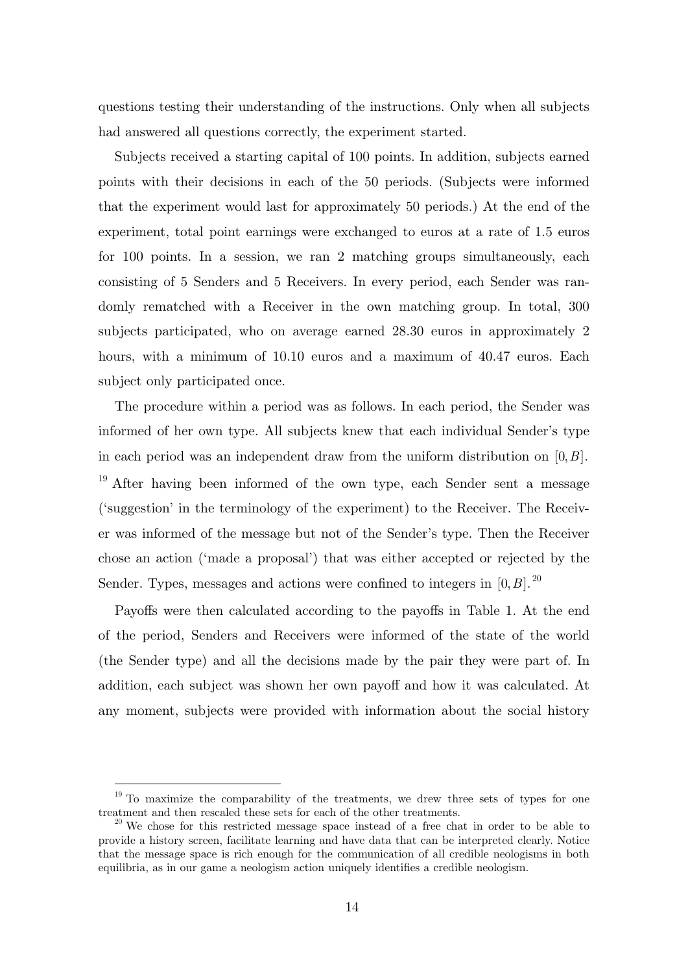questions testing their understanding of the instructions. Only when all subjects had answered all questions correctly, the experiment started.

Subjects received a starting capital of 100 points. In addition, subjects earned points with their decisions in each of the 50 periods. (Subjects were informed that the experiment would last for approximately 50 periods.) At the end of the experiment, total point earnings were exchanged to euros at a rate of 1.5 euros for 100 points. In a session, we ran 2 matching groups simultaneously, each consisting of 5 Senders and 5 Receivers. In every period, each Sender was randomly rematched with a Receiver in the own matching group. In total, 300 subjects participated, who on average earned 28.30 euros in approximately 2 hours, with a minimum of 10.10 euros and a maximum of 40.47 euros. Each subject only participated once.

The procedure within a period was as follows. In each period, the Sender was informed of her own type. All subjects knew that each individual Sender's type in each period was an independent draw from the uniform distribution on [0,*B*].  $19$  After having been informed of the own type, each Sender sent a message ('suggestion' in the terminology of the experiment) to the Receiver. The Receiver was informed of the message but not of the Sender's type. Then the Receiver chose an action ('made a proposal') that was either accepted or rejected by the Sender. Types, messages and actions were confined to integers in  $[0, B]$ .<sup>20</sup>

Payoffs were then calculated according to the payoffs in Table 1. At the end of the period, Senders and Receivers were informed of the state of the world (the Sender type) and all the decisions made by the pair they were part of. In addition, each subject was shown her own payoff and how it was calculated. At any moment, subjects were provided with information about the social history

 $19$  To maximize the comparability of the treatments, we drew three sets of types for one treatment and then rescaled these sets for each of the other treatments.

 $t^{20}$  We chose for this restricted message space instead of a free chat in order to be able to provide a history screen, facilitate learning and have data that can be interpreted clearly. Notice that the message space is rich enough for the communication of all credible neologisms in both equilibria, as in our game a neologism action uniquely identifies a credible neologism.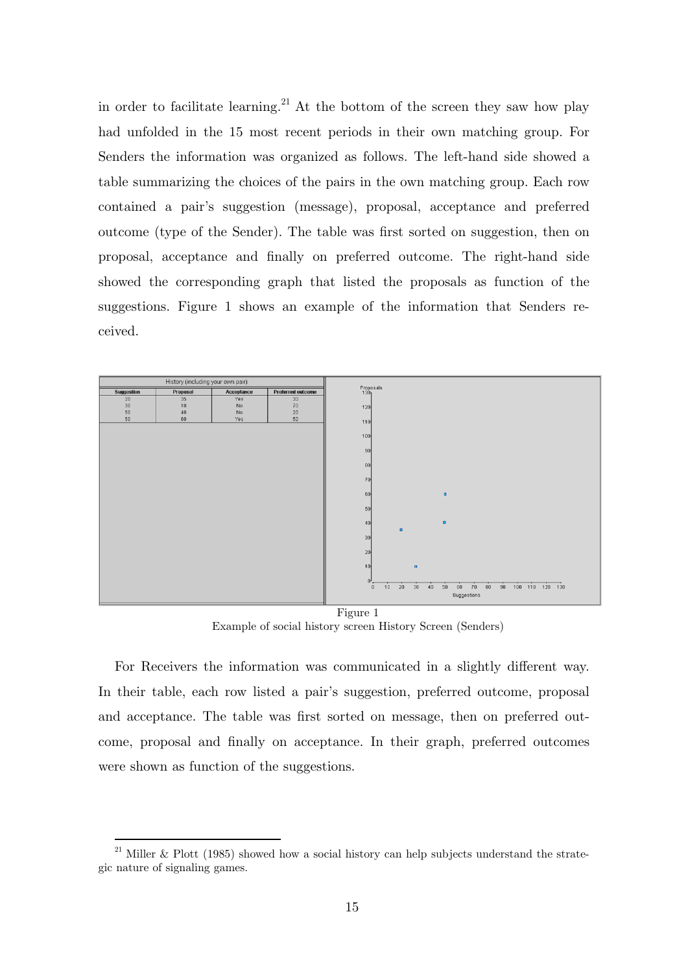in order to facilitate learning.<sup>21</sup> At the bottom of the screen they saw how play had unfolded in the 15 most recent periods in their own matching group. For Senders the information was organized as follows. The left-hand side showed a table summarizing the choices of the pairs in the own matching group. Each row contained a pair's suggestion (message), proposal, acceptance and preferred outcome (type of the Sender). The table was first sorted on suggestion, then on proposal, acceptance and finally on preferred outcome. The right-hand side showed the corresponding graph that listed the proposals as function of the suggestions. Figure 1 shows an example of the information that Senders received.



Example of social history screen History Screen (Senders)

For Receivers the information was communicated in a slightly different way. In their table, each row listed a pair's suggestion, preferred outcome, proposal and acceptance. The table was first sorted on message, then on preferred outcome, proposal and finally on acceptance. In their graph, preferred outcomes were shown as function of the suggestions.

 $21\,$ Miller & Plott (1985) showed how a social history can help subjects understand the strategic nature of signaling games.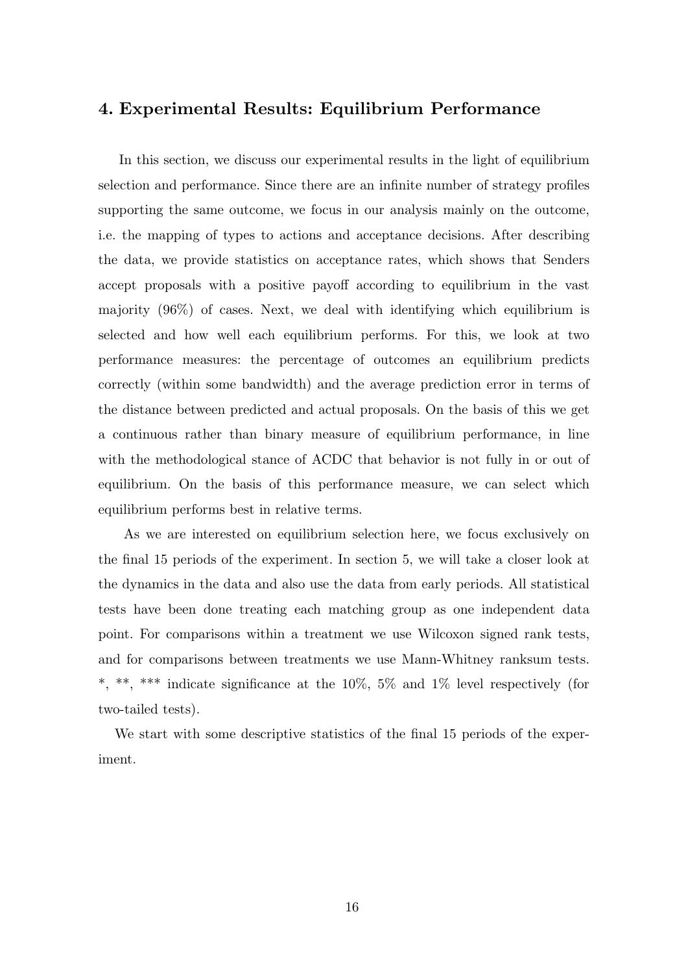## **4. Experimental Results: Equilibrium Performance**

In this section, we discuss our experimental results in the light of equilibrium selection and performance. Since there are an infinite number of strategy profiles supporting the same outcome, we focus in our analysis mainly on the outcome, i.e. the mapping of types to actions and acceptance decisions. After describing the data, we provide statistics on acceptance rates, which shows that Senders accept proposals with a positive payoff according to equilibrium in the vast majority (96%) of cases. Next, we deal with identifying which equilibrium is selected and how well each equilibrium performs. For this, we look at two performance measures: the percentage of outcomes an equilibrium predicts correctly (within some bandwidth) and the average prediction error in terms of the distance between predicted and actual proposals. On the basis of this we get a continuous rather than binary measure of equilibrium performance, in line with the methodological stance of ACDC that behavior is not fully in or out of equilibrium. On the basis of this performance measure, we can select which equilibrium performs best in relative terms.

 As we are interested on equilibrium selection here, we focus exclusively on the final 15 periods of the experiment. In section 5, we will take a closer look at the dynamics in the data and also use the data from early periods. All statistical tests have been done treating each matching group as one independent data point. For comparisons within a treatment we use Wilcoxon signed rank tests, and for comparisons between treatments we use Mann-Whitney ranksum tests. \*, \*\*, \*\*\* indicate significance at the 10%, 5% and 1% level respectively (for two-tailed tests).

We start with some descriptive statistics of the final 15 periods of the experiment.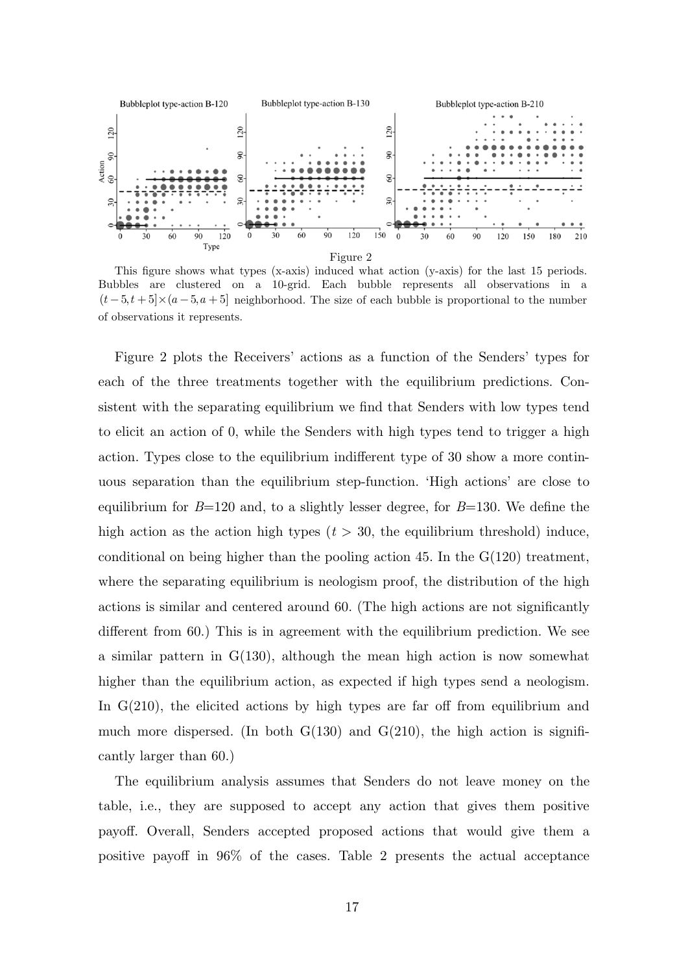

This figure shows what types (x-axis) induced what action (y-axis) for the last 15 periods. Bubbles are clustered on a 10-grid. Each bubble represents all observations in a  $(t-5, t+5] \times (a-5, a+5)$  neighborhood. The size of each bubble is proportional to the number of observations it represents.

Figure 2 plots the Receivers' actions as a function of the Senders' types for each of the three treatments together with the equilibrium predictions. Consistent with the separating equilibrium we find that Senders with low types tend to elicit an action of 0, while the Senders with high types tend to trigger a high action. Types close to the equilibrium indifferent type of 30 show a more continuous separation than the equilibrium step-function. 'High actions' are close to equilibrium for *B*=120 and, to a slightly lesser degree, for *B*=130. We define the high action as the action high types  $(t > 30$ , the equilibrium threshold) induce, conditional on being higher than the pooling action 45. In the  $G(120)$  treatment, where the separating equilibrium is neologism proof, the distribution of the high actions is similar and centered around 60. (The high actions are not significantly different from 60.) This is in agreement with the equilibrium prediction. We see a similar pattern in G(130), although the mean high action is now somewhat higher than the equilibrium action, as expected if high types send a neologism. In  $G(210)$ , the elicited actions by high types are far off from equilibrium and much more dispersed. (In both  $G(130)$  and  $G(210)$ , the high action is significantly larger than 60.)

The equilibrium analysis assumes that Senders do not leave money on the table, i.e., they are supposed to accept any action that gives them positive payoff. Overall, Senders accepted proposed actions that would give them a positive payoff in 96% of the cases. Table 2 presents the actual acceptance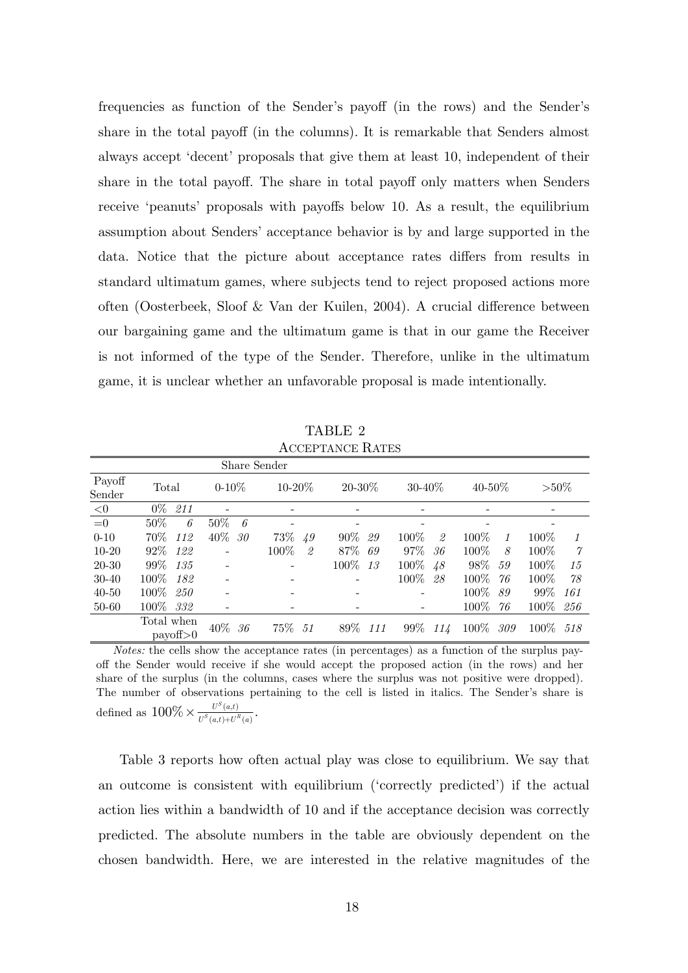frequencies as function of the Sender's payoff (in the rows) and the Sender's share in the total payoff (in the columns). It is remarkable that Senders almost always accept 'decent' proposals that give them at least 10, independent of their share in the total payoff. The share in total payoff only matters when Senders receive 'peanuts' proposals with payoffs below 10. As a result, the equilibrium assumption about Senders' acceptance behavior is by and large supported in the data. Notice that the picture about acceptance rates differs from results in standard ultimatum games, where subjects tend to reject proposed actions more often (Oosterbeek, Sloof & Van der Kuilen, 2004). A crucial difference between our bargaining game and the ultimatum game is that in our game the Receiver is not informed of the type of the Sender. Therefore, unlike in the ultimatum game, it is unclear whether an unfavorable proposal is made intentionally.

TABLE 2 ACCEPTANCE RATES

|                  |                                   | Share Sender   |              |                |               |               |                      |
|------------------|-----------------------------------|----------------|--------------|----------------|---------------|---------------|----------------------|
| Payoff<br>Sender | Total                             | $0-10\%$       | $10 - 20\%$  | $20 - 30\%$    | $30 - 40\%$   | $40 - 50\%$   | $> \frac{50\%}{200}$ |
| $<$ 0            | $0\%$<br>211                      |                |              |                |               |               |                      |
| $=0$             | $50\%$<br>6                       | $50\%$<br>- 6  |              |                |               |               |                      |
| $0 - 10$         | 70%<br>112                        | 40\% 30        | 73\% 49      | $90\%$<br>29   | $100\%$<br>2  | $100\%$       | $100\%$              |
| $10 - 20$        | $92\%$<br>122                     | $\overline{a}$ | $100\%$<br>2 | 87% 69         | 97%<br>-36    | $100\%$<br>8  | $100\%$<br>7         |
| $20 - 30$        | $99\%$<br>135                     | $\overline{a}$ |              | $100\%$<br>-13 | 100\% 48      | $98\%$<br>59  | $100\%$<br>15        |
| $30 - 40$        | $100\%$<br>182                    | $\overline{a}$ |              |                | $100\%$<br>28 | $100\%$ 76    | 100\%<br>78          |
| $40 - 50$        | $100\%$<br>250                    |                |              |                |               | $100\%$<br>89 | $99\%$<br>161        |
| $50 - 60$        | 100\% 332                         |                |              |                |               | 100%<br>76    | $100\%$<br>256       |
|                  | Total when<br>$\text{payoff} > 0$ | $40\%$ 36      | 75\% 51      | 89% 111        | 99\% 114      | 100\% 309     | 100\% 518            |

*Notes:* the cells show the acceptance rates (in percentages) as a function of the surplus payoff the Sender would receive if she would accept the proposed action (in the rows) and her share of the surplus (in the columns, cases where the surplus was not positive were dropped). The number of observations pertaining to the cell is listed in italics. The Sender's share is defined as  $100\% \times \frac{U^S(a,t)}{U^S(a,t)+U^R(a)}$ .  $U^{S}(a,t)+U^{R}(a)$ 

 Table 3 reports how often actual play was close to equilibrium. We say that an outcome is consistent with equilibrium ('correctly predicted') if the actual action lies within a bandwidth of 10 and if the acceptance decision was correctly predicted. The absolute numbers in the table are obviously dependent on the chosen bandwidth. Here, we are interested in the relative magnitudes of the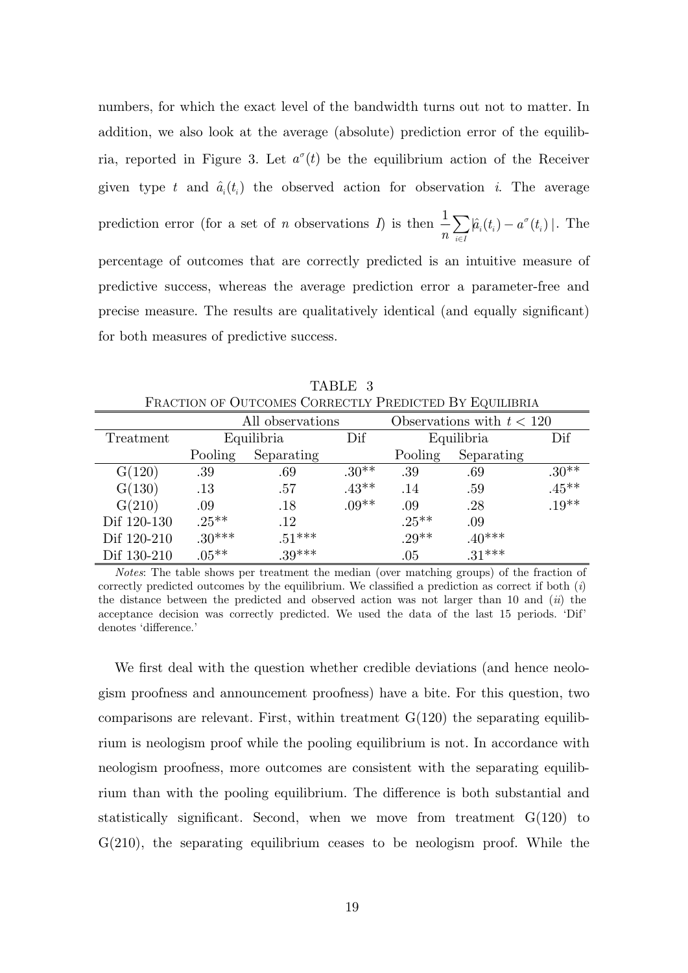numbers, for which the exact level of the bandwidth turns out not to matter. In addition, we also look at the average (absolute) prediction error of the equilibria, reported in Figure 3. Let  $a^{\sigma}(t)$  be the equilibrium action of the Receiver given type *t* and  $\hat{a}_i(t_i)$  the observed action for observation *i*. The average prediction error (for a set of *n* observations *I*) is then  $\frac{1}{n} \sum \hat{a}_i(t_i) - a^{\sigma}(t_i)$  $i \in I$  $\hat{a}_i(t_i) - a^{\sigma}(t)$ *n s*  $\sum_{i\in I} \left|\hat{a}_i(t_i)-a^\sigma(t_i)\right|$ . The percentage of outcomes that are correctly predicted is an intuitive measure of predictive success, whereas the average prediction error a parameter-free and precise measure. The results are qualitatively identical (and equally significant) for both measures of predictive success.

| FRACTION OF OUTCOMES CORRECTLY PREDICTED BY EQUILIBRIA |                  |            |         |                             |            |          |
|--------------------------------------------------------|------------------|------------|---------|-----------------------------|------------|----------|
|                                                        | All observations |            |         | Observations with $t < 120$ |            |          |
| Treatment                                              | Equilibria       |            | Dif     |                             | Equilibria |          |
|                                                        | Pooling          | Separating |         | Pooling                     | Separating |          |
| G(120)                                                 | .39              | .69        | $.30**$ | .39                         | .69        | $.30**$  |
| G(130)                                                 | .13              | .57        | $.43**$ | .14                         | .59        | $.45***$ |
| G(210)                                                 | .09              | .18        | $.09**$ | .09                         | .28        | $.19**$  |
| Dif 120-130                                            | $.25***$         | .12        |         | $.25***$                    | .09        |          |
| Dif 120-210                                            | $.30***$         | $.51***$   |         | $.29**$                     | $.40***$   |          |
| Dif 130-210                                            | $.05***$         | $39***$    |         | .05                         | $31***$    |          |

TABLE 3

*Notes*: The table shows per treatment the median (over matching groups) of the fraction of correctly predicted outcomes by the equilibrium. We classified a prediction as correct if both (*i*) the distance between the predicted and observed action was not larger than 10 and (*ii*) the acceptance decision was correctly predicted. We used the data of the last 15 periods. 'Dif' denotes 'difference.'

We first deal with the question whether credible deviations (and hence neologism proofness and announcement proofness) have a bite. For this question, two comparisons are relevant. First, within treatment  $G(120)$  the separating equilibrium is neologism proof while the pooling equilibrium is not. In accordance with neologism proofness, more outcomes are consistent with the separating equilibrium than with the pooling equilibrium. The difference is both substantial and statistically significant. Second, when we move from treatment G(120) to  $G(210)$ , the separating equilibrium ceases to be neologism proof. While the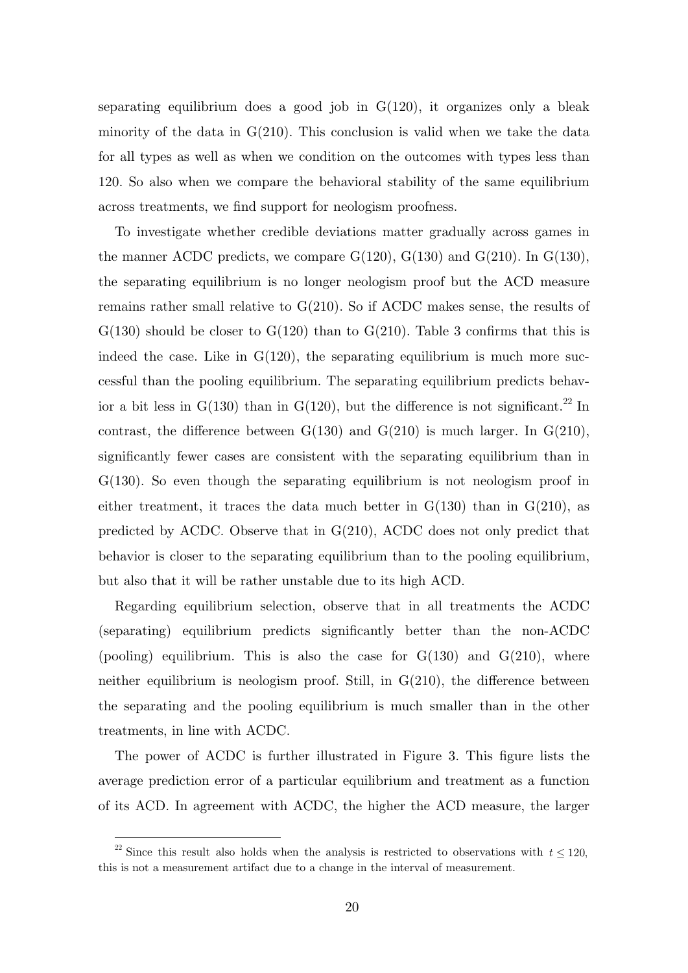separating equilibrium does a good job in  $G(120)$ , it organizes only a bleak minority of the data in  $G(210)$ . This conclusion is valid when we take the data for all types as well as when we condition on the outcomes with types less than 120. So also when we compare the behavioral stability of the same equilibrium across treatments, we find support for neologism proofness.

To investigate whether credible deviations matter gradually across games in the manner ACDC predicts, we compare  $G(120)$ ,  $G(130)$  and  $G(210)$ . In  $G(130)$ , the separating equilibrium is no longer neologism proof but the ACD measure remains rather small relative to G(210). So if ACDC makes sense, the results of  $G(130)$  should be closer to  $G(120)$  than to  $G(210)$ . Table 3 confirms that this is indeed the case. Like in  $G(120)$ , the separating equilibrium is much more successful than the pooling equilibrium. The separating equilibrium predicts behavior a bit less in  $G(130)$  than in  $G(120)$ , but the difference is not significant.<sup>22</sup> In contrast, the difference between  $G(130)$  and  $G(210)$  is much larger. In  $G(210)$ , significantly fewer cases are consistent with the separating equilibrium than in G(130). So even though the separating equilibrium is not neologism proof in either treatment, it traces the data much better in  $G(130)$  than in  $G(210)$ , as predicted by ACDC. Observe that in G(210), ACDC does not only predict that behavior is closer to the separating equilibrium than to the pooling equilibrium, but also that it will be rather unstable due to its high ACD.

Regarding equilibrium selection, observe that in all treatments the ACDC (separating) equilibrium predicts significantly better than the non-ACDC (pooling) equilibrium. This is also the case for  $G(130)$  and  $G(210)$ , where neither equilibrium is neologism proof. Still, in  $G(210)$ , the difference between the separating and the pooling equilibrium is much smaller than in the other treatments, in line with ACDC.

The power of ACDC is further illustrated in Figure 3. This figure lists the average prediction error of a particular equilibrium and treatment as a function of its ACD. In agreement with ACDC, the higher the ACD measure, the larger

<sup>&</sup>lt;sup>22</sup> Since this result also holds when the analysis is restricted to observations with  $t \leq 120$ , this is not a measurement artifact due to a change in the interval of measurement.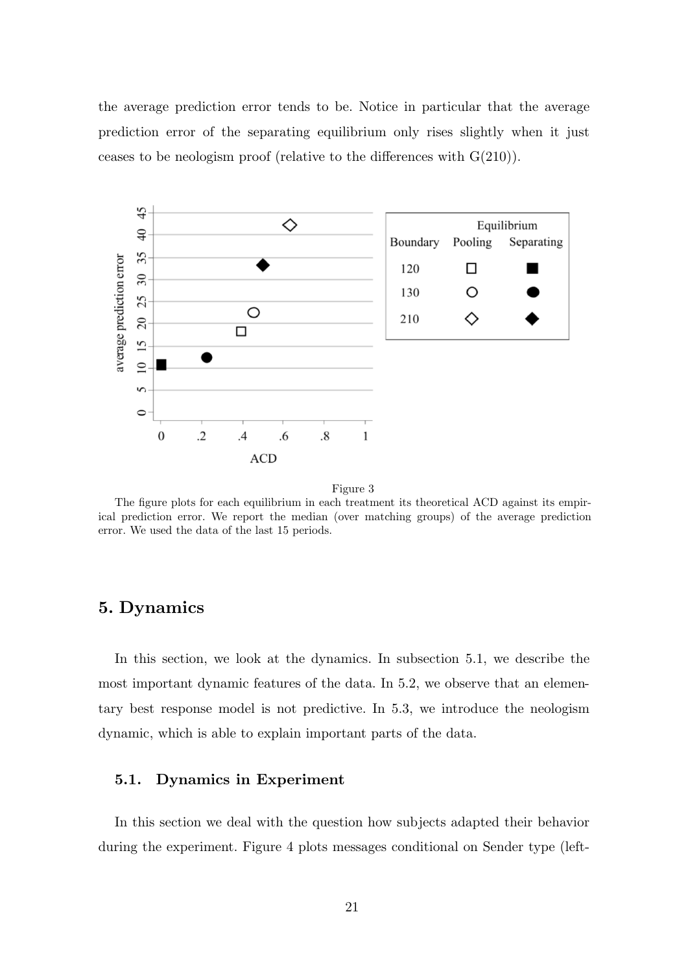the average prediction error tends to be. Notice in particular that the average prediction error of the separating equilibrium only rises slightly when it just ceases to be neologism proof (relative to the differences with  $G(210)$ ).



Figure 3

The figure plots for each equilibrium in each treatment its theoretical ACD against its empirical prediction error. We report the median (over matching groups) of the average prediction error. We used the data of the last 15 periods.

## **5. Dynamics**

In this section, we look at the dynamics. In subsection 5.1, we describe the most important dynamic features of the data. In 5.2, we observe that an elementary best response model is not predictive. In 5.3, we introduce the neologism dynamic, which is able to explain important parts of the data.

#### **5.1. Dynamics in Experiment**

In this section we deal with the question how subjects adapted their behavior during the experiment. Figure 4 plots messages conditional on Sender type (left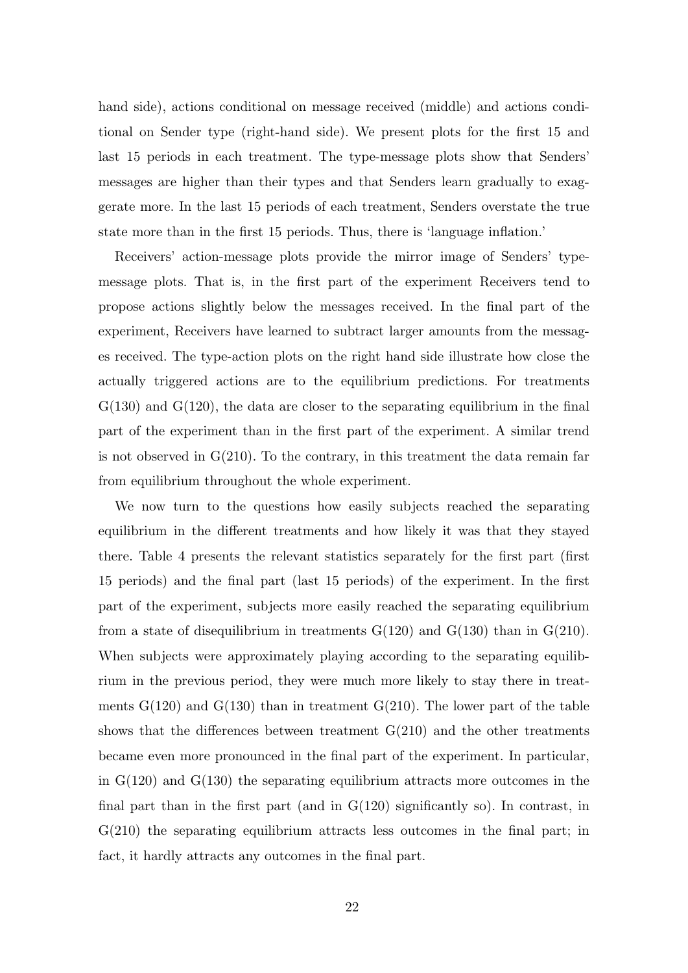hand side), actions conditional on message received (middle) and actions conditional on Sender type (right-hand side). We present plots for the first 15 and last 15 periods in each treatment. The type-message plots show that Senders' messages are higher than their types and that Senders learn gradually to exaggerate more. In the last 15 periods of each treatment, Senders overstate the true state more than in the first 15 periods. Thus, there is 'language inflation.'

Receivers' action-message plots provide the mirror image of Senders' typemessage plots. That is, in the first part of the experiment Receivers tend to propose actions slightly below the messages received. In the final part of the experiment, Receivers have learned to subtract larger amounts from the messages received. The type-action plots on the right hand side illustrate how close the actually triggered actions are to the equilibrium predictions. For treatments  $G(130)$  and  $G(120)$ , the data are closer to the separating equilibrium in the final part of the experiment than in the first part of the experiment. A similar trend is not observed in  $G(210)$ . To the contrary, in this treatment the data remain far from equilibrium throughout the whole experiment.

We now turn to the questions how easily subjects reached the separating equilibrium in the different treatments and how likely it was that they stayed there. Table 4 presents the relevant statistics separately for the first part (first 15 periods) and the final part (last 15 periods) of the experiment. In the first part of the experiment, subjects more easily reached the separating equilibrium from a state of disequilibrium in treatments  $G(120)$  and  $G(130)$  than in  $G(210)$ . When subjects were approximately playing according to the separating equilibrium in the previous period, they were much more likely to stay there in treatments  $G(120)$  and  $G(130)$  than in treatment  $G(210)$ . The lower part of the table shows that the differences between treatment  $G(210)$  and the other treatments became even more pronounced in the final part of the experiment. In particular, in  $G(120)$  and  $G(130)$  the separating equilibrium attracts more outcomes in the final part than in the first part (and in  $G(120)$  significantly so). In contrast, in G(210) the separating equilibrium attracts less outcomes in the final part; in fact, it hardly attracts any outcomes in the final part.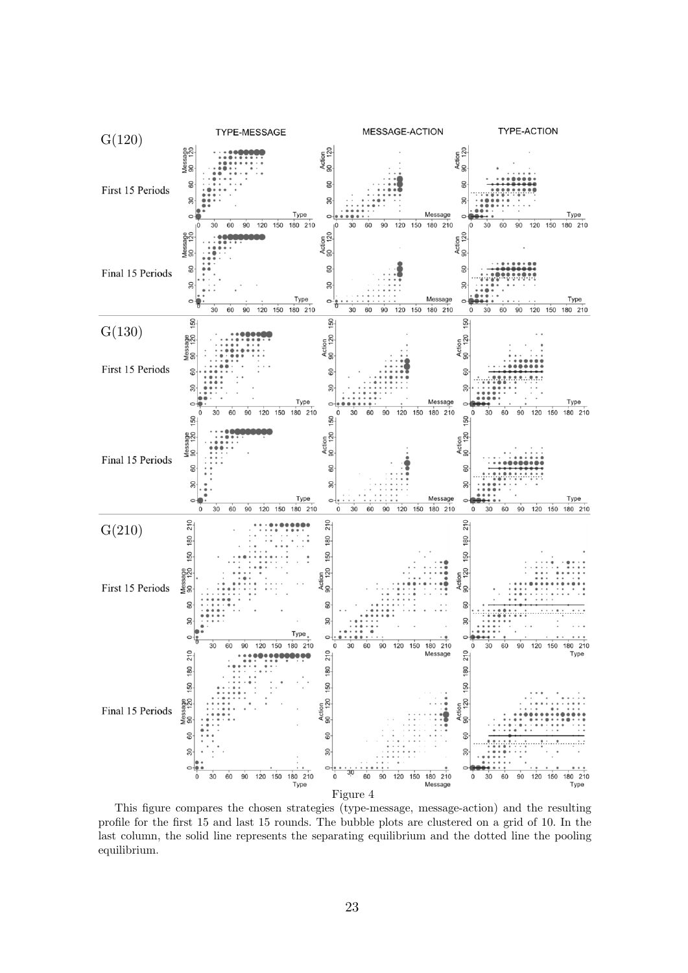

This figure compares the chosen strategies (type-message, message-action) and the resulting profile for the first 15 and last 15 rounds. The bubble plots are clustered on a grid of 10. In the last column, the solid line represents the separating equilibrium and the dotted line the pooling equilibrium.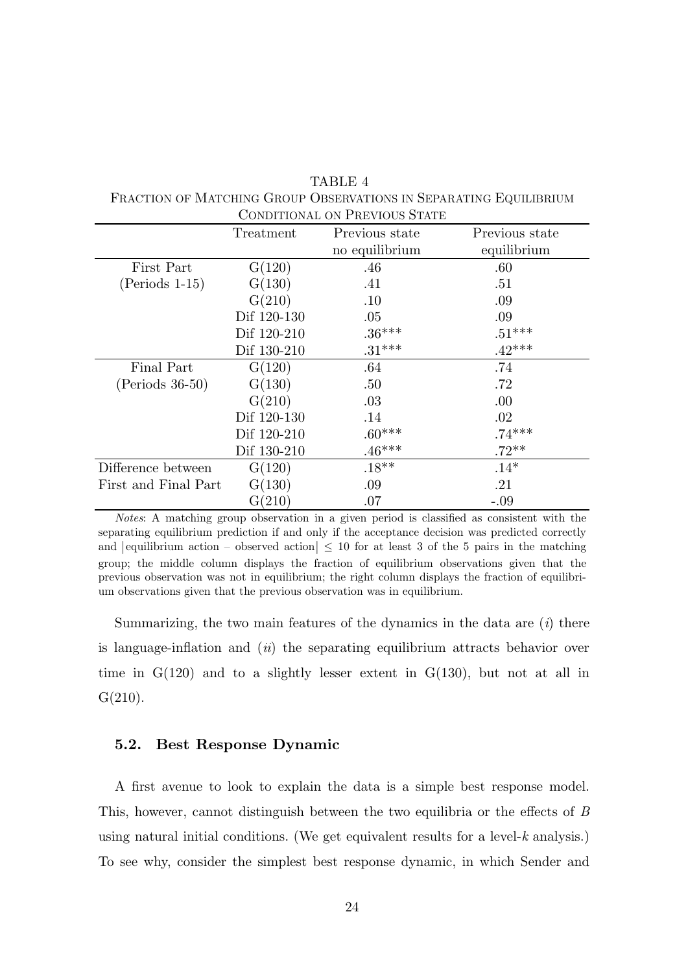| <b>CONDITIONAL ON PREVIOUS STATE</b> |             |                |                |  |
|--------------------------------------|-------------|----------------|----------------|--|
|                                      | Treatment   | Previous state | Previous state |  |
|                                      |             | no equilibrium | equilibrium    |  |
| First Part                           | G(120)      | .46            | .60            |  |
| $(Periods 1-15)$                     | G(130)      | .41            | .51            |  |
|                                      | G(210)      | .10            | .09            |  |
|                                      | Dif 120-130 | .05            | .09            |  |
|                                      | Dif 120-210 | $.36***$       | $.51***$       |  |
|                                      | Dif 130-210 | $.31***$       | $.42***$       |  |
| Final Part                           | G(120)      | .64            | .74            |  |
| $(Periods 36-50)$                    | G(130)      | .50            | .72            |  |
|                                      | G(210)      | .03            | .00            |  |
|                                      | Dif 120-130 | .14            | .02            |  |
|                                      | Dif 120-210 | $.60***$       | $.74***$       |  |
|                                      | Dif 130-210 | $.46***$       | $.72***$       |  |
| Difference between                   | G(120)      | $.18**$        | $.14*$         |  |
| First and Final Part                 | G(130)      | .09            | .21            |  |
|                                      | G(210)      | .07            | $-.09$         |  |

 TABLE 4 FRACTION OF MATCHING GROUP OBSERVATIONS IN SEPARATING EQUILIBRIUM

*Notes*: A matching group observation in a given period is classified as consistent with the separating equilibrium prediction if and only if the acceptance decision was predicted correctly and | equilibrium action – observed action  $| \leq 10$  for at least 3 of the 5 pairs in the matching group; the middle column displays the fraction of equilibrium observations given that the previous observation was not in equilibrium; the right column displays the fraction of equilibrium observations given that the previous observation was in equilibrium.

Summarizing, the two main features of the dynamics in the data are (*i*) there is language-inflation and (*ii*) the separating equilibrium attracts behavior over time in  $G(120)$  and to a slightly lesser extent in  $G(130)$ , but not at all in  $G(210)$ .

#### **5.2. Best Response Dynamic**

A first avenue to look to explain the data is a simple best response model. This, however, cannot distinguish between the two equilibria or the effects of *B* using natural initial conditions. (We get equivalent results for a level-*k* analysis.) To see why, consider the simplest best response dynamic, in which Sender and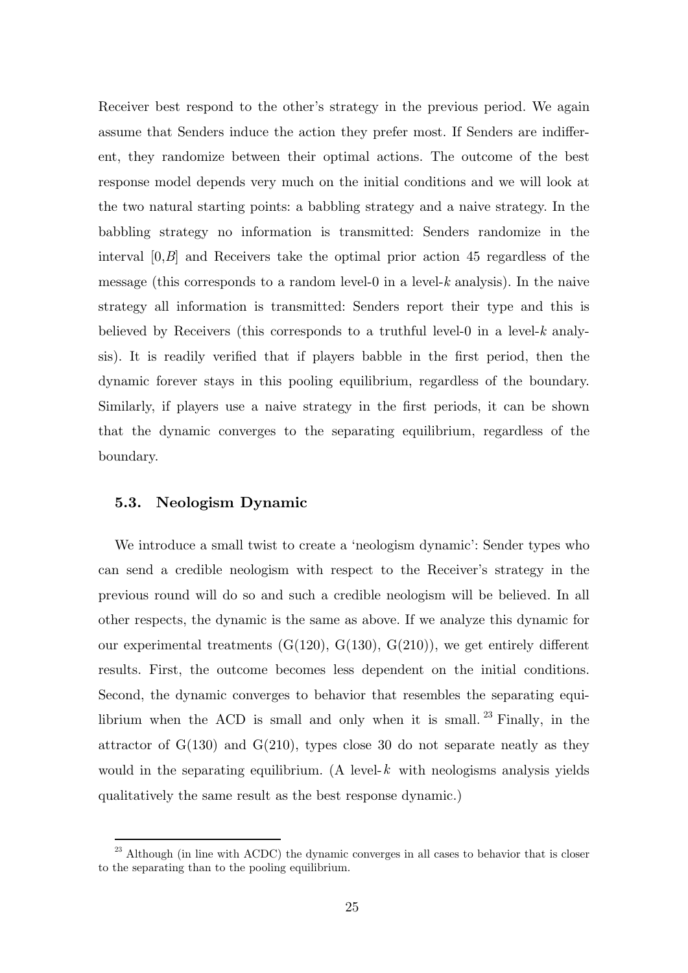Receiver best respond to the other's strategy in the previous period. We again assume that Senders induce the action they prefer most. If Senders are indifferent, they randomize between their optimal actions. The outcome of the best response model depends very much on the initial conditions and we will look at the two natural starting points: a babbling strategy and a naive strategy. In the babbling strategy no information is transmitted: Senders randomize in the interval [0,*B*] and Receivers take the optimal prior action 45 regardless of the message (this corresponds to a random level-0 in a level-*k* analysis). In the naive strategy all information is transmitted: Senders report their type and this is believed by Receivers (this corresponds to a truthful level-0 in a level-*k* analysis). It is readily verified that if players babble in the first period, then the dynamic forever stays in this pooling equilibrium, regardless of the boundary. Similarly, if players use a naive strategy in the first periods, it can be shown that the dynamic converges to the separating equilibrium, regardless of the boundary.

#### **5.3. Neologism Dynamic**

-

We introduce a small twist to create a 'neologism dynamic': Sender types who can send a credible neologism with respect to the Receiver's strategy in the previous round will do so and such a credible neologism will be believed. In all other respects, the dynamic is the same as above. If we analyze this dynamic for our experimental treatments  $(G(120), G(130), G(210))$ , we get entirely different results. First, the outcome becomes less dependent on the initial conditions. Second, the dynamic converges to behavior that resembles the separating equilibrium when the ACD is small and only when it is small.  $^{23}$  Finally, in the attractor of  $G(130)$  and  $G(210)$ , types close 30 do not separate neatly as they would in the separating equilibrium. (A level- $k$  with neologisms analysis yields qualitatively the same result as the best response dynamic.)

 $^{23}$  Although (in line with ACDC) the dynamic converges in all cases to behavior that is closer to the separating than to the pooling equilibrium.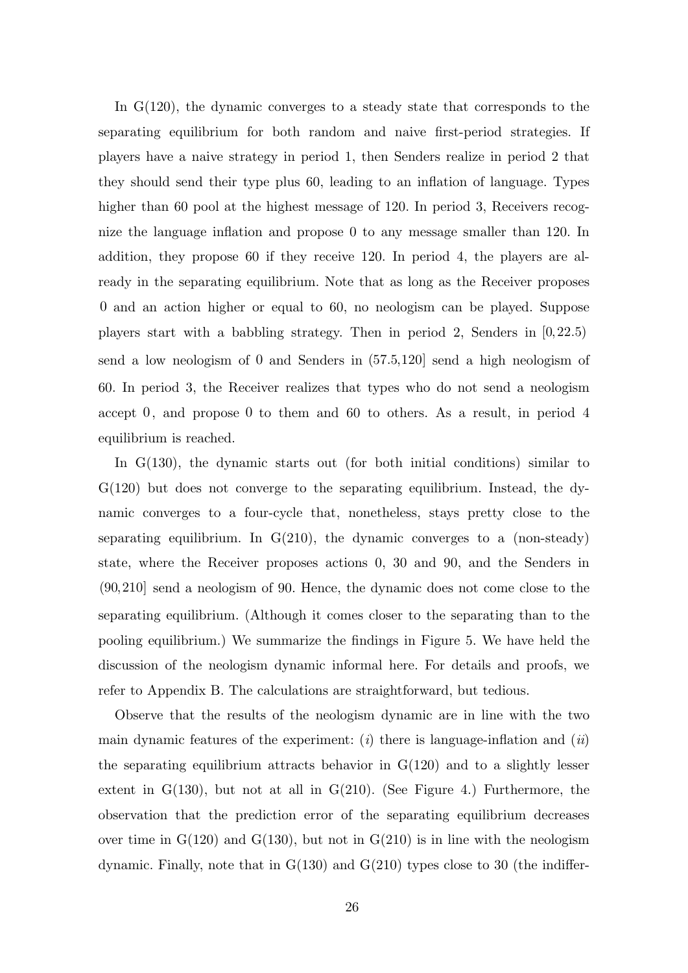In G(120), the dynamic converges to a steady state that corresponds to the separating equilibrium for both random and naive first-period strategies. If players have a naive strategy in period 1, then Senders realize in period 2 that they should send their type plus 60, leading to an inflation of language. Types higher than 60 pool at the highest message of 120. In period 3, Receivers recognize the language inflation and propose 0 to any message smaller than 120. In addition, they propose 60 if they receive 120. In period 4, the players are already in the separating equilibrium. Note that as long as the Receiver proposes 0 and an action higher or equal to 60, no neologism can be played. Suppose players start with a babbling strategy. Then in period 2, Senders in [0,22.5) send a low neologism of  $0$  and Senders in  $(57.5,120)$  send a high neologism of 60. In period 3, the Receiver realizes that types who do not send a neologism accept  $0$ , and propose  $0$  to them and  $60$  to others. As a result, in period  $4$ equilibrium is reached.

In G(130), the dynamic starts out (for both initial conditions) similar to  $G(120)$  but does not converge to the separating equilibrium. Instead, the dynamic converges to a four-cycle that, nonetheless, stays pretty close to the separating equilibrium. In  $G(210)$ , the dynamic converges to a (non-steady) state, where the Receiver proposes actions 0, 30 and 90, and the Senders in  $(90, 210]$  send a neologism of 90. Hence, the dynamic does not come close to the separating equilibrium. (Although it comes closer to the separating than to the pooling equilibrium.) We summarize the findings in Figure 5. We have held the discussion of the neologism dynamic informal here. For details and proofs, we refer to Appendix B. The calculations are straightforward, but tedious.

Observe that the results of the neologism dynamic are in line with the two main dynamic features of the experiment: (*i*) there is language-inflation and (*ii*) the separating equilibrium attracts behavior in  $G(120)$  and to a slightly lesser extent in  $G(130)$ , but not at all in  $G(210)$ . (See Figure 4.) Furthermore, the observation that the prediction error of the separating equilibrium decreases over time in  $G(120)$  and  $G(130)$ , but not in  $G(210)$  is in line with the neologism dynamic. Finally, note that in  $G(130)$  and  $G(210)$  types close to 30 (the indiffer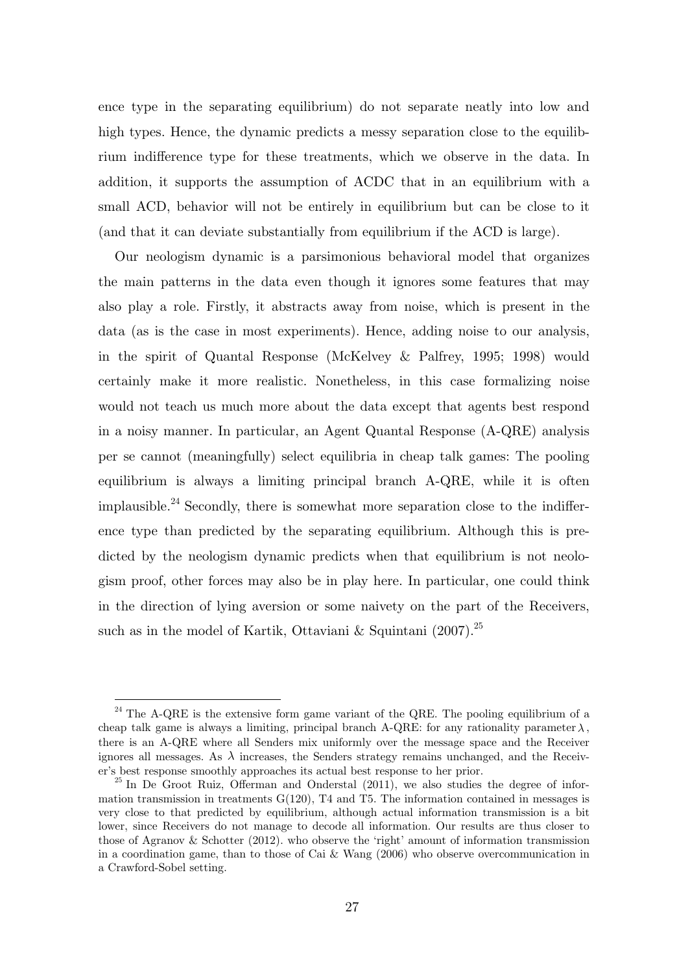ence type in the separating equilibrium) do not separate neatly into low and high types. Hence, the dynamic predicts a messy separation close to the equilibrium indifference type for these treatments, which we observe in the data. In addition, it supports the assumption of ACDC that in an equilibrium with a small ACD, behavior will not be entirely in equilibrium but can be close to it (and that it can deviate substantially from equilibrium if the ACD is large).

Our neologism dynamic is a parsimonious behavioral model that organizes the main patterns in the data even though it ignores some features that may also play a role. Firstly, it abstracts away from noise, which is present in the data (as is the case in most experiments). Hence, adding noise to our analysis, in the spirit of Quantal Response (McKelvey & Palfrey, 1995; 1998) would certainly make it more realistic. Nonetheless, in this case formalizing noise would not teach us much more about the data except that agents best respond in a noisy manner. In particular, an Agent Quantal Response (A-QRE) analysis per se cannot (meaningfully) select equilibria in cheap talk games: The pooling equilibrium is always a limiting principal branch A-QRE, while it is often implausible.<sup>24</sup> Secondly, there is somewhat more separation close to the indifference type than predicted by the separating equilibrium. Although this is predicted by the neologism dynamic predicts when that equilibrium is not neologism proof, other forces may also be in play here. In particular, one could think in the direction of lying aversion or some naivety on the part of the Receivers, such as in the model of Kartik, Ottaviani & Squintani (2007).<sup>25</sup>

 $24$  The A-ORE is the extensive form game variant of the QRE. The pooling equilibrium of a cheap talk game is always a limiting, principal branch A-QRE: for any rationality parameter  $\lambda$ , there is an A-QRE where all Senders mix uniformly over the message space and the Receiver ignores all messages. As  $\lambda$  increases, the Senders strategy remains unchanged, and the Receiver's best response smoothly approaches its actual best response to her prior. 25 In De Groot Ruiz, Offerman and Onderstal (2011), we also studies the degree of infor-

mation transmission in treatments  $G(120)$ , T4 and T5. The information contained in messages is very close to that predicted by equilibrium, although actual information transmission is a bit lower, since Receivers do not manage to decode all information. Our results are thus closer to those of Agranov & Schotter (2012). who observe the 'right' amount of information transmission in a coordination game, than to those of Cai & Wang (2006) who observe overcommunication in a Crawford-Sobel setting.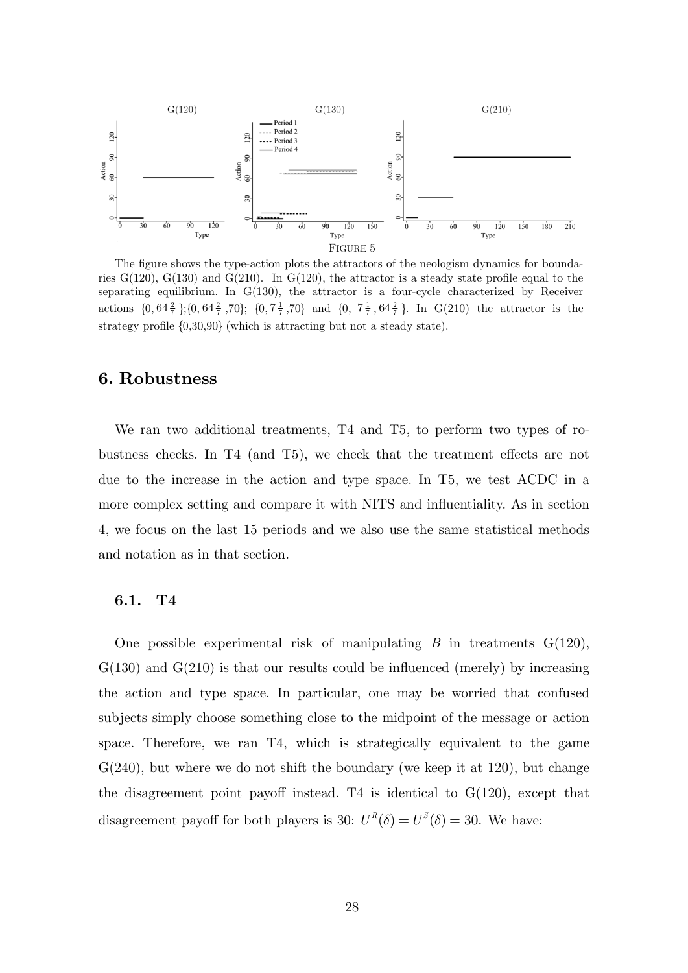

The figure shows the type-action plots the attractors of the neologism dynamics for boundaries  $G(120)$ ,  $G(130)$  and  $G(210)$ . In  $G(120)$ , the attractor is a steady state profile equal to the separating equilibrium. In G(130), the attractor is a four-cycle characterized by Receiver actions  $\{0, 64\frac{2}{7}\}; \{0, 64\frac{2}{7}, 70\}; \{0, 7\frac{1}{7}, 70\}$  and  $\{0, 7\frac{1}{7}, 64\frac{2}{7}\}.$  In G(210) the attractor is the strategy profile {0,30,90} (which is attracting but not a steady state).

## **6. Robustness**

We ran two additional treatments, T4 and T5, to perform two types of robustness checks. In T4 (and T5), we check that the treatment effects are not due to the increase in the action and type space. In T5, we test ACDC in a more complex setting and compare it with NITS and influentiality. As in section 4, we focus on the last 15 periods and we also use the same statistical methods and notation as in that section.

#### **6.1. T4**

One possible experimental risk of manipulating  $B$  in treatments  $G(120)$ ,  $G(130)$  and  $G(210)$  is that our results could be influenced (merely) by increasing the action and type space. In particular, one may be worried that confused subjects simply choose something close to the midpoint of the message or action space. Therefore, we ran T4, which is strategically equivalent to the game  $G(240)$ , but where we do not shift the boundary (we keep it at 120), but change the disagreement point payoff instead. T4 is identical to  $G(120)$ , except that disagreement payoff for both players is 30:  $U^R(\delta) = U^S(\delta) = 30$ . We have: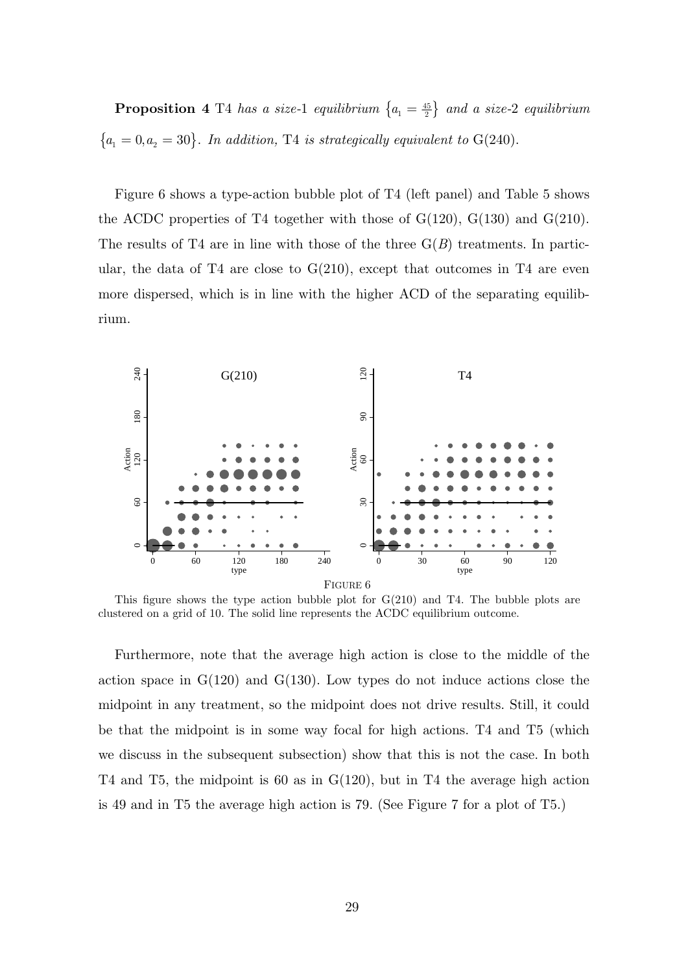**Proposition 4** T4 has a size-1 equilibrium  $\{a_1 = \frac{45}{2}\}\$  and a size-2 equilibrium  ${a_1 = 0, a_2 = 30}.$  *In addition,* T4 *is strategically equivalent to* G(240).

Figure 6 shows a type-action bubble plot of T4 (left panel) and Table 5 shows the ACDC properties of T4 together with those of  $G(120)$ ,  $G(130)$  and  $G(210)$ . The results of T4 are in line with those of the three  $G(B)$  treatments. In particular, the data of T4 are close to  $G(210)$ , except that outcomes in T4 are even more dispersed, which is in line with the higher ACD of the separating equilibrium.



This figure shows the type action bubble plot for  $G(210)$  and T4. The bubble plots are clustered on a grid of 10. The solid line represents the ACDC equilibrium outcome.

Furthermore, note that the average high action is close to the middle of the action space in  $G(120)$  and  $G(130)$ . Low types do not induce actions close the midpoint in any treatment, so the midpoint does not drive results. Still, it could be that the midpoint is in some way focal for high actions. T4 and T5 (which we discuss in the subsequent subsection) show that this is not the case. In both T4 and T5, the midpoint is 60 as in G(120), but in T4 the average high action is 49 and in T5 the average high action is 79. (See Figure 7 for a plot of T5.)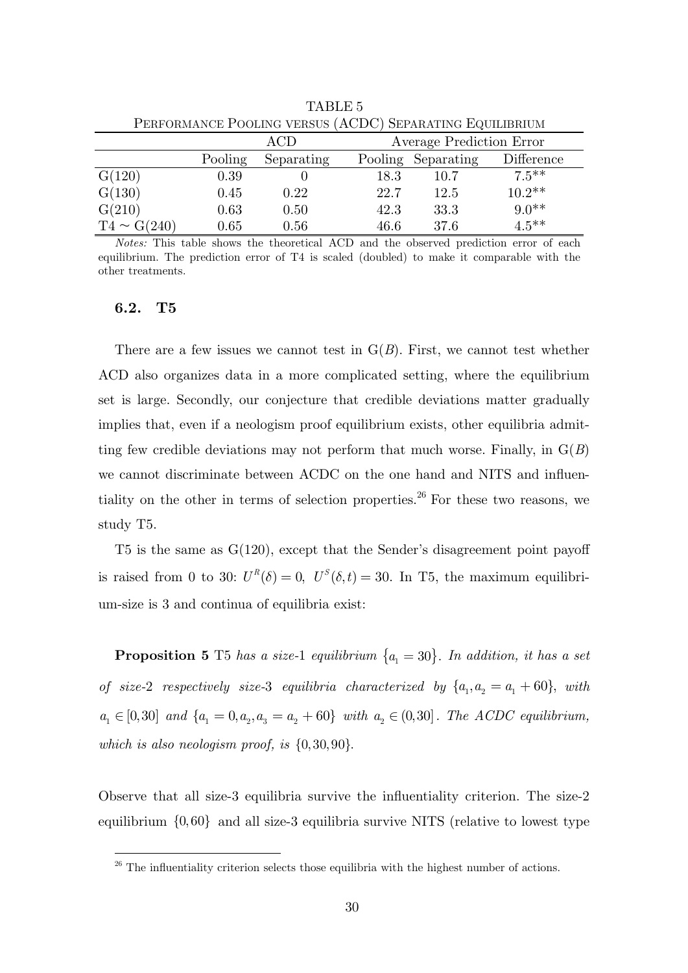|                  | F ERFORMANCE FOOLING VERSUS (ACDC) SEPARATING EQUILIBRIUM |            |      |                          |            |  |
|------------------|-----------------------------------------------------------|------------|------|--------------------------|------------|--|
|                  |                                                           | $\rm{ACD}$ |      | Average Prediction Error |            |  |
|                  | Pooling                                                   | Separating |      | Pooling Separating       | Difference |  |
| G(120)           | 0.39                                                      |            | 18.3 | 10.7                     | $7.5***$   |  |
| G(130)           | 0.45                                                      | 0.22       | 22.7 | 12.5                     | $10.2**$   |  |
| G(210)           | 0.63                                                      | 0.50       | 42.3 | 33.3                     | $9.0**$    |  |
| $T4 \sim G(240)$ | 0.65                                                      | 0.56       | 46.6 | 37.6                     | $4.5***$   |  |

TABLE 5 PERFORMANCE POOLING VERSUS (ACDC) SEPARATING EQUILIBRIUM

*Notes:* This table shows the theoretical ACD and the observed prediction error of each equilibrium. The prediction error of T4 is scaled (doubled) to make it comparable with the other treatments.

#### **6.2. T5**

-

There are a few issues we cannot test in  $G(B)$ . First, we cannot test whether ACD also organizes data in a more complicated setting, where the equilibrium set is large. Secondly, our conjecture that credible deviations matter gradually implies that, even if a neologism proof equilibrium exists, other equilibria admitting few credible deviations may not perform that much worse. Finally, in G(*B*) we cannot discriminate between ACDC on the one hand and NITS and influentiality on the other in terms of selection properties.<sup>26</sup> For these two reasons, we study T5.

T5 is the same as  $G(120)$ , except that the Sender's disagreement point payoff is raised from 0 to 30:  $U^R(\delta) = 0$ ,  $U^S(\delta, t) = 30$ . In T5, the maximum equilibrium-size is 3 and continua of equilibria exist:

**Proposition 5** T5 has a size-1 equilibrium  $\{a_1 = 30\}$ . In addition, it has a set *of size-2 respectively size-3 equilibria characterized by*  $\{a_1, a_2 = a_1 + 60\}$ , with  $a_1 \in [0,30]$  *and*  $\{a_1 = 0, a_2, a_3 = a_2 + 60\}$  *with*  $a_2 \in (0,30]$ *. The ACDC equilibrium,* which is also neologism proof, is  $\{0, 30, 90\}$ .

Observe that all size-3 equilibria survive the influentiality criterion. The size-2 equilibrium  $\{0,60\}$  and all size-3 equilibria survive NITS (relative to lowest type

 $26$  The influentiality criterion selects those equilibria with the highest number of actions.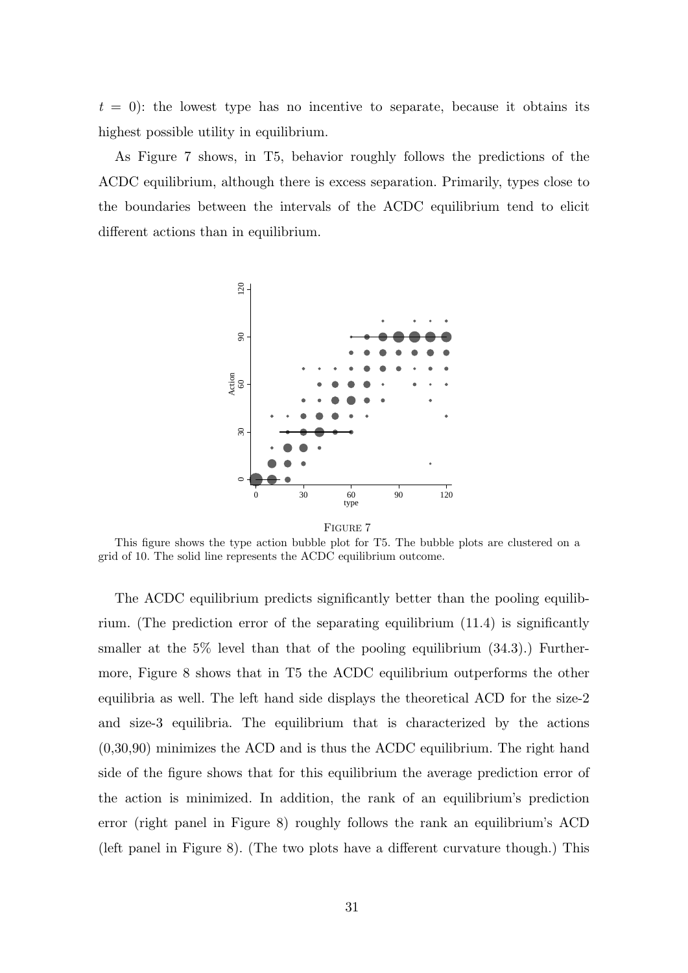$t = 0$ : the lowest type has no incentive to separate, because it obtains its highest possible utility in equilibrium.

As Figure 7 shows, in T5, behavior roughly follows the predictions of the ACDC equilibrium, although there is excess separation. Primarily, types close to the boundaries between the intervals of the ACDC equilibrium tend to elicit different actions than in equilibrium.



FIGURE 7

This figure shows the type action bubble plot for T5. The bubble plots are clustered on a grid of 10. The solid line represents the ACDC equilibrium outcome.

The ACDC equilibrium predicts significantly better than the pooling equilibrium. (The prediction error of the separating equilibrium (11.4) is significantly smaller at the  $5\%$  level than that of the pooling equilibrium  $(34.3)$ .) Furthermore, Figure 8 shows that in T5 the ACDC equilibrium outperforms the other equilibria as well. The left hand side displays the theoretical ACD for the size-2 and size-3 equilibria. The equilibrium that is characterized by the actions (0,30,90) minimizes the ACD and is thus the ACDC equilibrium. The right hand side of the figure shows that for this equilibrium the average prediction error of the action is minimized. In addition, the rank of an equilibrium's prediction error (right panel in Figure 8) roughly follows the rank an equilibrium's ACD (left panel in Figure 8). (The two plots have a different curvature though.) This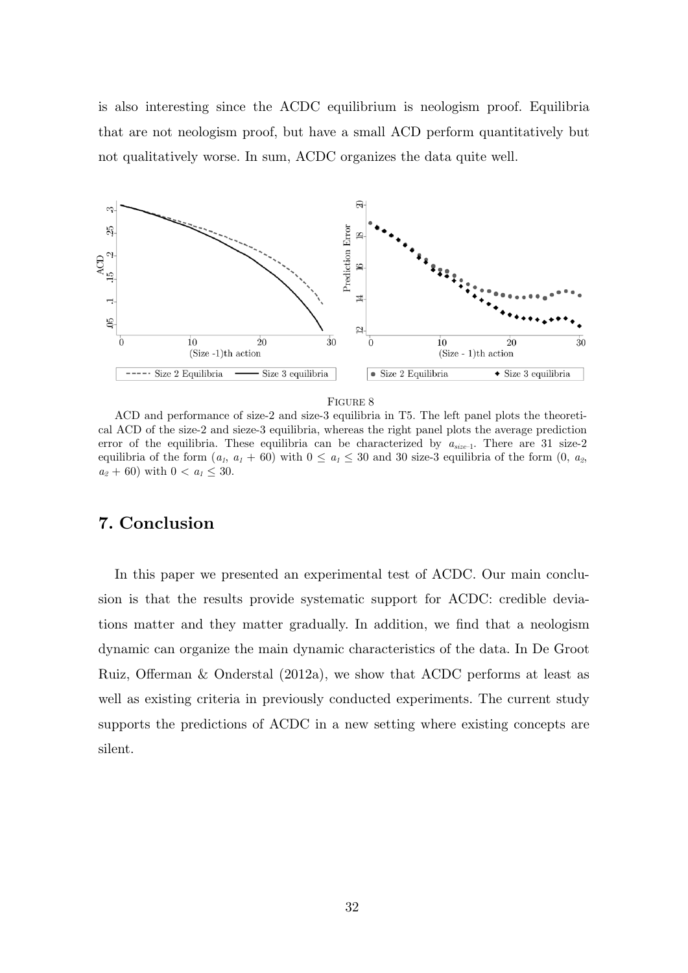is also interesting since the ACDC equilibrium is neologism proof. Equilibria that are not neologism proof, but have a small ACD perform quantitatively but not qualitatively worse. In sum, ACDC organizes the data quite well.



#### FIGURE 8

ACD and performance of size-2 and size-3 equilibria in T5. The left panel plots the theoretical ACD of the size-2 and sieze-3 equilibria, whereas the right panel plots the average prediction error of the equilibria. These equilibria can be characterized by *asize*–1. There are 31 size-2 equilibria of the form  $(a_1, a_1 + 60)$  with  $0 \le a_1 \le 30$  and 30 size-3 equilibria of the form  $(0, a_2)$  $a_2 + 60$ ) with  $0 < a_1 \leq 30$ .

## **7. Conclusion**

In this paper we presented an experimental test of ACDC. Our main conclusion is that the results provide systematic support for ACDC: credible deviations matter and they matter gradually. In addition, we find that a neologism dynamic can organize the main dynamic characteristics of the data. In De Groot Ruiz, Offerman & Onderstal (2012a), we show that ACDC performs at least as well as existing criteria in previously conducted experiments. The current study supports the predictions of ACDC in a new setting where existing concepts are silent.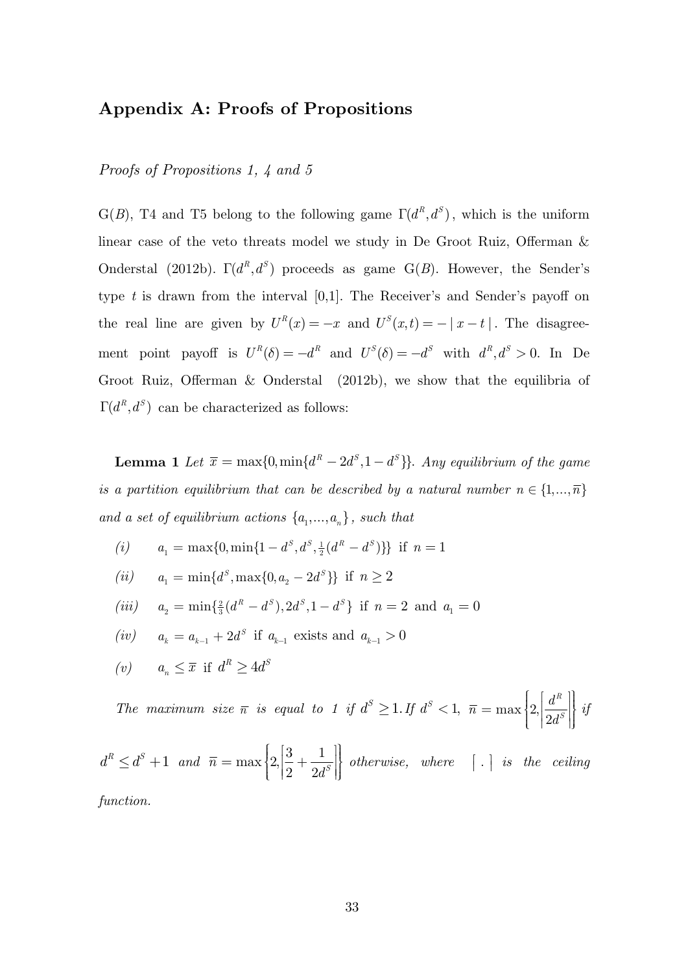## **Appendix A: Proofs of Propositions**

### *Proofs of Propositions 1, 4 and 5*

G(*B*), T4 and T5 belong to the following game  $\Gamma(d^R, d^S)$ , which is the uniform linear case of the veto threats model we study in De Groot Ruiz, Offerman & Onderstal (2012b).  $\Gamma(d^R, d^S)$  proceeds as game G(*B*). However, the Sender's type *t* is drawn from the interval [0,1]. The Receiver's and Sender's payoff on the real line are given by  $U^R(x) = -x$  and  $U^S(x,t) = -|x-t|$ . The disagreement point payoff is  $U^R(\delta) = -d^R$  and  $U^S(\delta) = -d^S$  with  $d^R, d^S > 0$ . In De Groot Ruiz, Offerman & Onderstal (2012b), we show that the equilibria of  $\Gamma(d^R, d^S)$  can be characterized as follows:

**Lemma 1** Let  $\bar{x} = \max\{0, \min\{d^R - 2d^S, 1 - d^S\}\}\$ . *Any equilibrium of the game is a partition equilibrium that can be described by a natural number*  $n \in \{1,...,\overline{n}\}$ *and a set of equilibrium actions*  $\{a_1, \ldots, a_n\}$ , *such that* 

- $(i)$   $a_1 = \max\{0, \min\{1 d^s, d^s, \frac{1}{2}(d^R d^S)\}\}\$ if  $n = 1$
- *(ii)*  $a_1 = \min\{d^s, \max\{0, a_2 2d^s\}\}\$ if  $n \geq 2$
- $(iii)$   $a_2 = \min\{\frac{2}{3}(d^R d^S), 2d^S, 1 d^S\}$  if  $n = 2$  and  $a_1 = 0$
- $(iv)$   $a_k = a_{k-1} + 2d^s$  if  $a_{k-1}$  exists and  $a_{k-1} > 0$
- (*v*)  $a_n \leq \overline{x}$  if  $d^R \geq 4d^S$

*The maximum size*  $\bar{n}$  *is equal to 1 if*  $d^S \geq 1$ . If  $d^S < 1$ ,  $\bar{n} = \max\left\{2, \left|\frac{d^R}{2d^S}\right|\right\}$  $=\max\left\{2,\left|\frac{d^{R}}{2d^{S}}\right|\right\}$ *if* 

$$
d^R \leq d^S + 1
$$
 and  $\bar{n} = \max \left\{ 2, \left| \frac{3}{2} + \frac{1}{2d^S} \right| \right\}$  otherwise, where  $\vert \cdot \vert$  is the ceiling

*function.*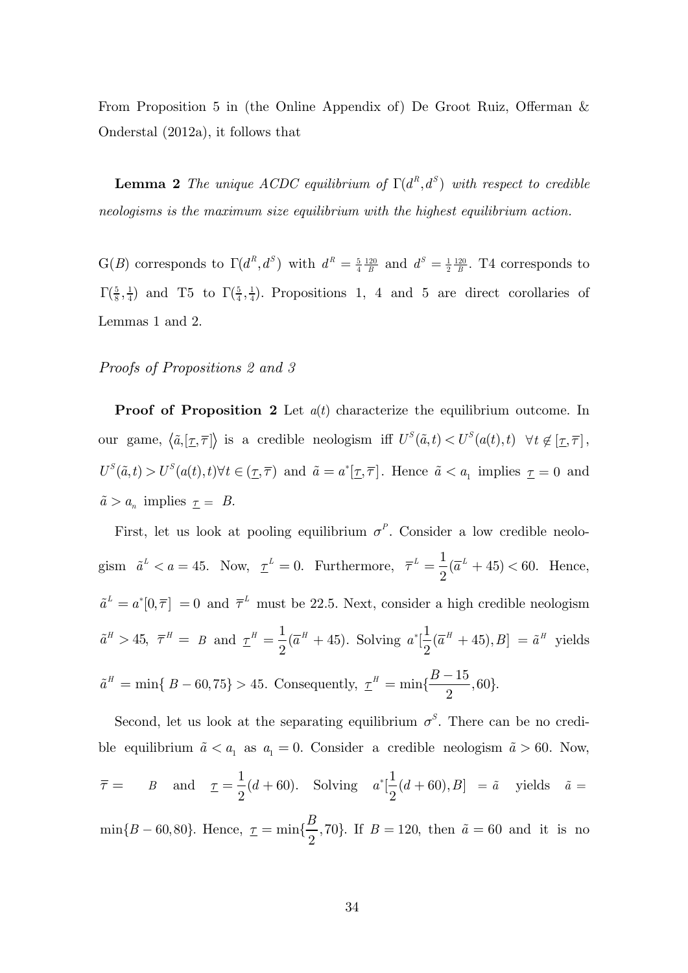From Proposition 5 in (the Online Appendix of) De Groot Ruiz, Offerman & Onderstal (2012a), it follows that

**Lemma 2** The *unique ACDC* equilibrium of  $\Gamma(d^R, d^S)$  with respect to credible *neologisms is the maximum size equilibrium with the highest equilibrium action.*

 $G(B)$  corresponds to  $\Gamma(d^R, d^S)$  with  $d^R = \frac{5}{4} \frac{120}{B}$  $d^R = \frac{5}{4} \frac{120}{B}$  and  $d^S = \frac{1}{2} \frac{120}{B}$ . T4 corresponds to  $\Gamma(\frac{5}{8},\frac{1}{4})$  and T5 to  $\Gamma(\frac{5}{4},\frac{1}{4})$ . Propositions 1, 4 and 5 are direct corollaries of Lemmas 1 and 2.

#### *Proofs of Propositions 2 and 3*

**Proof of Proposition 2** Let  $a(t)$  characterize the equilibrium outcome. In our game,  $\langle \tilde{a}, [\underline{\tau}, \overline{\tau}] \rangle$  is a credible neologism iff  $U^S(\tilde{a}, t) < U^S(a(t), t) \quad \forall t \notin [\underline{\tau}, \overline{\tau}]$ ,  $U^S(\tilde{a}, t) > U^S(a(t), t) \forall t \in (\underline{\tau}, \overline{\tau})$  and  $\tilde{a} = a^*[\underline{\tau}, \overline{\tau}]$ . Hence  $\tilde{a} < a_1$  implies  $\underline{\tau} = 0$  and  $\tilde{a} > a_n$  implies  $\underline{\tau} = B$ .

First, let us look at pooling equilibrium  $\sigma^P$ . Consider a low credible neologism  $\tilde{a}^L < a = 45$ . Now,  $\underline{\tau}^L = 0$ . Furthermore,  $\overline{\tau}^L = \frac{1}{2}(\overline{a}^L + 45) < 60$ . 2  $\bar{\tau}^L = \frac{1}{2}(\bar{a}^L + 45) < 60.$  Hence,  $\tilde{a}^L = a^* [0, \overline{\tau}] = 0$  and  $\overline{\tau}^L$  must be 22.5. Next, consider a high credible neologism  $\tilde{a}^H > 45$ ,  $\bar{\tau}^H = B$  and  $\underline{\tau}^H = \frac{1}{2}(\bar{a}^H + 45)$ . Solving  $a^*[\frac{1}{2}(\bar{a}^H + 45), B] = \tilde{a}^H$  yields  $\tilde{a}^H = \min\{B - 60, 75\} > 45.$  Consequently,  $\underline{\tau}^H = \min\{\frac{B - 15}{2}, 60\}.$ 

Second, let us look at the separating equilibrium  $\sigma^S$ . There can be no credible equilibrium  $\tilde{a} < a_1$  as  $a_1 = 0$ . Consider a credible neologism  $\tilde{a} > 60$ . Now,  $\bar{\tau} = B \text{ and } \tau = \frac{1}{2}(d + 60).$  Solving  $a^*[\frac{1}{2}(d + 60), B] = \tilde{a}$  yields  $\tilde{a} =$  $\min\{B - 60, 80\}$ . Hence,  $\underline{\tau} = \min\{\frac{B}{2}, 70\}$ . If  $B = 120$ , then  $\tilde{a} = 60$  and it is no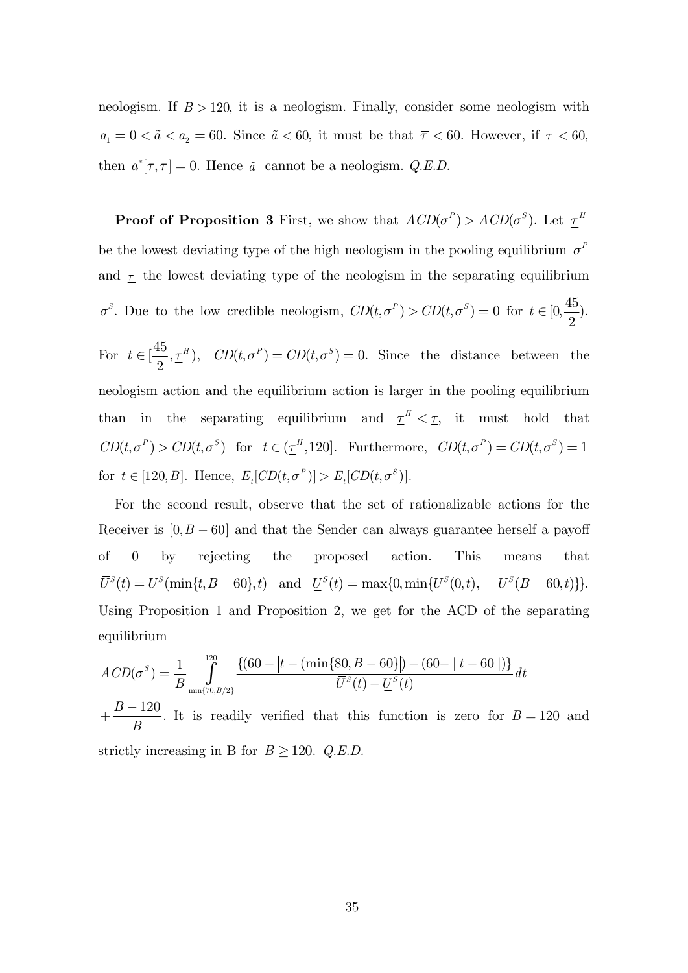neologism. If  $B > 120$ , it is a neologism. Finally, consider some neologism with  $a_1 = 0 < \tilde{a} < a_2 = 60$ . Since  $\tilde{a} < 60$ , it must be that  $\overline{\tau} < 60$ . However, if  $\overline{\tau} < 60$ , then  $a^*[\underline{\tau}, \overline{\tau}] = 0$ . Hence  $\tilde{a}$  cannot be a neologism. *Q.E.D.* 

**Proof of Proposition 3** First, we show that  $ACD(\sigma^P) > ACD(\sigma^S)$ . Let  $\underline{\tau}^H$ be the lowest deviating type of the high neologism in the pooling equilibrium  $\sigma^F$ and  $\tau$  the lowest deviating type of the neologism in the separating equilibrium  $\sigma^S$ . Due to the low credible neologism,  $CD(t, \sigma^P) > CD(t, \sigma^S) = 0$  for  $t \in [0, \frac{45}{2})$ .

For  $t \in [\frac{45}{2}, \underline{\tau}^H)$ ,  $CD(t, \sigma^P) = CD(t, \sigma^S) = 0$ . Since the distance between the neologism action and the equilibrium action is larger in the pooling equilibrium than in the separating equilibrium and  $\underline{\tau}^H < \underline{\tau}$ , it must hold that  $CD(t, \sigma^P) > CD(t, \sigma^S)$  for  $t \in (\underline{\tau}^H, 120]$ . Furthermore,  $CD(t, \sigma^P) = CD(t, \sigma^S) = 1$ for  $t \in [120, B]$ . Hence,  $E_t[CD(t, \sigma^P)] > E_t[CD(t, \sigma^S)]$ .

For the second result, observe that the set of rationalizable actions for the Receiver is  $[0, B - 60]$  and that the Sender can always guarantee herself a payoff of 0 by rejecting the proposed action. This means that  $\overline{U}^S(t) = U^S(\min\{t, B - 60\}, t)$  and  $\underline{U}^S(t) = \max\{0, \min\{U^S(0, t), \quad U^S(B - 60, t)\}\}.$ Using Proposition 1 and Proposition 2, we get for the ACD of the separating equilibrium

$$
ACD(\sigma^S) = \frac{1}{B} \int_{\min\{70, B/2\}}^{\infty} \frac{\{(60 - |t - (\min\{80, B - 60\}|) - (60 - |t - 60|)\}}{\overline{U}^S(t) - \underline{U}^S(t)} dt
$$
  
+  $\frac{B - 120}{B}$ . It is readily verified that this function is zero for  $B = 120$  and  
strictly increasing in B for  $B \ge 120$ . *Q.E.D.*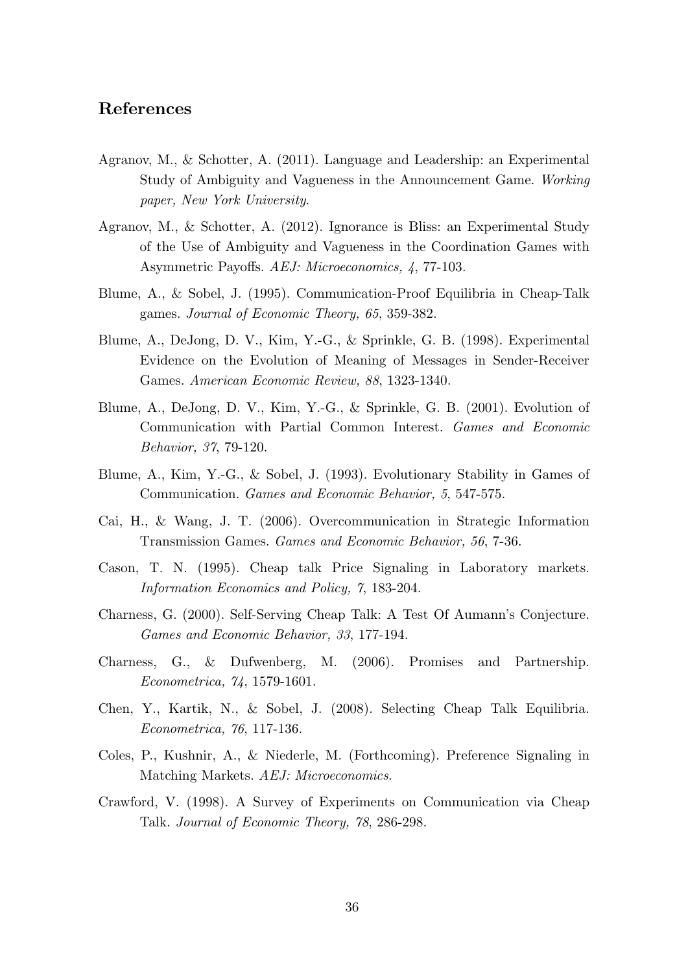## **References**

- Agranov, M., & Schotter, A. (2011). Language and Leadership: an Experimental Study of Ambiguity and Vagueness in the Announcement Game. *Working paper, New York University*.
- Agranov, M., & Schotter, A. (2012). Ignorance is Bliss: an Experimental Study of the Use of Ambiguity and Vagueness in the Coordination Games with Asymmetric Payoffs. *AEJ: Microeconomics, 4*, 77-103.
- Blume, A., & Sobel, J. (1995). Communication-Proof Equilibria in Cheap-Talk games. *Journal of Economic Theory, 65*, 359-382.
- Blume, A., DeJong, D. V., Kim, Y.-G., & Sprinkle, G. B. (1998). Experimental Evidence on the Evolution of Meaning of Messages in Sender-Receiver Games. *American Economic Review, 88*, 1323-1340.
- Blume, A., DeJong, D. V., Kim, Y.-G., & Sprinkle, G. B. (2001). Evolution of Communication with Partial Common Interest. *Games and Economic Behavior, 37*, 79-120.
- Blume, A., Kim, Y.-G., & Sobel, J. (1993). Evolutionary Stability in Games of Communication. *Games and Economic Behavior, 5*, 547-575.
- Cai, H., & Wang, J. T. (2006). Overcommunication in Strategic Information Transmission Games. *Games and Economic Behavior, 56*, 7-36.
- Cason, T. N. (1995). Cheap talk Price Signaling in Laboratory markets. *Information Economics and Policy, 7*, 183-204.
- Charness, G. (2000). Self-Serving Cheap Talk: A Test Of Aumann's Conjecture. *Games and Economic Behavior, 33*, 177-194.
- Charness, G., & Dufwenberg, M. (2006). Promises and Partnership. *Econometrica, 74*, 1579-1601.
- Chen, Y., Kartik, N., & Sobel, J. (2008). Selecting Cheap Talk Equilibria. *Econometrica, 76*, 117-136.
- Coles, P., Kushnir, A., & Niederle, M. (Forthcoming). Preference Signaling in Matching Markets. *AEJ: Microeconomics*.
- Crawford, V. (1998). A Survey of Experiments on Communication via Cheap Talk. *Journal of Economic Theory, 78*, 286-298.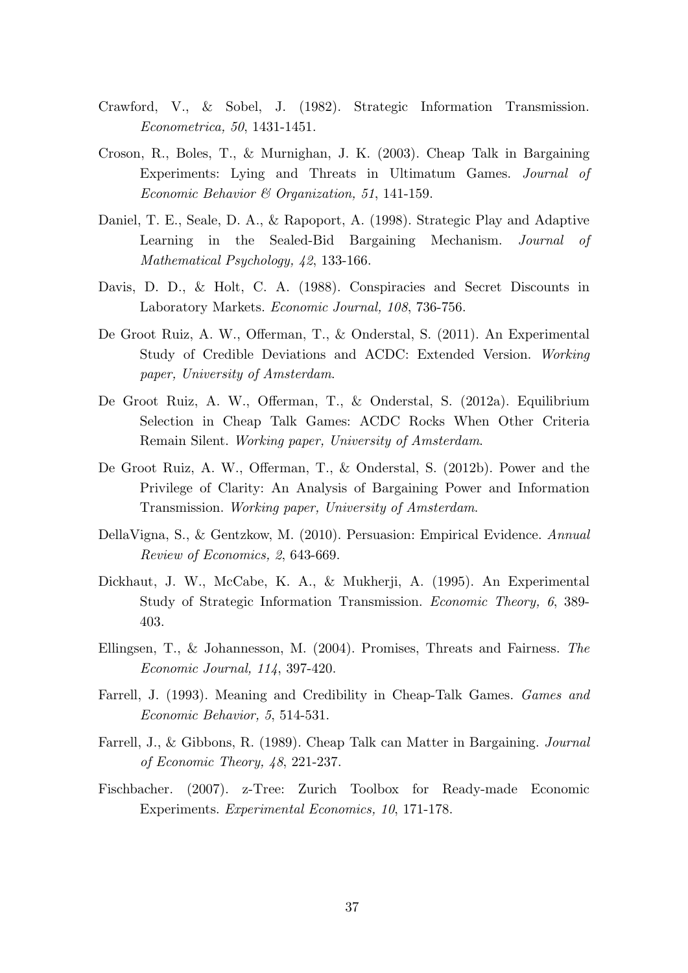- Crawford, V., & Sobel, J. (1982). Strategic Information Transmission. *Econometrica, 50*, 1431-1451.
- Croson, R., Boles, T., & Murnighan, J. K. (2003). Cheap Talk in Bargaining Experiments: Lying and Threats in Ultimatum Games. *Journal of Economic Behavior & Organization, 51*, 141-159.
- Daniel, T. E., Seale, D. A., & Rapoport, A. (1998). Strategic Play and Adaptive Learning in the Sealed-Bid Bargaining Mechanism. *Journal of Mathematical Psychology, 42*, 133-166.
- Davis, D. D., & Holt, C. A. (1988). Conspiracies and Secret Discounts in Laboratory Markets. *Economic Journal, 108*, 736-756.
- De Groot Ruiz, A. W., Offerman, T., & Onderstal, S. (2011). An Experimental Study of Credible Deviations and ACDC: Extended Version. *Working paper, University of Amsterdam*.
- De Groot Ruiz, A. W., Offerman, T., & Onderstal, S. (2012a). Equilibrium Selection in Cheap Talk Games: ACDC Rocks When Other Criteria Remain Silent. *Working paper, University of Amsterdam*.
- De Groot Ruiz, A. W., Offerman, T., & Onderstal, S. (2012b). Power and the Privilege of Clarity: An Analysis of Bargaining Power and Information Transmission. *Working paper, University of Amsterdam*.
- DellaVigna, S., & Gentzkow, M. (2010). Persuasion: Empirical Evidence. *Annual Review of Economics, 2*, 643-669.
- Dickhaut, J. W., McCabe, K. A., & Mukherji, A. (1995). An Experimental Study of Strategic Information Transmission. *Economic Theory, 6*, 389- 403.
- Ellingsen, T., & Johannesson, M. (2004). Promises, Threats and Fairness. *The Economic Journal, 114*, 397-420.
- Farrell, J. (1993). Meaning and Credibility in Cheap-Talk Games. *Games and Economic Behavior, 5*, 514-531.
- Farrell, J., & Gibbons, R. (1989). Cheap Talk can Matter in Bargaining. *Journal of Economic Theory, 48*, 221-237.
- Fischbacher. (2007). z-Tree: Zurich Toolbox for Ready-made Economic Experiments. *Experimental Economics, 10*, 171-178.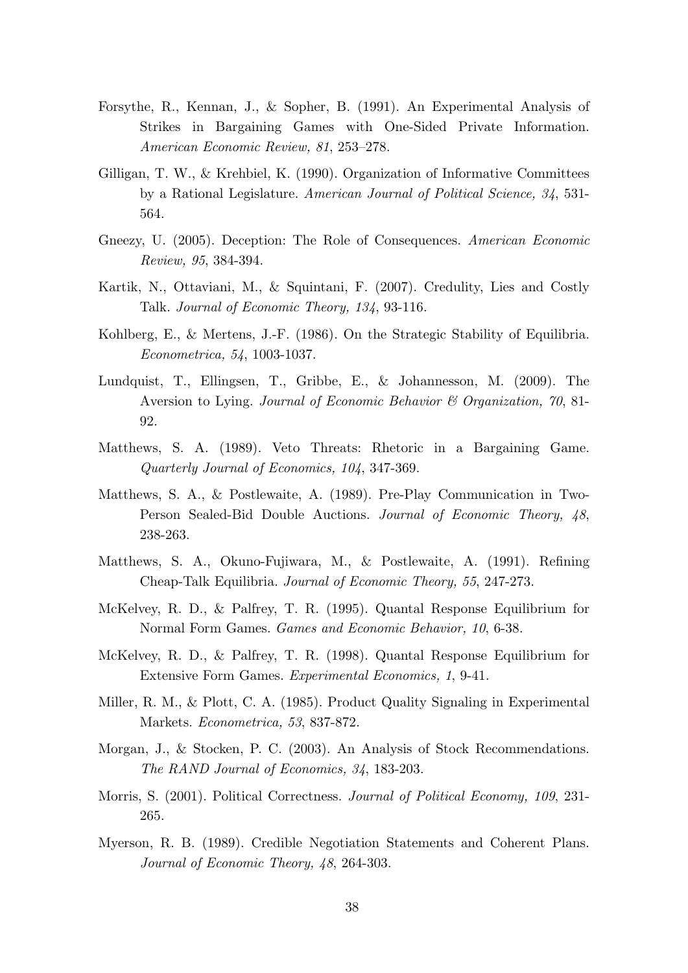- Forsythe, R., Kennan, J., & Sopher, B. (1991). An Experimental Analysis of Strikes in Bargaining Games with One-Sided Private Information. *American Economic Review, 81*, 253–278.
- Gilligan, T. W., & Krehbiel, K. (1990). Organization of Informative Committees by a Rational Legislature. *American Journal of Political Science, 34*, 531- 564.
- Gneezy, U. (2005). Deception: The Role of Consequences. *American Economic Review, 95*, 384-394.
- Kartik, N., Ottaviani, M., & Squintani, F. (2007). Credulity, Lies and Costly Talk. *Journal of Economic Theory, 134*, 93-116.
- Kohlberg, E., & Mertens, J.-F. (1986). On the Strategic Stability of Equilibria. *Econometrica, 54*, 1003-1037.
- Lundquist, T., Ellingsen, T., Gribbe, E., & Johannesson, M. (2009). The Aversion to Lying. *Journal of Economic Behavior & Organization, 70*, 81- 92.
- Matthews, S. A. (1989). Veto Threats: Rhetoric in a Bargaining Game. *Quarterly Journal of Economics, 104*, 347-369.
- Matthews, S. A., & Postlewaite, A. (1989). Pre-Play Communication in Two-Person Sealed-Bid Double Auctions. *Journal of Economic Theory, 48*, 238-263.
- Matthews, S. A., Okuno-Fujiwara, M., & Postlewaite, A. (1991). Refining Cheap-Talk Equilibria. *Journal of Economic Theory, 55*, 247-273.
- McKelvey, R. D., & Palfrey, T. R. (1995). Quantal Response Equilibrium for Normal Form Games. *Games and Economic Behavior, 10*, 6-38.
- McKelvey, R. D., & Palfrey, T. R. (1998). Quantal Response Equilibrium for Extensive Form Games. *Experimental Economics, 1*, 9-41.
- Miller, R. M., & Plott, C. A. (1985). Product Quality Signaling in Experimental Markets. *Econometrica, 53*, 837-872.
- Morgan, J., & Stocken, P. C. (2003). An Analysis of Stock Recommendations. *The RAND Journal of Economics, 34*, 183-203.
- Morris, S. (2001). Political Correctness. *Journal of Political Economy, 109*, 231- 265.
- Myerson, R. B. (1989). Credible Negotiation Statements and Coherent Plans. *Journal of Economic Theory, 48*, 264-303.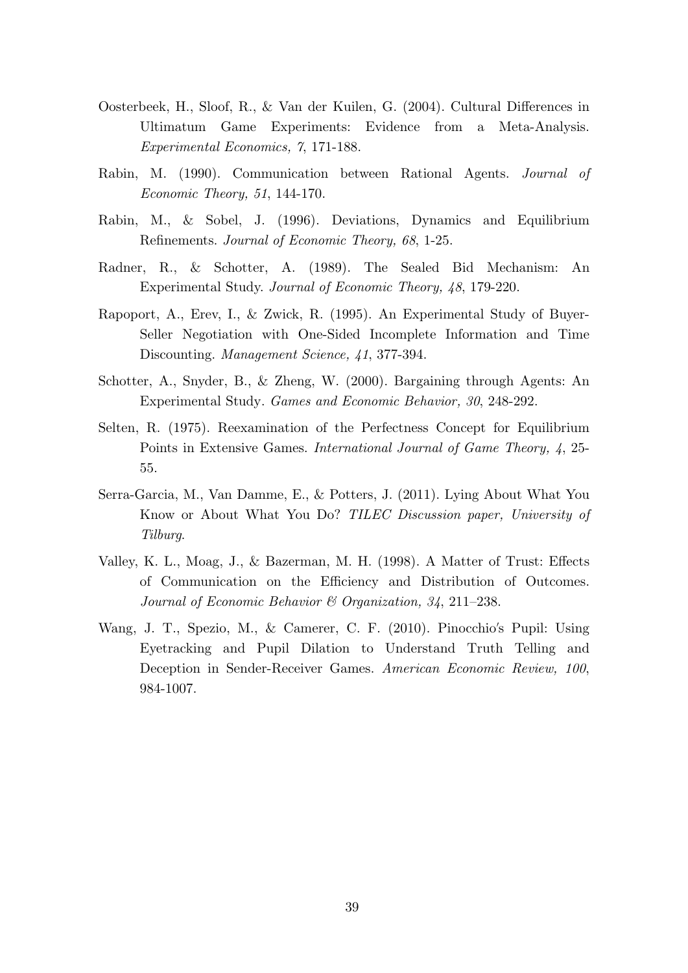- Oosterbeek, H., Sloof, R., & Van der Kuilen, G. (2004). Cultural Differences in Ultimatum Game Experiments: Evidence from a Meta-Analysis. *Experimental Economics, 7*, 171-188.
- Rabin, M. (1990). Communication between Rational Agents. *Journal of Economic Theory, 51*, 144-170.
- Rabin, M., & Sobel, J. (1996). Deviations, Dynamics and Equilibrium Refinements. *Journal of Economic Theory, 68*, 1-25.
- Radner, R., & Schotter, A. (1989). The Sealed Bid Mechanism: An Experimental Study. *Journal of Economic Theory, 48*, 179-220.
- Rapoport, A., Erev, I., & Zwick, R. (1995). An Experimental Study of Buyer-Seller Negotiation with One-Sided Incomplete Information and Time Discounting. *Management Science, 41*, 377-394.
- Schotter, A., Snyder, B., & Zheng, W. (2000). Bargaining through Agents: An Experimental Study. *Games and Economic Behavior, 30*, 248-292.
- Selten, R. (1975). Reexamination of the Perfectness Concept for Equilibrium Points in Extensive Games. *International Journal of Game Theory, 4*, 25- 55.
- Serra-Garcia, M., Van Damme, E., & Potters, J. (2011). Lying About What You Know or About What You Do? *TILEC Discussion paper, University of Tilburg*.
- Valley, K. L., Moag, J., & Bazerman, M. H. (1998). A Matter of Trust: Effects of Communication on the Efficiency and Distribution of Outcomes. *Journal of Economic Behavior & Organization, 34*, 211–238.
- Wang, J. T., Spezio, M., & Camerer, C. F. (2010). Pinocchio's Pupil: Using Eyetracking and Pupil Dilation to Understand Truth Telling and Deception in Sender-Receiver Games. *American Economic Review, 100*, 984-1007.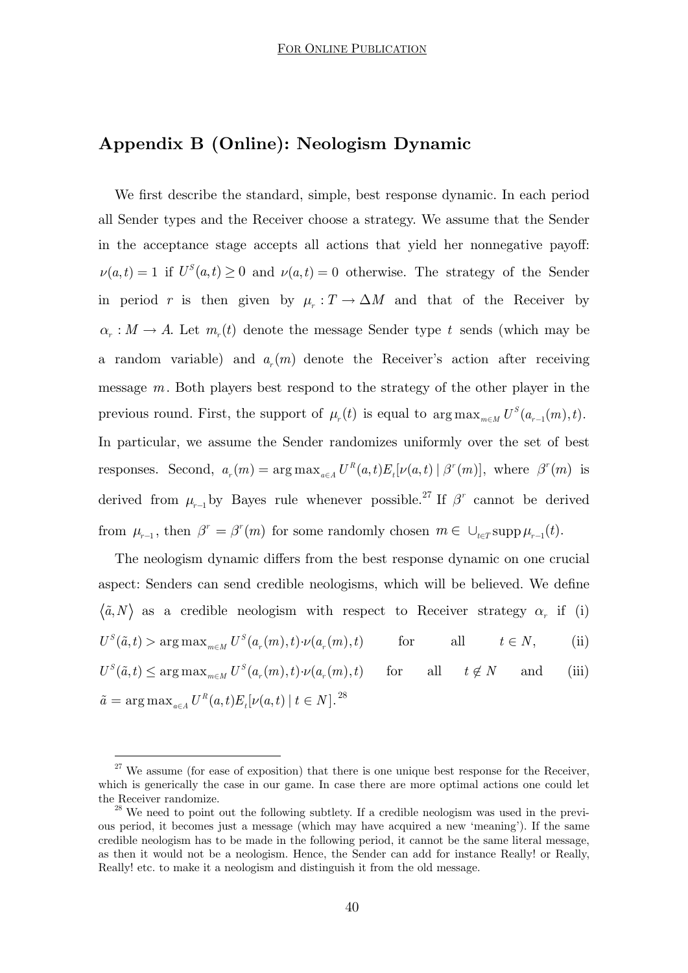## **Appendix B (Online): Neologism Dynamic**

We first describe the standard, simple, best response dynamic. In each period all Sender types and the Receiver choose a strategy. We assume that the Sender in the acceptance stage accepts all actions that yield her nonnegative payoff:  $\nu(a,t) = 1$  if  $U^S(a,t) \geq 0$  and  $\nu(a,t) = 0$  otherwise. The strategy of the Sender in period *r* is then given by  $\mu_r : T \to \Delta M$  and that of the Receiver by  $\alpha_r : M \to A$ . Let  $m_r(t)$  denote the message Sender type *t* sends (which may be a random variable) and  $a_n(m)$  denote the Receiver's action after receiving message *m*. Both players best respond to the strategy of the other player in the previous round. First, the support of  $\mu_r(t)$  is equal to  $\arg \max_{m \in M} U^S(a_{r-1}(m), t)$ . In particular, we assume the Sender randomizes uniformly over the set of best responses. Second,  $a_r(m) = \arg \max_{a \in A} U^R(a,t) E_t[\nu(a,t) | \beta^r(m)],$  where  $\beta^r(m)$  is derived from  $\mu_{r-1}$  by Bayes rule whenever possible.<sup>27</sup> If  $\beta^r$  cannot be derived from  $\mu_{r-1}$ , then  $\beta^r = \beta^r(m)$  for some randomly chosen  $m \in \bigcup_{t \in T} \text{supp} \,\mu_{r-1}(t)$ .

The neologism dynamic differs from the best response dynamic on one crucial aspect: Senders can send credible neologisms, which will be believed. We define  $\langle \tilde{a}, N \rangle$  as a credible neologism with respect to Receiver strategy  $\alpha_r$  if (i)  $U^{S}(\tilde{a}, t) > \arg \max_{m \in M} U^{S}(a_r(m), t) \cdot \nu(a_r(m), t)$  for all  $t \in N$ , (ii)  $U^{S}(\tilde{a}, t) \le \arg \max_{m \in M} U^{S}(a_r(m), t) \cdot \nu(a_r(m), t)$  for all  $t \notin N$  and (iii)  $\tilde{a} = \arg \max_{a \in A} U^R(a, t) E_t[\nu(a, t)] \; t \in N].^{28}$ 

 $27$  We assume (for ease of exposition) that there is one unique best response for the Receiver, which is generically the case in our game. In case there are more optimal actions one could let

the Receiver randomize.  $^{28}$  We need to point out the following subtlety. If a credible neologism was used in the previous period, it becomes just a message (which may have acquired a new 'meaning'). If the same credible neologism has to be made in the following period, it cannot be the same literal message, as then it would not be a neologism. Hence, the Sender can add for instance Really! or Really, Really! etc. to make it a neologism and distinguish it from the old message.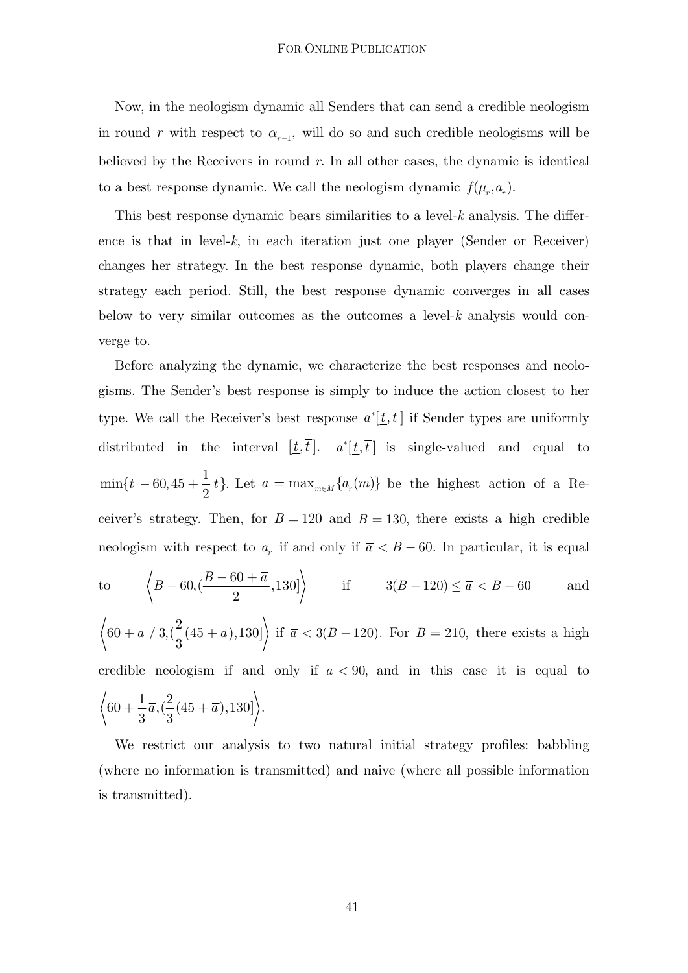Now, in the neologism dynamic all Senders that can send a credible neologism in round  $r$  with respect to  $\alpha_{r-1}$ , will do so and such credible neologisms will be believed by the Receivers in round *r*. In all other cases, the dynamic is identical to a best response dynamic. We call the neologism dynamic  $f(\mu_r, a_r)$ .

This best response dynamic bears similarities to a level-*k* analysis. The difference is that in level-*k*, in each iteration just one player (Sender or Receiver) changes her strategy. In the best response dynamic, both players change their strategy each period. Still, the best response dynamic converges in all cases below to very similar outcomes as the outcomes a level-*k* analysis would converge to.

Before analyzing the dynamic, we characterize the best responses and neologisms. The Sender's best response is simply to induce the action closest to her type. We call the Receiver's best response  $a^*[\underline{t}, \overline{t}]$  if Sender types are uniformly distributed in the interval  $[\underline{t}, \overline{t}]$ .  $a^*[\underline{t}, \overline{t}]$  is single-valued and equal to  $\min{\{\overline{t} - 60, 45 + \frac{1}{2}\underline{t}\}}$ . Let  $\overline{a} = \max_{m \in M} \{a_r(m)\}\$ be the highest action of a Receiver's strategy. Then, for  $B = 120$  and  $B = 130$ , there exists a high credible neologism with respect to  $a_r$  if and only if  $\overline{a} < B - 60$ . In particular, it is equal to  $\left\langle B - 60, \left( \frac{B - 60 + \overline{a}}{2}, 130 \right] \right\rangle$  if  $3(B - 120) \le \overline{a} < B - 60$  and

 $60 + \bar{a} / 3, \left(\frac{2}{3}(45 + \bar{a}),130\right]$  if  $\bar{a} < 3(B - 120)$ . For  $B = 210$ , there exists a high credible neologism if and only if  $\bar{a}$  < 90, and in this case it is equal to  $60 + \frac{1}{3}\overline{a}, (\frac{2}{3}(45 + \overline{a}),130]$ .

We restrict our analysis to two natural initial strategy profiles: babbling (where no information is transmitted) and naive (where all possible information is transmitted).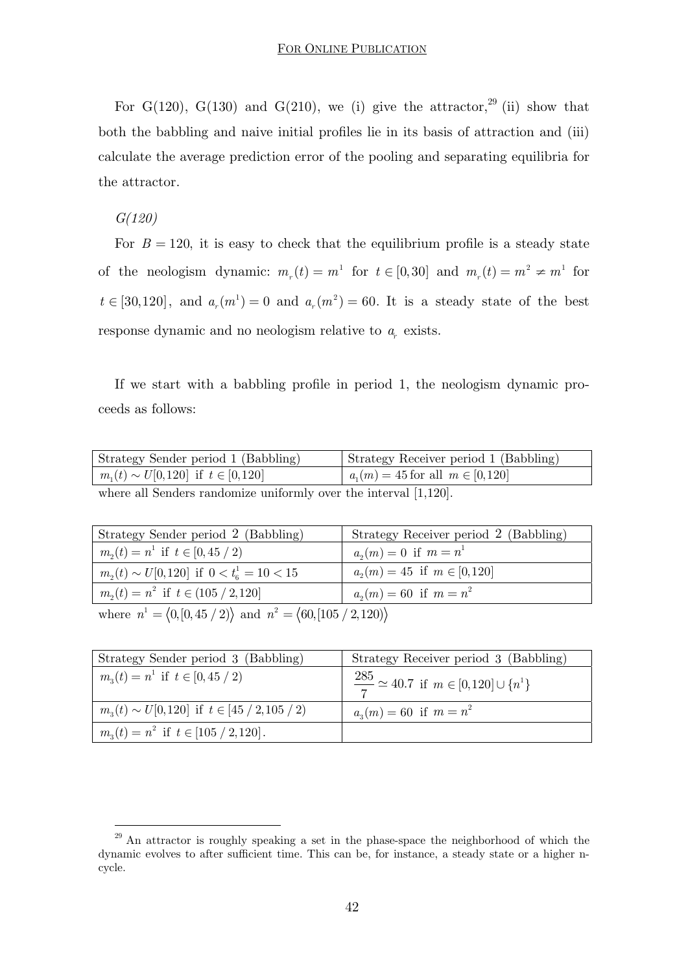For G(120), G(130) and G(210), we (i) give the attractor,<sup>29</sup> (ii) show that both the babbling and naive initial profiles lie in its basis of attraction and (iii) calculate the average prediction error of the pooling and separating equilibria for the attractor.

#### *G(120)*

-

For  $B = 120$ , it is easy to check that the equilibrium profile is a steady state of the neologism dynamic:  $m_r(t) = m^1$  for  $t \in [0,30]$  and  $m_r(t) = m^2 \neq m^1$  for  $t \in [30,120]$ , and  $a_r(m^1) = 0$  and  $a_r(m^2) = 60$ . It is a steady state of the best response dynamic and no neologism relative to  $a<sub>r</sub>$  exists.

If we start with a babbling profile in period 1, the neologism dynamic proceeds as follows:

| Strategy Sender period 1 (Babbling)                                 | Strategy Receiver period 1 (Babbling)  |
|---------------------------------------------------------------------|----------------------------------------|
| $m_1(t) \sim U[0,120]$ if $t \in [0,120]$                           | $a_1(m) = 45$ for all $m \in [0, 120]$ |
| where all Senders randomize uniformly over the interval $[1,120]$ . |                                        |

| Strategy Sender period 2 (Babbling)                             | Strategy Receiver period 2 (Babbling) |  |
|-----------------------------------------------------------------|---------------------------------------|--|
| $m_2(t) = n^1$ if $t \in [0, 45 / 2)$                           | $a_n(m) = 0$ if $m = n^1$             |  |
| $m_2(t) \sim U[0,120]$ if $0 < t_6^1 = 10 < 15$                 | $a_n(m) = 45$ if $m \in [0, 120]$     |  |
| $m_{2}(t) = n^{2}$ if $t \in (105 / 2, 120]$                    | $a_n(m) = 60$ if $m = n^2$            |  |
| where $n^1 = (0, (0, 45 / 2))$ and $n^2 = (60, (105 / 2, 120))$ |                                       |  |

| Strategy Sender period 3 (Babbling)                       | Strategy Receiver period 3 (Babbling)                        |
|-----------------------------------------------------------|--------------------------------------------------------------|
| $m_{\alpha}(t) = n^1$ if $t \in [0, 45 / 2)$              | $\frac{285}{7} \simeq 40.7$ if $m \in [0, 120] \cup \{n^1\}$ |
| $m_{\alpha}(t) \sim U[0,120]$ if $t \in [45 / 2,105 / 2]$ | $a_3(m) = 60$ if $m = n^2$                                   |
| $m_3(t) = n^2$ if $t \in [105 / 2, 120]$ .                |                                                              |

<sup>&</sup>lt;sup>29</sup> An attractor is roughly speaking a set in the phase-space the neighborhood of which the dynamic evolves to after sufficient time. This can be, for instance, a steady state or a higher ncycle.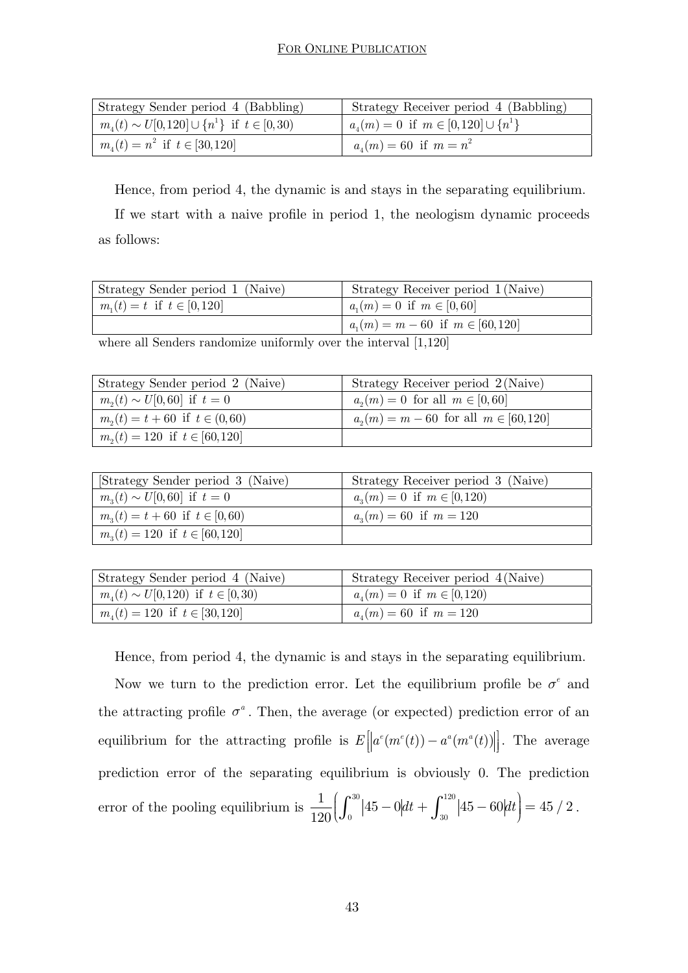| Strategy Sender period 4 (Babbling)                       | Strategy Receiver period 4 (Babbling)            |
|-----------------------------------------------------------|--------------------------------------------------|
| $m_{\mu}(t) \sim U[0,120] \cup \{n^1\}$ if $t \in [0,30)$ | $a_{\mu}(m) = 0$ if $m \in [0,120] \cup \{n^1\}$ |
| $m_4(t) = n^2$ if $t \in [30, 120]$                       | $a_4(m) = 60$ if $m = n^2$                       |

Hence, from period 4, the dynamic is and stays in the separating equilibrium.

If we start with a naive profile in period 1, the neologism dynamic proceeds as follows:

| Strategy Sender period 1 (Naive) | Strategy Receiver period 1 (Naive)     |
|----------------------------------|----------------------------------------|
| $m_1(t) = t$ if $t \in [0, 120]$ | $a_n(m) = 0$ if $m \in [0, 60]$        |
|                                  | $a_1(m) = m - 60$ if $m \in [60, 120]$ |

where all Senders randomize uniformly over the interval [1,120]

| Strategy Sender period 2 (Naive)     | Strategy Receiver period 2 (Naive)          |
|--------------------------------------|---------------------------------------------|
| $m_{2}(t) \sim U[0, 60]$ if $t = 0$  | $a_n(m) = 0$ for all $m \in [0, 60]$        |
| $m_2(t) = t + 60$ if $t \in (0, 60)$ | $a_2(m) = m - 60$ for all $m \in [60, 120]$ |
| $m_2(t) = 120$ if $t \in [60, 120]$  |                                             |

| [Strategy Sender period 3 (Naive)          | Strategy Receiver period 3 (Naive) |
|--------------------------------------------|------------------------------------|
| $m_3(t) \sim U[0, 60]$ if $t = 0$          | $a_n(m) = 0$ if $m \in [0,120)$    |
| $m_{1}(t) = t + 60$ if $t \in [0, 60)$     | $a_n(m) = 60$ if $m = 120$         |
| $m_{\alpha}(t) = 120$ if $t \in [60, 120]$ |                                    |

| Strategy Sender period 4 (Naive)             | Strategy Receiver period 4 (Naive)   |
|----------------------------------------------|--------------------------------------|
| $m_{\mu}(t) \sim U[0,120)$ if $t \in [0,30)$ | $a_{\mu}(m) = 0$ if $m \in [0, 120)$ |
| $m_{\mu}(t) = 120$ if $t \in [30, 120]$      | $a_{\mu}(m) = 60$ if $m = 120$       |

Hence, from period 4, the dynamic is and stays in the separating equilibrium.

Now we turn to the prediction error. Let the equilibrium profile be  $\sigma^e$  and the attracting profile  $\sigma^a$ . Then, the average (or expected) prediction error of an equilibrium for the attracting profile is  $E[|a^e(m^e(t)) - a^a(m^a(t))|]$ . The average prediction error of the separating equilibrium is obviously 0. The prediction error of the pooling equilibrium is  $\frac{1}{100} \int_0^{30} |45-0| dt + \int_0^{120} dt$  $\frac{1}{120}\left(\int_0^{30}\left|45-0\right|dt+\int_{30}^{120}\left|45-60\right|dt\right)=45/2.$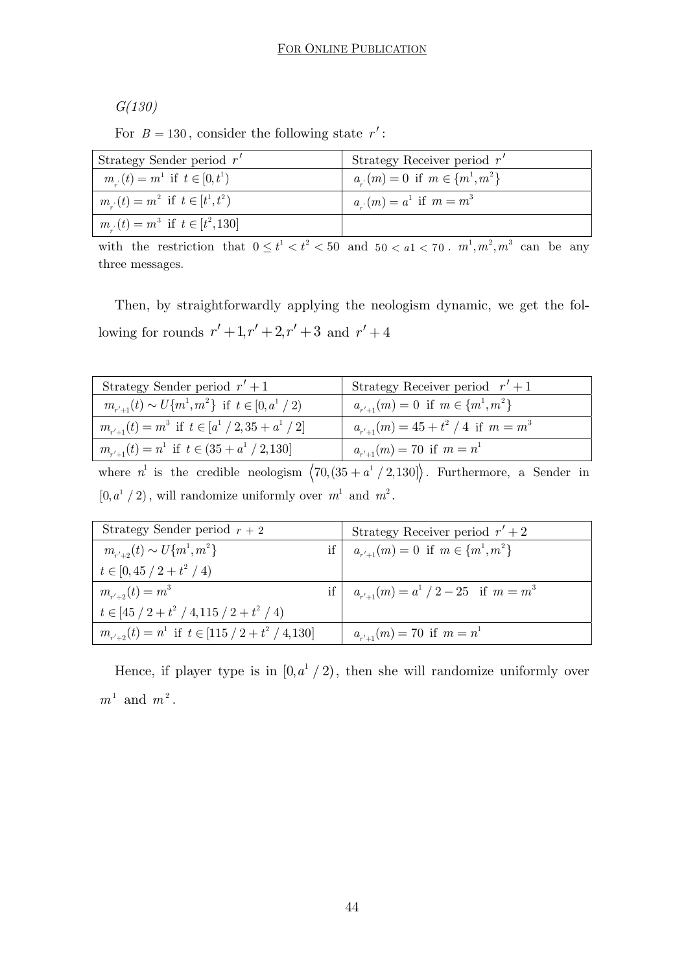*G(130)* 

For  $B = 130$ , consider the following state  $r'$ :

| Strategy Sender period $r'$              | Strategy Receiver period $r'$          |
|------------------------------------------|----------------------------------------|
| $m_{s}(t) = m^{1}$ if $t \in [0, t^{1})$ | $a_{n}(m) = 0$ if $m \in \{m^1, m^2\}$ |
| $m_{u}(t) = m^2$ if $t \in [t^1, t^2)$   | $a_{n'}(m) = a^1$ if $m = m^3$         |
| $m_{s}(t) = m^3$ if $t \in [t^2, 130]$   |                                        |

with the restriction that  $0 \le t^1 < t^2 < 50$  and  $50 < a1 < 70$ .  $m^1, m^2, m^3$  can be any three messages.

Then, by straightforwardly applying the neologism dynamic, we get the following for rounds  $r' + 1, r' + 2, r' + 3$  and  $r' + 4$ 

| Strategy Sender period $r' + 1$                        | Strategy Receiver period $r' + 1$         |
|--------------------------------------------------------|-------------------------------------------|
| $m_{r'+1}(t) \sim U{m^1,m^2}$ if $t \in [0,a^1/2)$     | $a_{r'+1}(m) = 0$ if $m \in \{m^1, m^2\}$ |
| $m_{r'+1}(t) = m^3$ if $t \in [a^1 / 2, 35 + a^1 / 2]$ | $a_{n+1}(m) = 45 + t^2 / 4$ if $m = m^3$  |
| $m_{r'+1}(t) = n^1$ if $t \in (35 + a^1 / 2, 130]$     | $a_{r'+1}(m) = 70$ if $m = n^1$           |

where  $n^1$  is the credible neologism  $\langle 70, (35 + a^1 / 2, 130] \rangle$ . Furthermore, a Sender in  $[0, a^1 / 2)$ , will randomize uniformly over  $m^1$  and  $m^2$ .

| Strategy Sender period $r + 2$                          | Strategy Receiver period $r' + 2$            |
|---------------------------------------------------------|----------------------------------------------|
| $m_{r'+2}(t) \sim U{m^1,m^2}$                           | if $a_{r'+1}(m) = 0$ if $m \in \{m^1, m^2\}$ |
| $t\in[0,45/2+t^2/4)$                                    |                                              |
| $m_{r'+2}(t) = m^3$                                     | if $a_{r'+1}(m) = a^1 / 2 - 25$ if $m = m^3$ |
| $t \in [45 / 2 + t^2 / 4, 115 / 2 + t^2 / 4)$           |                                              |
| $m_{r'+2}(t) = n^1$ if $t \in [115 / 2 + t^2 / 4, 130]$ | $a_{r'+1}(m) = 70$ if $m = n^1$              |

Hence, if player type is in  $[0, a^1 / 2)$ , then she will randomize uniformly over  $m<sup>1</sup>$  and  $m<sup>2</sup>$ .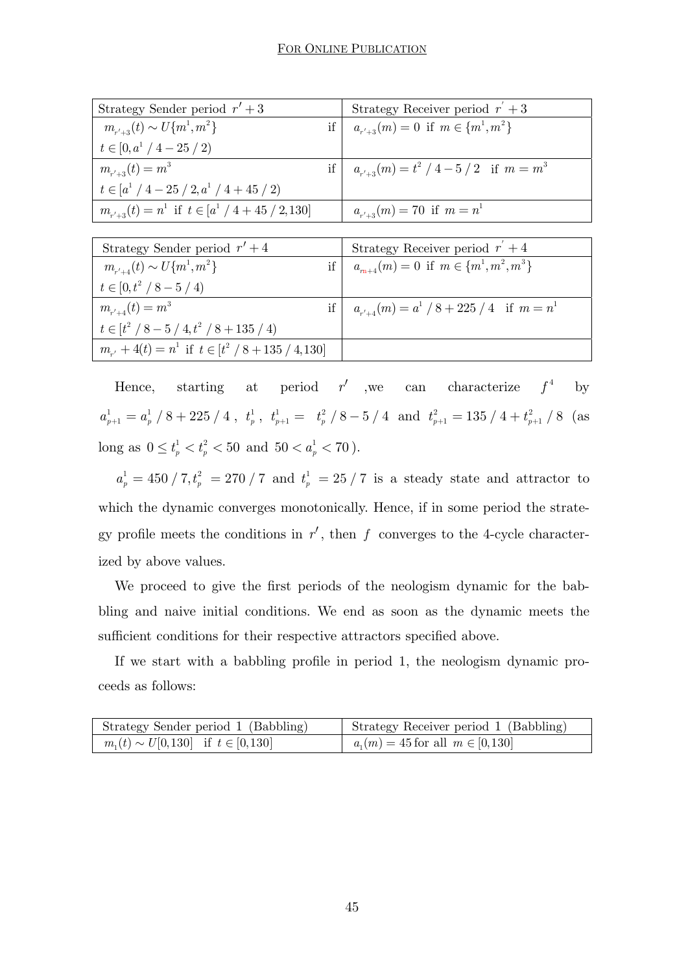| Strategy Sender period $r' + 3$                        | Strategy Receiver period $r' + 3$               |
|--------------------------------------------------------|-------------------------------------------------|
| $m_{r'+3}(t) \sim U{m^1,m^2}$                          | if $a_{r'+3}(m) = 0$ if $m \in \{m^1, m^2\}$    |
| $t \in [0, a^1 / 4 - 25 / 2)$                          |                                                 |
| $m_{r'+3}(t) = m^3$                                    | if $a_{r'+3}(m) = t^2 / 4 - 5 / 2$ if $m = m^3$ |
| $t\in[a^1/4-25/2,a^1/4+45/2)$                          |                                                 |
| $m_{r'+3}(t) = n^1$ if $t \in [a^1 / 4 + 45 / 2, 130]$ | $a_{r'+3}(m) = 70$ if $m = n^1$                 |

| Strategy Sender period $r' + 4$                           | Strategy Receiver period $r' + 4$                 |
|-----------------------------------------------------------|---------------------------------------------------|
| $m_{r'+4}(t) \sim U{m^1,m^2}$                             | if $a_{m+4}(m) = 0$ if $m \in \{m^1, m^2, m^3\}$  |
| $t \in [0, t^2 / 8 - 5 / 4)$                              |                                                   |
| $m_{r'+4}(t) = m^3$                                       | if $a_{r'+4}(m) = a^1 / 8 + 225 / 4$ if $m = n^1$ |
| $t \in [t^2 / 8 - 5 / 4, t^2 / 8 + 135 / 4)$              |                                                   |
| $m_{r'} + 4(t) = n^1$ if $t \in [t^2 / 8 + 135 / 4, 130]$ |                                                   |

Hence, starting at period  $r'$  ,we can characterize  $f^4$  by  $a_{p+1}^1 = a_p^1 / 8 + 225 / 4$ ,  $t_p^1$ ,  $t_{p+1}^1 = t_p^2 / 8 - 5 / 4$  and  $t_{p+1}^2 = 135 / 4 + t_{p+1}^2 / 8$  (as long as  $0 \le t_p^1 < t_p^2 < 50$  and  $50 < a_p^1 < 70$ .

 $a_p^1 = 450 / 7, t_p^2 = 270 / 7$  and  $t_p^1 = 25 / 7$  is a steady state and attractor to which the dynamic converges monotonically. Hence, if in some period the strategy profile meets the conditions in  $r'$ , then  $f$  converges to the 4-cycle characterized by above values.

We proceed to give the first periods of the neologism dynamic for the babbling and naive initial conditions. We end as soon as the dynamic meets the sufficient conditions for their respective attractors specified above.

If we start with a babbling profile in period 1, the neologism dynamic proceeds as follows:

| Strategy Sender period 1 (Babbling)         | Strategy Receiver period 1 (Babbling)  |
|---------------------------------------------|----------------------------------------|
| $m_1(t) \sim U[0, 130]$ if $t \in [0, 130]$ | $a_1(m) = 45$ for all $m \in [0, 130]$ |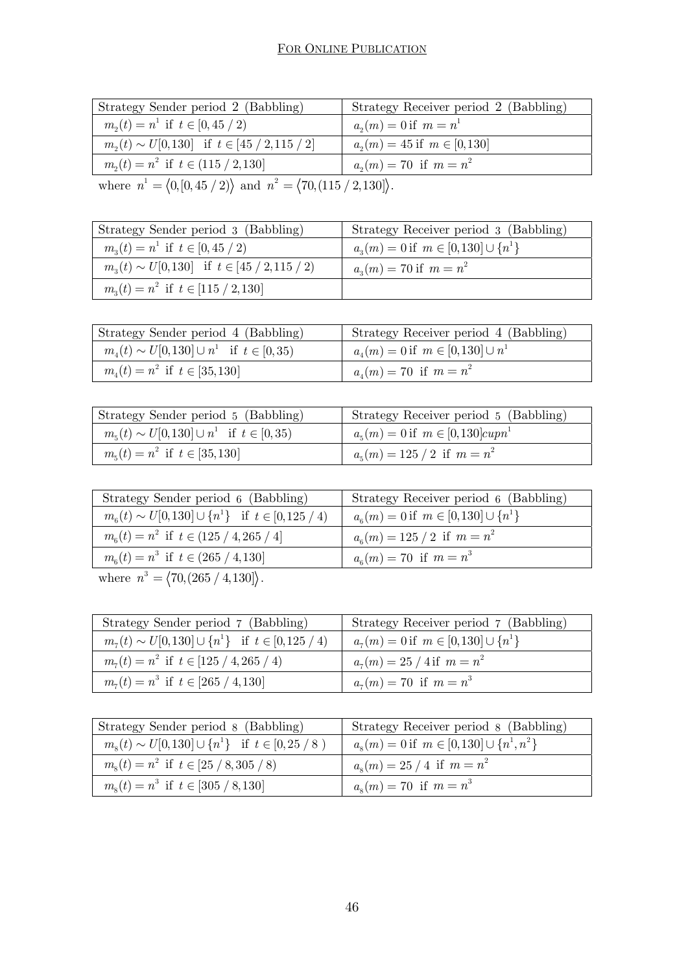| Strategy Sender period 2 (Babbling)                                                           | Strategy Receiver period 2 (Babbling) |
|-----------------------------------------------------------------------------------------------|---------------------------------------|
| $m_2(t) = n^1$ if $t \in [0, 45 / 2)$                                                         | $a_n(m) = 0$ if $m = n^1$             |
| $m_2(t) \sim U[0,130]$ if $t \in [45 / 2, 115 / 2]$                                           | $a_2(m) = 45$ if $m \in [0, 130]$     |
| $m_2(t) = n^2$ if $t \in (115 / 2, 130]$                                                      | $a_n(m) = 70$ if $m = n^2$            |
| where $n^1 = \langle 0, [0, 45 / 2) \rangle$ and $n^2 = \langle 70, (115 / 2, 130) \rangle$ . |                                       |

| Strategy Sender period 3 (Babbling)                   | Strategy Receiver period 3 (Babbling)        |
|-------------------------------------------------------|----------------------------------------------|
| $m_{\alpha}(t) = n^1$ if $t \in [0, 45 / 2)$          | $a_n(m) = 0$ if $m \in [0,130] \cup \{n^1\}$ |
| $m_{3}(t) \sim U[0,130]$ if $t \in [45 / 2, 115 / 2]$ | $a_n(m) = 70$ if $m = n^2$                   |
| $m_{\alpha}(t) = n^2$ if $t \in [115 / 2, 130]$       |                                              |

| Strategy Sender period 4 (Babbling)               | Strategy Receiver period 4 (Babbling)     |
|---------------------------------------------------|-------------------------------------------|
| $m_4(t) \sim U[0,130] \cup n^1$ if $t \in [0,35)$ | $a_4(m) = 0$ if $m \in [0, 130] \cup n^1$ |
| $m_{\nu}(t) = n^2$ if $t \in [35, 130]$           | $a_{\mu}(m) = 70$ if $m = n^2$            |

| Strategy Sender period 5 (Babbling)               | Strategy Receiver period 5 (Babbling)              |
|---------------------------------------------------|----------------------------------------------------|
| $m_5(t) \sim U[0,130] \cup n^1$ if $t \in [0,35)$ | $a_{5}(m) = 0$ if $m \in [0,130] \text{cupp}^{-1}$ |
| $m_{5}(t) = n^{2}$ if $t \in [35, 130]$           | $a_{5}(m) = 125 / 2$ if $m = n^{2}$                |

| Strategy Sender period 6 (Babbling)                               | Strategy Receiver period 6 (Babbling)              |
|-------------------------------------------------------------------|----------------------------------------------------|
| $m_{\epsilon}(t) \sim U[0,130] \cup \{n^1\}$ if $t \in [0,125/4)$ | $a_{6}(m) = 0$ if $m \in [0, 130] \cup \{n^{1}\}\$ |
| $m_e(t) = n^2$ if $t \in (125 / 4, 265 / 4]$                      | $a_{\rm s}(m) = 125 / 2$ if $m = n^2$              |
| $m_{\epsilon}(t) = n^3$ if $t \in (265 / 4, 130]$                 | $a_{\epsilon}(m) = 70$ if $m = n^3$                |
| $1 \t3 \t/70 \t(205 \t1430)$                                      |                                                    |

where  $n^3 = \langle 70, (265 / 4, 130) \rangle$ .

| Strategy Sender period 7 (Babbling)                      | Strategy Receiver period 7 (Babbling)         |
|----------------------------------------------------------|-----------------------------------------------|
| $m_7(t) \sim U[0,130] \cup \{n^1\}$ if $t \in [0,125/4)$ | $a_7(m) = 0$ if $m \in [0, 130] \cup \{n^1\}$ |
| $m_{\tau}(t) = n^2$ if $t \in [125 / 4, 265 / 4)$        | $a_7(m) = 25 / 4$ if $m = n^2$                |
| $m_{\tau}(t) = n^3$ if $t \in [265 / 4, 130]$            | $a_{7}(m) = 70$ if $m = n^{3}$                |

| Strategy Sender period 8 (Babbling)                     | Strategy Receiver period 8 (Babbling)                     |
|---------------------------------------------------------|-----------------------------------------------------------|
| $m_s(t) \sim U[0,130] \cup \{n^1\}$ if $t \in [0,25/8)$ | $a_{s}(m) = 0$ if $m \in [0, 130] \cup \{n^{1}, n^{2}\}\$ |
| $m_s(t) = n^2$ if $t \in [25 / 8, 305 / 8]$             | $a_s(m) = 25/4$ if $m = n^2$                              |
| $m_s(t) = n^3$ if $t \in [305 / 8, 130]$                | $a_s(m) = 70$ if $m = n^3$                                |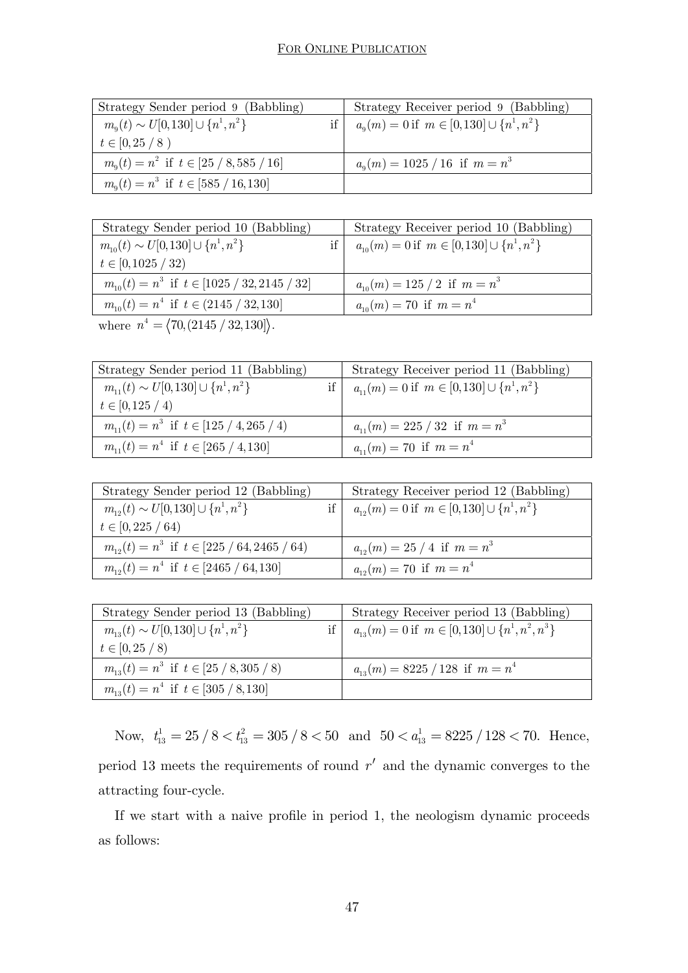| Strategy Sender period 9 (Babbling)                | Strategy Receiver period 9 (Babbling)                    |
|----------------------------------------------------|----------------------------------------------------------|
| $m_{\rm o}(t) \sim U[0,130] \cup \{n^1,n^2\}$      | $a_{\rm q}(m) = 0$ if $m \in [0, 130] \cup \{n^1, n^2\}$ |
| $t \in [0, 25 / 8)$                                |                                                          |
| $m_{\rm o}(t) = n^2$ if $t \in [25 / 8, 585 / 16]$ | $a_{\rm q}(m) = 1025 / 16$ if $m = n^3$                  |
| $m_{\rm o}(t) = n^3$ if $t \in [585 / 16, 130]$    |                                                          |

| Strategy Sender period 10 (Babbling)                 |    | Strategy Receiver period 10 (Babbling)                |
|------------------------------------------------------|----|-------------------------------------------------------|
| $m_{10}(t) \sim U[0,130] \cup \{n^1,n^2\}$           | if | $a_{10}(m) = 0$ if $m \in [0, 130] \cup \{n^1, n^2\}$ |
| $t \in [0, 1025 / 32)$                               |    |                                                       |
| $m_{10}(t) = n^3$ if $t \in [1025 / 32, 2145 / 32]$  |    | $a_{10}(m) = 125 / 2$ if $m = n^3$                    |
| $m_{10}(t) = n^4$ if $t \in (2145 / 32, 130]$        |    | $a_{10}(m) = 70$ if $m = n^4$                         |
| where $n^4 = \langle 70, (2145 / 32, 130) \rangle$ . |    |                                                       |

| Strategy Sender period 11 (Babbling)            | Strategy Receiver period 11 (Babbling)                |
|-------------------------------------------------|-------------------------------------------------------|
| $m_{11}(t) \sim U[0,130] \cup \{n^1,n^2\}$      | $a_{11}(m) = 0$ if $m \in [0, 130] \cup \{n^1, n^2\}$ |
| $t \in [0, 125 / 4)$                            |                                                       |
| $m_{11}(t) = n^3$ if $t \in [125 / 4, 265 / 4]$ | $a_{11}(m) = 225 / 32$ if $m = n^3$                   |
| $m_{11}(t) = n^4$ if $t \in [265 / 4, 130]$     | $a_{11}(m) = 70$ if $m = n^4$                         |

| Strategy Sender period 12 (Babbling)               | Strategy Receiver period 12 (Babbling)                |
|----------------------------------------------------|-------------------------------------------------------|
| $m_{12}(t) \sim U[0,130] \cup \{n^1,n^2\}$         | $a_{12}(m) = 0$ if $m \in [0, 130] \cup \{n^1, n^2\}$ |
| $t \in [0, 225 / 64)$                              |                                                       |
| $m_{12}(t) = n^3$ if $t \in [225 / 64, 2465 / 64)$ | $a_{12}(m) = 25 / 4$ if $m = n^3$                     |
| $m_{12}(t) = n^4$ if $t \in [2465 / 64, 130]$      | $a_{12}(m) = 70$ if $m = n^4$                         |

| Strategy Sender period 13 (Babbling)           | Strategy Receiver period 13 (Babbling)                     |
|------------------------------------------------|------------------------------------------------------------|
| $m_{13}(t) \sim U[0,130] \cup \{n^1,n^2\}$     | $a_{13}(m) = 0$ if $m \in [0, 130] \cup \{n^1, n^2, n^3\}$ |
| $t \in [0, 25 / 8)$                            |                                                            |
| $m_{13}(t) = n^3$ if $t \in [25 / 8, 305 / 8]$ | $a_{13}(m) = 8225 / 128$ if $m = n^4$                      |
| $m_{13}(t) = n^4$ if $t \in [305/8, 130]$      |                                                            |

Now,  $t_{13}^1 = 25 / 8 < t_{13}^2 = 305 / 8 < 50$  and  $50 < a_{13}^1 = 8225 / 128 < 70$ . Hence, period 13 meets the requirements of round  $r'$  and the dynamic converges to the attracting four-cycle.

If we start with a naive profile in period 1, the neologism dynamic proceeds as follows: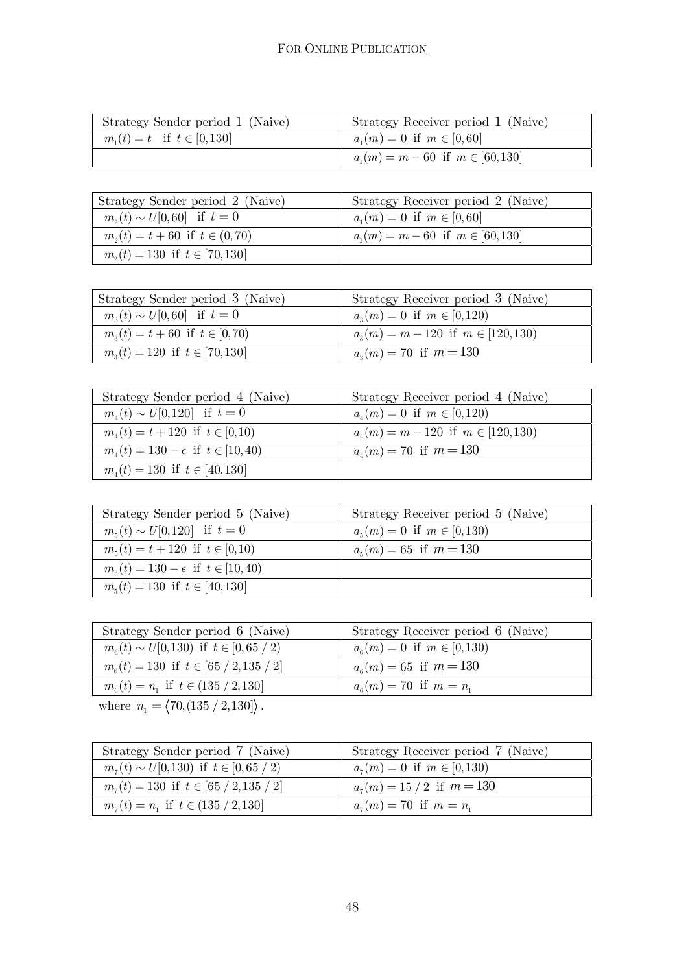| Strategy Sender period 1 (Naive) | Strategy Receiver period 1 (Naive)     |
|----------------------------------|----------------------------------------|
| $m_1(t) = t$ if $t \in [0, 130]$ | $a_n(m) = 0$ if $m \in [0, 60]$        |
|                                  | $a_1(m) = m - 60$ if $m \in [60, 130]$ |

| Strategy Sender period 2 (Naive)      | Strategy Receiver period 2 (Naive)     |
|---------------------------------------|----------------------------------------|
| $m_2(t) \sim U[0, 60]$ if $t = 0$     | $a_1(m) = 0$ if $m \in [0, 60]$        |
| $m_2(t) = t + 60$ if $t \in (0, 70)$  | $a_1(m) = m - 60$ if $m \in [60, 130]$ |
| $m_{2}(t) = 130$ if $t \in [70, 130]$ |                                        |

| Strategy Sender period 3 (Naive)       | Strategy Receiver period 3 (Naive)       |
|----------------------------------------|------------------------------------------|
| $m_{1}(t) \sim U[0, 60]$ if $t = 0$    | $a_n(m) = 0$ if $m \in [0,120)$          |
| $m_{3}(t) = t + 60$ if $t \in [0, 70)$ | $a_n(m) = m - 120$ if $m \in [120, 130)$ |
| $m_{3}(t) = 120$ if $t \in [70, 130]$  | $a_n(m) = 70$ if $m = 130$               |

| Strategy Sender period 4 (Naive)              | Strategy Receiver period 4 (Naive)           |
|-----------------------------------------------|----------------------------------------------|
| $m_{\mu}(t) \sim U[0,120]$ if $t=0$           | $a_{\mu}(m) = 0$ if $m \in [0,120)$          |
| $m_{\lambda}(t) = t + 120$ if $t \in [0, 10)$ | $a_{\mu}(m) = m - 120$ if $m \in [120, 130)$ |
| $m_4(t) = 130 - \epsilon$ if $t \in [10, 40)$ | $a_{\ell}(m) = 70$ if $m = 130$              |
| $m_{\mu}(t) = 130$ if $t \in [40, 130]$       |                                              |

| Strategy Sender period 5 (Naive)                | Strategy Receiver period 5 (Naive) |
|-------------------------------------------------|------------------------------------|
| $m_{5}(t) \sim U[0,120]$ if $t=0$               | $a_{5}(m) = 0$ if $m \in [0,130)$  |
| $m_{5}(t) = t + 120$ if $t \in [0,10)$          | $a_{5}(m) = 65$ if $m = 130$       |
| $m_{5}(t) = 130 - \epsilon$ if $t \in [10, 40)$ |                                    |
| $m_{5}(t) = 130$ if $t \in [40, 130]$           |                                    |

| Strategy Sender period 6 (Naive)                  | Strategy Receiver period 6 (Naive)        |
|---------------------------------------------------|-------------------------------------------|
| $m_{\rm s}(t) \sim U[0,130)$ if $t \in [0,65/2)$  | $a_{\epsilon}(m) = 0$ if $m \in [0, 130)$ |
| $m_{\rm s}(t) = 130$ if $t \in [65 / 2, 135 / 2]$ | $a_{\rm s}(m) = 65$ if $m = 130$          |
| $m_{6}(t) = n_{1}$ if $t \in (135 / 2, 130]$      | $a_{6}(m) = 70$ if $m = n_{1}$            |
|                                                   |                                           |

where  $n_1 = \langle 70, (135 / 2, 130) \rangle$ .

| Strategy Sender period 7 (Naive)                 | Strategy Receiver period 7 (Naive)    |
|--------------------------------------------------|---------------------------------------|
| $m_{\tau}(t) \sim U[0,130)$ if $t \in [0,65/2)$  | $a_{\tau}(m) = 0$ if $m \in [0, 130)$ |
| $m_{\tau}(t) = 130$ if $t \in [65 / 2, 135 / 2]$ | $a_{7}(m) = 15/2$ if $m = 130$        |
| $m_{7}(t) = n_{1}$ if $t \in (135 / 2, 130]$     | $a_7(m) = 70$ if $m = n_1$            |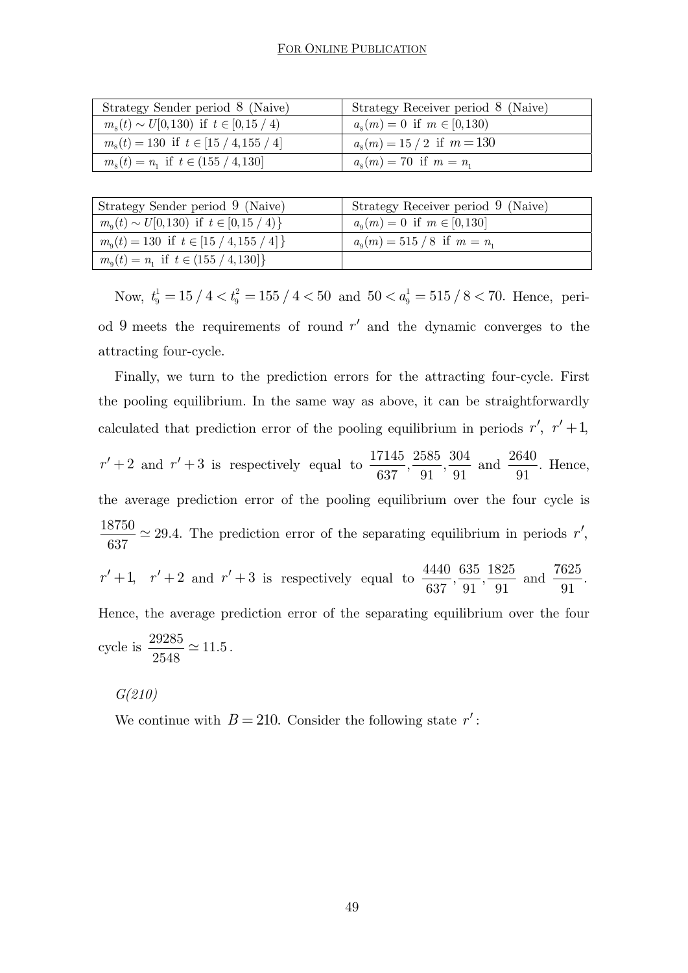| Strategy Sender period 8 (Naive)                     | Strategy Receiver period 8 (Naive) |
|------------------------------------------------------|------------------------------------|
| $m_s(t) \sim U[0,130)$ if $t \in [0,15/4)$           | $a_s(m) = 0$ if $m \in [0, 130)$   |
| $m_s(t) = 130$ if $t \in [15 / 4, 155 / 4]$          | $a_s(m) = 15 / 2$ if $m = 130$     |
| $m_{\rm s}(t) = n_{\rm i}$ if $t \in (155 / 4, 130]$ | $a_{s}(m) = 70$ if $m = n_{1}$     |

| Strategy Sender period 9 (Naive)                  | Strategy Receiver period 9 (Naive)  |
|---------------------------------------------------|-------------------------------------|
| $m_{\rm o}(t) \sim U[0,130)$ if $t \in [0,15/4)$  | $a_{0}(m) = 0$ if $m \in [0,130]$   |
| $m_{\rm o}(t) = 130$ if $t \in [15 / 4, 155 / 4]$ | $a_{0}(m) = 515 / 8$ if $m = n_{1}$ |
| $m_{\rm o}(t) = n_1$ if $t \in (155 / 4, 130]$    |                                     |

Now,  $t_9^1 = 15 / 4 < t_9^2 = 155 / 4 < 50$  and  $50 < a_9^1 = 515 / 8 < 70$ . Hence, period 9 meets the requirements of round  $r'$  and the dynamic converges to the attracting four-cycle.

Finally, we turn to the prediction errors for the attracting four-cycle. First the pooling equilibrium. In the same way as above, it can be straightforwardly calculated that prediction error of the pooling equilibrium in periods  $r'$ ,  $r' + 1$ ,  $r' + 2$  and  $r' + 3$  is respectively equal to  $\frac{17145}{637}, \frac{2585}{91}, \frac{304}{91}$  and  $\frac{2640}{91}$ . Hence, the average prediction error of the pooling equilibrium over the four cycle is  $\frac{18750}{1825} \simeq 29.4.$ 637  $\simeq$  29.4. The prediction error of the separating equilibrium in periods  $r'$ ,  $r' + 1$ ,  $r' + 2$  and  $r' + 3$  is respectively equal to  $\frac{4440}{637}, \frac{635}{91}, \frac{1825}{91}$  and  $\frac{7625}{91}$ . Hence, the average prediction error of the separating equilibrium over the four cycle is  $\frac{29285}{2540} \simeq 11.5$ 2548  $\simeq$  11.5.

*G(210)* 

We continue with  $B = 210$ . Consider the following state  $r'$ :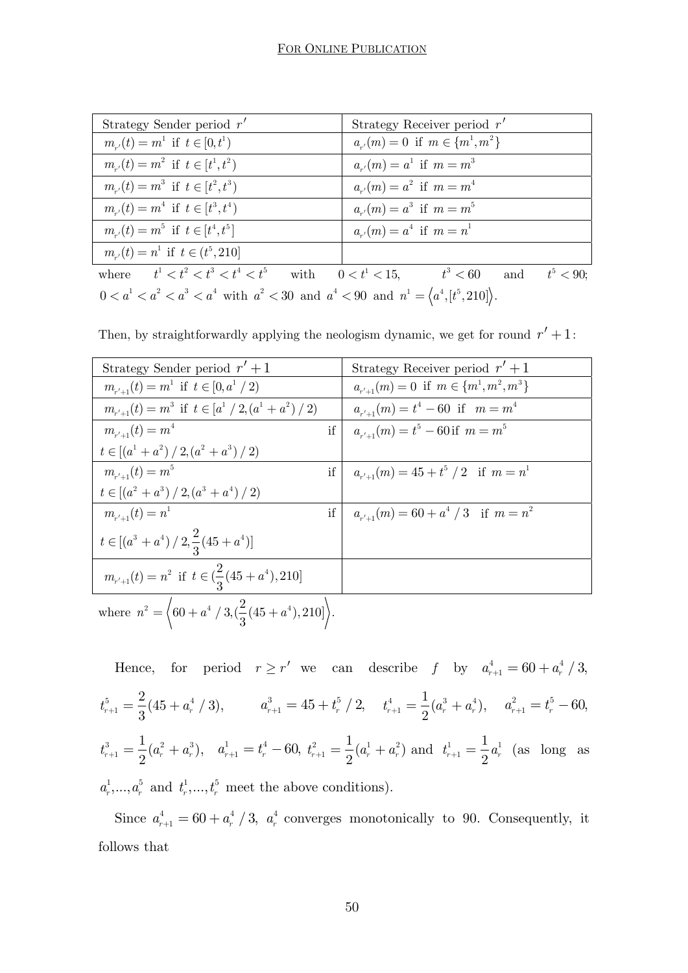| Strategy Sender period $r'$                                                                     | Strategy Receiver period $r'$                                                         |
|-------------------------------------------------------------------------------------------------|---------------------------------------------------------------------------------------|
| $m_{n'}(t) = m^1$ if $t \in [0, t^1)$                                                           | $a_{n'}(m) = 0$ if $m \in \{m^1, m^2\}$                                               |
| $m_{n'}(t) = m^2$ if $t \in [t^1, t^2)$                                                         | $a_{n'}(m) = a^1$ if $m = m^3$                                                        |
| $m_{r}(t) = m^3$ if $t \in [t^2, t^3)$                                                          | $a_{n'}(m) = a^2$ if $m = m^4$                                                        |
| $m_{n'}(t) = m^4$ if $t \in [t^3, t^4)$                                                         | $a_{n'}(m) = a^3$ if $m = m^5$                                                        |
| $m_{n'}(t) = m^5$ if $t \in [t^4, t^5]$                                                         | $a_{n'}(m) = a^4$ if $m = n^1$                                                        |
| $m_{r}(t) = n^1$ if $t \in (t^5, 210]$                                                          |                                                                                       |
|                                                                                                 | where $t^1 < t^2 < t^3 < t^4 < t^5$ with $0 < t^1 < 15$ , $t^3 < 60$ and $t^5 < 90$ ; |
| $0 < a1 < a2 < a3 < a4$ with $a2 < 30$ and $a4 < 90$ and $n1 = \langle a4, [t5, 210] \rangle$ . |                                                                                       |

Then, by straightforwardly applying the neologism dynamic, we get for round  $r' + 1$ :

| Strategy Sender period $r' + 1$                                                    |    | Strategy Receiver period $r' + 1$              |
|------------------------------------------------------------------------------------|----|------------------------------------------------|
| $m_{r'+1}(t) = m^1$ if $t \in [0, a^1 / 2)$                                        |    | $a_{r'+1}(m) = 0$ if $m \in \{m^1, m^2, m^3\}$ |
| $m_{r'+1}(t) = m^3$ if $t \in [a^1/2, (a^1 + a^2)/2)$                              |    | $a_{r'+1}(m) = t^4 - 60$ if $m = m^4$          |
| $m_{r'+1}(t) = m^4$                                                                | if | $a_{r'+1}(m) = t^5 - 60$ if $m = m^5$          |
| $t \in [(a^1 + a^2)/2,(a^2 + a^3)/2)$                                              |    |                                                |
| $m_{n'+1}(t) = m^5$                                                                | if | $a_{r'+1}(m) = 45 + t^5 / 2$ if $m = n^1$      |
| $t \in [(a^{2} + a^{3}) / 2, (a^{3} + a^{4}) / 2)$                                 |    |                                                |
| $m_{n'+1}(t) = n^1$                                                                | if | $a_{r'+1}(m) = 60 + a^4 / 3$ if $m = n^2$      |
| $t \in [(a^3 + a^4) / 2, \frac{2}{3} (45 + a^4)]$                                  |    |                                                |
| $m_{r'+1}(t) = n^2$ if $t \in (\frac{2}{3}(45 + a^4), 210]$                        |    |                                                |
| where $n^2 = \left(60 + a^4 / 3, \left(\frac{2}{3}(45 + a^4), 210\right)\right)$ . |    |                                                |

Hence, for period  $r \ge r'$  we can describe f by  $a_{r+1}^4 = 60 + a_r^4 / 3$ ,  $5 - 4(15 + 3^4)$  $t_{r+1}^5 = \frac{2}{3}(45 + a_r^4 / 3),$   $a_{r+1}^3 = 45 + t_r^5 / 2,$   $t_{r+1}^4 = \frac{1}{2}(a_r^3 + a_r^4),$   $a_{r+1}^2 = t_r^5 - 60,$  $\frac{3}{2} \left( \frac{1}{2} \right) \frac{3}{2}$  $t_{r+1}^3 = \frac{1}{2}(a_r^2 + a_r^3), \quad a_{r+1}^1 = t_r^4 - 60, \; t_{r+1}^2 = \frac{1}{2}(a_r^1 + a_r^2) \; \text{and} \; \; t_{r+1}^1 = \frac{1}{2}a_r^1$  $t_{r+1}^1 = \frac{1}{2} a_r^1$  (as long as  $a_r^1, \ldots, a_r^5$  and  $t_r^1, \ldots, t_r^5$  meet the above conditions).

Since  $a_{r+1}^4 = 60 + a_r^4 / 3$ ,  $a_r^4$  converges monotonically to 90. Consequently, it follows that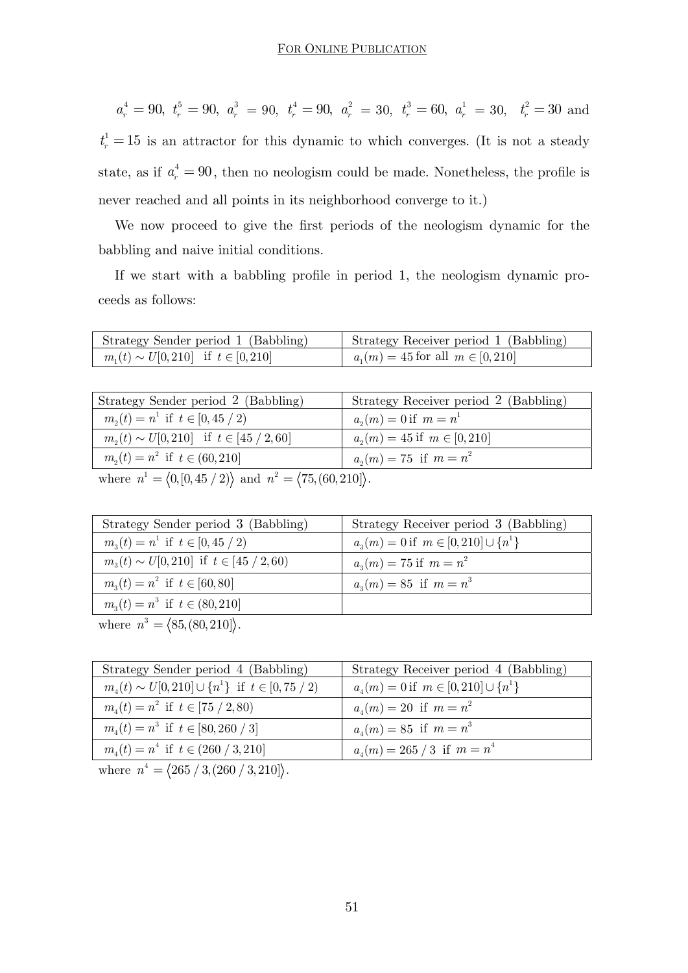$a_r^4 = 90, t_r^5 = 90, a_r^3 = 90, t_r^4 = 90, a_r^2 = 30, t_r^3 = 60, a_r^1 = 30, t_r^2 = 30$  and  $t_r^1 = 15$  is an attractor for this dynamic to which converges. (It is not a steady state, as if  $a_r^4 = 90$ , then no neologism could be made. Nonetheless, the profile is never reached and all points in its neighborhood converge to it.)

We now proceed to give the first periods of the neologism dynamic for the babbling and naive initial conditions.

If we start with a babbling profile in period 1, the neologism dynamic proceeds as follows:

| Strategy Sender period 1 (Babbling)         | Strategy Receiver period 1 (Babbling)  |
|---------------------------------------------|----------------------------------------|
| $m_1(t) \sim U[0, 210]$ if $t \in [0, 210]$ | $a_1(m) = 45$ for all $m \in [0, 210]$ |

| Strategy Sender period 2 (Babbling)                                                      | Strategy Receiver period 2 (Babbling) |
|------------------------------------------------------------------------------------------|---------------------------------------|
| $m_2(t) = n^1$ if $t \in [0, 45 / 2)$                                                    | $a_n(m) = 0$ if $m = n^1$             |
| $m_2(t) \sim U[0, 210]$ if $t \in [45 / 2, 60]$                                          | $a_2(m) = 45$ if $m \in [0, 210]$     |
| $m_2(t) = n^2$ if $t \in (60, 210]$                                                      | $a_2(m) = 75$ if $m = n^2$            |
| where $n^1 = \langle 0, [0, 45 / 2) \rangle$ and $n^2 = \langle 75, (60, 210) \rangle$ . |                                       |

| Strategy Sender period 3 (Babbling)                    | Strategy Receiver period 3 (Babbling)         |
|--------------------------------------------------------|-----------------------------------------------|
| $m_{\alpha}(t) = n^1$ if $t \in [0, 45 / 2)$           | $a_n(m) = 0$ if $m \in [0, 210] \cup \{n^1\}$ |
| $m_{\alpha}(t) \sim U[0, 210]$ if $t \in [45 / 2, 60)$ | $a_n(m) = 75$ if $m = n^2$                    |
| $m_{3}(t) = n^{2}$ if $t \in [60, 80]$                 | $a_n(m) = 85$ if $m = n^3$                    |
| $m_3(t) = n^3$ if $t \in (80, 210]$                    |                                               |
|                                                        |                                               |

where  $n^3 = \langle 85, (80, 210) \rangle$ .

| Strategy Sender period 4 (Babbling)                         | Strategy Receiver period 4 (Babbling)         |
|-------------------------------------------------------------|-----------------------------------------------|
| $m_4(t) \sim U[0, 210] \cup \{n^1\}$ if $t \in [0, 75 / 2)$ | $a_4(m) = 0$ if $m \in [0, 210] \cup \{n^1\}$ |
| $m_{\nu}(t) = n^2$ if $t \in [75 / 2, 80)$                  | $a_{\mu}(m) = 20$ if $m = n^2$                |
| $m_{\mu}(t) = n^3$ if $t \in [80, 260 / 3]$                 | $a_{\mu}(m) = 85$ if $m = n^3$                |
| $m_{\mu}(t) = n^4$ if $t \in (260 / 3, 210]$                | $a_4(m) = 265 / 3$ if $m = n^4$               |

where  $n^4 = \langle 265 / 3, (260 / 3, 210] \rangle$ .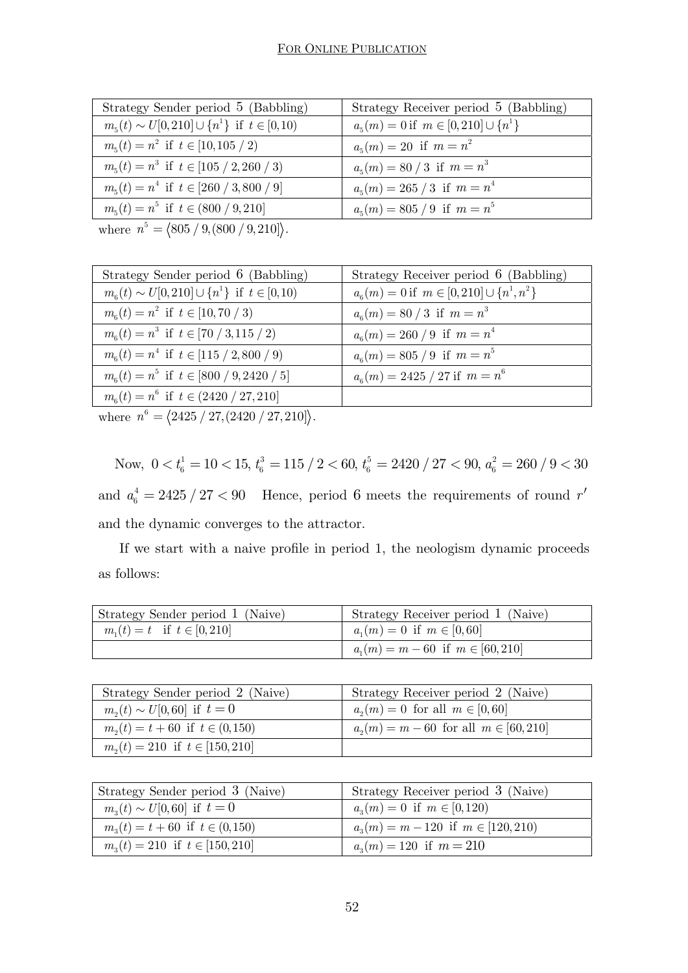| Strategy Sender period 5 (Babbling)                                                                        | Strategy Receiver period 5 (Babbling)              |
|------------------------------------------------------------------------------------------------------------|----------------------------------------------------|
| $m_5(t) \sim U[0, 210] \cup \{n^1\}$ if $t \in [0, 10)$                                                    | $a_{5}(m) = 0$ if $m \in [0, 210] \cup \{n^{1}\}\$ |
| $m_5(t) = n^2$ if $t \in [10, 105 / 2)$                                                                    | $a_{\epsilon}(m) = 20$ if $m = n^2$                |
| $m_{5}(t) = n^{3}$ if $t \in [105 / 2, 260 / 3]$                                                           | $a_5(m) = 80 / 3$ if $m = n^3$                     |
| $m_5(t) = n^4$ if $t \in [260 / 3,800 / 9]$                                                                | $a_5(m) = 265 / 3$ if $m = n^4$                    |
| $m_{5}(t) = n^{5}$ if $t \in (800 / 9, 210]$                                                               | $a_{5}(m) = 805 / 9$ if $m = n^{5}$                |
| $\frac{5}{2}$ $\frac{5}{2}$ $\frac{1004}{2}$ $\frac{10}{2}$ $\frac{000}{2}$ $\frac{10}{2}$ $\frac{000}{2}$ |                                                    |

where  $n^5 = \langle 805 / 9, (800 / 9, 210] \rangle$ .

| Strategy Sender period 6 (Babbling)                                                                                           | Strategy Receiver period 6 (Babbling)                     |
|-------------------------------------------------------------------------------------------------------------------------------|-----------------------------------------------------------|
| $m_{\rm s}(t) \sim U[0, 210] \cup \{n^1\}$ if $t \in [0, 10)$                                                                 | $a_{6}(m) = 0$ if $m \in [0, 210] \cup \{n^{1}, n^{2}\}\$ |
| $m_{\rm s}(t) = n^2$ if $t \in [10, 70 / 3)$                                                                                  | $a_{\rm s}(m) = 80 / 3$ if $m = n^3$                      |
| $m_{\rm s}(t) = n^3$ if $t \in [70 / 3, 115 / 2)$                                                                             | $a_{6}(m) = 260 / 9$ if $m = n^{4}$                       |
| $m_{6}(t) = n^{4}$ if $t \in [115 / 2,800 / 9)$                                                                               | $a_{6}(m) = 805 / 9$ if $m = n^{5}$                       |
| $m_{\rm s}(t) = n^5$ if $t \in [800 / 9, 2420 / 5]$                                                                           | $a_6(m) = 2425 / 27$ if $m = n^6$                         |
| $m_{6}(t) = n^{6}$ if $t \in (2420 / 27,210]$                                                                                 |                                                           |
| $\mathcal{C}$ and $\mathcal{C}$ and $\mathcal{C}$ are the set of $\mathcal{C}$ and $\mathcal{C}$ are the set of $\mathcal{C}$ |                                                           |

where  $n^6 = \langle 2425 / 27, (2420 / 27, 210) \rangle$ .

Now,  $0 < t_6^1 = 10 < 15$ ,  $t_6^3 = 115 / 2 < 60$ ,  $t_6^5 = 2420 / 27 < 90$ ,  $a_6^2 = 260 / 9 < 30$ and  $a_6^4 = 2425 / 27 < 90$  Hence, period 6 meets the requirements of round  $r'$ and the dynamic converges to the attractor.

 If we start with a naive profile in period 1, the neologism dynamic proceeds as follows:

| Strategy Sender period 1 (Naive) | Strategy Receiver period 1 (Naive)     |
|----------------------------------|----------------------------------------|
| $m_1(t) = t$ if $t \in [0, 210]$ | $a_n(m) = 0$ if $m \in [0, 60]$        |
|                                  | $a_1(m) = m - 60$ if $m \in [60, 210]$ |

| Strategy Sender period 2 (Naive)         | Strategy Receiver period 2 (Naive)            |
|------------------------------------------|-----------------------------------------------|
| $m_2(t) \sim U[0, 60]$ if $t = 0$        | $a_2(m) = 0$ for all $m \in [0, 60]$          |
| $m_{2}(t) = t + 60$ if $t \in (0, 150)$  | $a_{2}(m) = m - 60$ for all $m \in [60, 210]$ |
| $m_{\nu}(t) = 210$ if $t \in [150, 210]$ |                                               |

| Strategy Sender period 3 (Naive)        | Strategy Receiver period 3 (Naive)       |
|-----------------------------------------|------------------------------------------|
| $m_{3}(t) \sim U[0, 60]$ if $t = 0$     | $a_n(m) = 0$ if $m \in [0,120)$          |
| $m_{1}(t) = t + 60$ if $t \in (0, 150)$ | $a_n(m) = m - 120$ if $m \in [120, 210)$ |
| $m_s(t) = 210$ if $t \in [150, 210]$    | $a_n(m) = 120$ if $m = 210$              |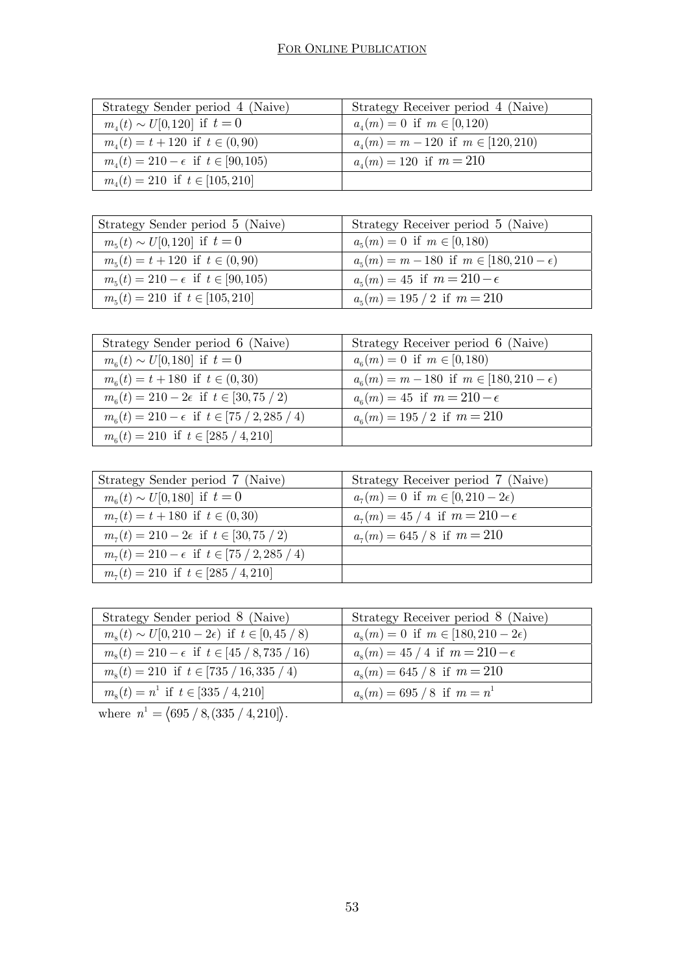| Strategy Sender period 4 (Naive)                   | Strategy Receiver period 4 (Naive)           |
|----------------------------------------------------|----------------------------------------------|
| $m_{\mu}(t) \sim U[0,120]$ if $t=0$                | $a_{\mu}(m) = 0$ if $m \in [0,120)$          |
| $m_4(t) = t + 120$ if $t \in (0, 90)$              | $a_{\mu}(m) = m - 120$ if $m \in [120, 210)$ |
| $m_{\mu}(t) = 210 - \epsilon$ if $t \in [90, 105)$ | $a_{\mu}(m) = 120$ if $m = 210$              |
| $m_{\mu}(t) = 210$ if $t \in [105, 210]$           |                                              |

| Strategy Sender period 5 (Naive)                 | Strategy Receiver period 5 (Naive)                  |
|--------------------------------------------------|-----------------------------------------------------|
| $m_5(t) \sim U[0,120]$ if $t=0$                  | $a_{5}(m) = 0$ if $m \in [0,180)$                   |
| $m_{5}(t) = t + 120$ if $t \in (0, 90)$          | $a_5(m) = m - 180$ if $m \in [180, 210 - \epsilon)$ |
| $m_{5}(t) = 210 - \epsilon$ if $t \in [90, 105)$ | $a_{\epsilon}(m) = 45$ if $m = 210 - \epsilon$      |
| $m_{\epsilon}(t) = 210$ if $t \in [105, 210]$    | $a_{5}(m) = 195 / 2$ if $m = 210$                   |

| Strategy Sender period 6 (Naive)                             | Strategy Receiver period 6 (Naive)                  |
|--------------------------------------------------------------|-----------------------------------------------------|
| $m_{\rm s}(t) \sim U[0,180]$ if $t=0$                        | $a_{6}(m) = 0$ if $m \in [0,180)$                   |
| $m_{\rm s}(t) = t + 180$ if $t \in (0, 30)$                  | $a_6(m) = m - 180$ if $m \in [180, 210 - \epsilon)$ |
| $m_{6}(t) = 210 - 2\epsilon$ if $t \in [30, 75 / 2)$         | $a_{\epsilon}(m) = 45$ if $m = 210 - \epsilon$      |
| $m_{\rm g}(t) = 210 - \epsilon$ if $t \in [75 / 2, 285 / 4)$ | $a_{\rm s}(m) = 195 / 2$ if $m = 210$               |
| $m_{\rm s}(t) = 210$ if $t \in [285 / 4, 210]$               |                                                     |

| Strategy Sender period 7 (Naive)                       | Strategy Receiver period 7 (Naive)           |
|--------------------------------------------------------|----------------------------------------------|
| $m_{\rm s}(t) \sim U[0,180]$ if $t=0$                  | $a_7(m) = 0$ if $m \in [0, 210 - 2\epsilon)$ |
| $m_{\tau}(t) = t + 180$ if $t \in (0, 30)$             | $a_7(m) = 45/4$ if $m = 210 - \epsilon$      |
| $m_7(t) = 210 - 2\epsilon$ if $t \in [30, 75 / 2)$     | $a_{7}(m) = 645 / 8$ if $m = 210$            |
| $m_7(t) = 210 - \epsilon$ if $t \in [75 / 2, 285 / 4)$ |                                              |
| $m_7(t) = 210$ if $t \in [285 / 4, 210]$               |                                              |

| Strategy Sender period 8 (Naive)                           | Strategy Receiver period 8 (Naive)             |
|------------------------------------------------------------|------------------------------------------------|
| $m_s(t) \sim U[0, 210 - 2\epsilon)$ if $t \in [0, 45 / 8)$ | $a_s(m) = 0$ if $m \in [180, 210 - 2\epsilon)$ |
| $m_s(t) = 210 - \epsilon$ if $t \in [45 / 8, 735 / 16)$    | $a_s(m) = 45/4$ if $m = 210 - \epsilon$        |
| $m_s(t) = 210$ if $t \in [735 / 16, 335 / 4)$              | $a_s(m) = 645 / 8$ if $m = 210$                |
| $m_s(t) = n^1$ if $t \in [335 / 4, 210]$                   | $a_{8}(m) = 695 / 8$ if $m = n^{1}$            |

where  $n^1 = \langle 695 / 8, (335 / 4, 210) \rangle$ .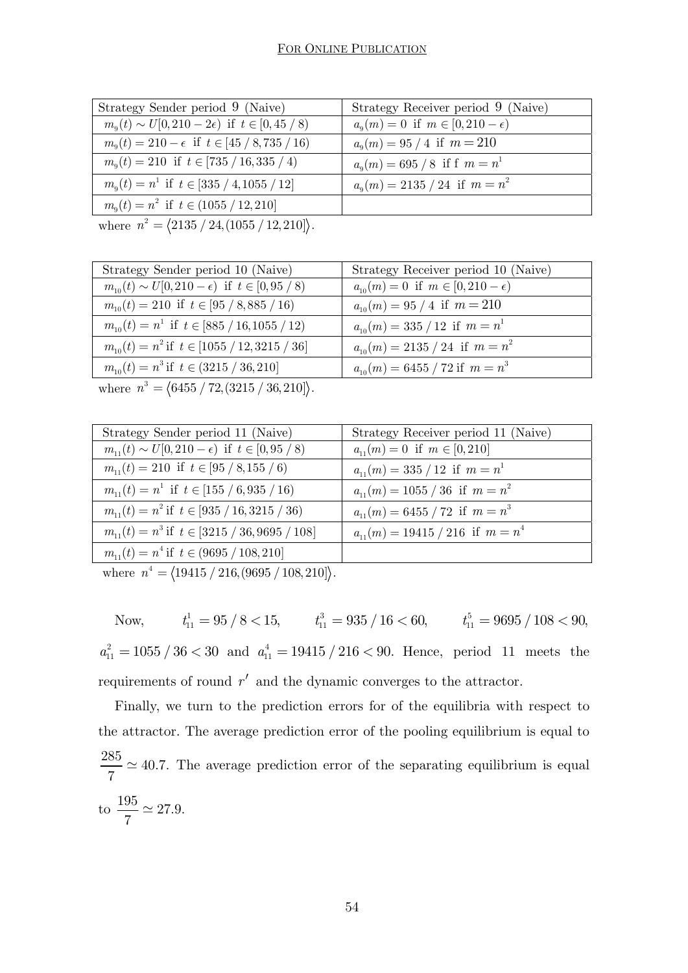| Strategy Sender period 9 (Naive)                              | Strategy Receiver period 9 (Naive)                |
|---------------------------------------------------------------|---------------------------------------------------|
| $m_{\rm q}(t) \sim U[0, 210-2\epsilon)$ if $t \in [0, 45/8)$  | $a_{\rm o}(m) = 0$ if $m \in [0, 210 - \epsilon)$ |
| $m_{\rm o}(t) = 210 - \epsilon$ if $t \in [45 / 8, 735 / 16)$ | $a_{\rm q}(m) = 95/4$ if $m = 210$                |
| $m_{\rm o}(t) = 210$ if $t \in [735 / 16, 335 / 4)$           | $a_{0}(m) = 695 / 8$ if f $m = n^{1}$             |
| $m_{\rm q}(t) = n^1$ if $t \in [335 / 4, 1055 / 12]$          | $a_{0}(m) = 2135 / 24$ if $m = n^{2}$             |
| $m_{\rm o}(t) = n^2$ if $t \in (1055 / 12, 210]$              |                                                   |
|                                                               |                                                   |

where  $n^2 = \langle 2135 / 24, (1055 / 12, 210] \rangle$ .

| Strategy Sender period 10 (Naive)                                                                                                                                                                                                                                                                                   | Strategy Receiver period 10 (Naive)            |
|---------------------------------------------------------------------------------------------------------------------------------------------------------------------------------------------------------------------------------------------------------------------------------------------------------------------|------------------------------------------------|
| $m_{10}(t) \sim U[0, 210 - \epsilon)$ if $t \in [0, 95 / 8)$                                                                                                                                                                                                                                                        | $a_{10}(m) = 0$ if $m \in [0, 210 - \epsilon)$ |
| $m_{10}(t) = 210$ if $t \in [95 / 8,885 / 16)$                                                                                                                                                                                                                                                                      | $a_{10}(m) = 95 / 4$ if $m = 210$              |
| $m_{10}(t) = n^1$ if $t \in [885 / 16, 1055 / 12)$                                                                                                                                                                                                                                                                  | $a_{10}(m) = 335 / 12$ if $m = n^1$            |
| $m_{10}(t) = n^2$ if $t \in [1055 / 12, 3215 / 36]$                                                                                                                                                                                                                                                                 | $a_{10}(m) = 2135 / 24$ if $m = n^2$           |
| $m_{10}(t) = n^3$ if $t \in (3215 / 36, 210]$                                                                                                                                                                                                                                                                       | $a_{10}(m) = 6455 / 72$ if $m = n^3$           |
| $\frac{1}{2}$ $\frac{1}{2}$ $\frac{1}{2}$ $\frac{1}{2}$ $\frac{1}{2}$ $\frac{1}{2}$ $\frac{1}{2}$ $\frac{1}{2}$ $\frac{1}{2}$ $\frac{1}{2}$ $\frac{1}{2}$ $\frac{1}{2}$ $\frac{1}{2}$ $\frac{1}{2}$ $\frac{1}{2}$ $\frac{1}{2}$ $\frac{1}{2}$ $\frac{1}{2}$ $\frac{1}{2}$ $\frac{1}{2}$ $\frac{1}{2}$ $\frac{1}{2}$ |                                                |

where  $n^3 = \langle 6455 / 72, (3215 / 36, 210) \rangle$ .

| Strategy Sender period 11 (Naive)                            | Strategy Receiver period 11 (Naive)    |
|--------------------------------------------------------------|----------------------------------------|
| $m_{11}(t) \sim U[0, 210 - \epsilon)$ if $t \in [0, 95 / 8)$ | $a_{11}(m) = 0$ if $m \in [0, 210]$    |
| $m_{11}(t) = 210$ if $t \in [95 / 8, 155 / 6)$               | $a_{11}(m) = 335 / 12$ if $m = n^1$    |
| $m_{11}(t) = n^1$ if $t \in [155 / 6, 935 / 16]$             | $a_{11}(m) = 1055 / 36$ if $m = n^2$   |
| $m_{11}(t) = n^2$ if $t \in [935 / 16, 3215 / 36)$           | $a_{11}(m) = 6455 / 72$ if $m = n^3$   |
| $m_{11}(t) = n^3$ if $t \in [3215 / 36,9695 / 108]$          | $a_{11}(m) = 19415 / 216$ if $m = n^4$ |
| $m_{11}(t) = n^4$ if $t \in (9695 / 108, 210]$               |                                        |
|                                                              |                                        |

where  $n^4 = \langle 19415 / 216, (9695 / 108, 210] \rangle$ .

Now,  $t_{11}^1 = 95 / 8 < 15$ ,  $t_{11}^3 = 935 / 16 < 60$ ,  $t_{11}^5 = 9695 / 108 < 90$ ,  $a_{11}^2 = 1055 / 36 < 30$  and  $a_{11}^4 = 19415 / 216 < 90$ . Hence, period 11 meets the requirements of round  $r'$  and the dynamic converges to the attractor.

Finally, we turn to the prediction errors for of the equilibria with respect to the attractor. The average prediction error of the pooling equilibrium is equal to  $\frac{285}{5} \simeq 40.7.$ 7  $\simeq$  40.7. The average prediction error of the separating equilibrium is equal to  $\frac{195}{5} \simeq 27.9$ . 7  $\simeq$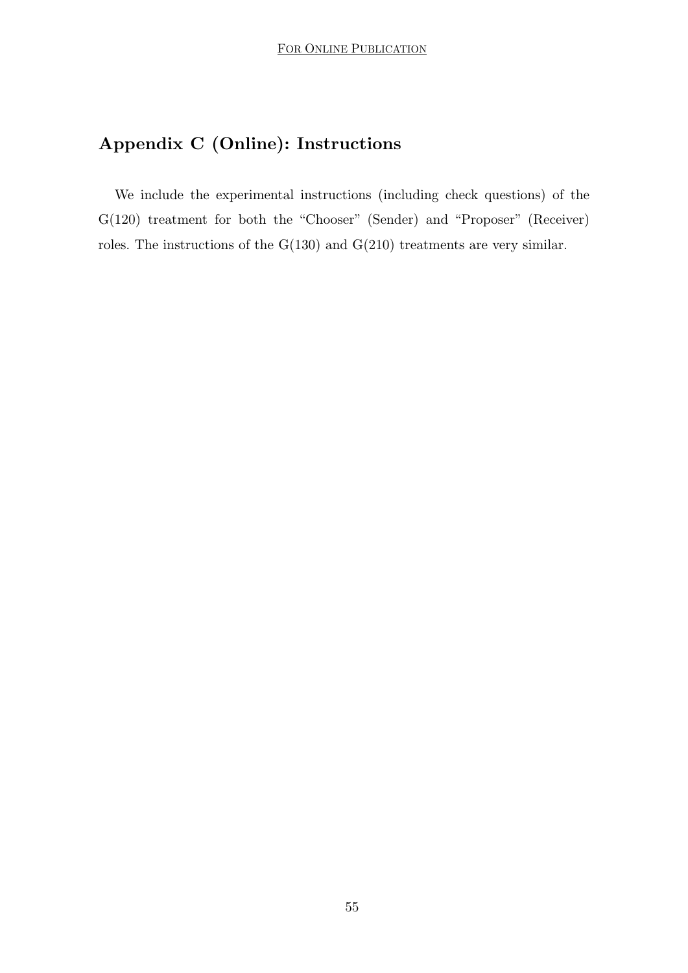# **Appendix C (Online): Instructions**

We include the experimental instructions (including check questions) of the G(120) treatment for both the "Chooser" (Sender) and "Proposer" (Receiver) roles. The instructions of the G(130) and G(210) treatments are very similar.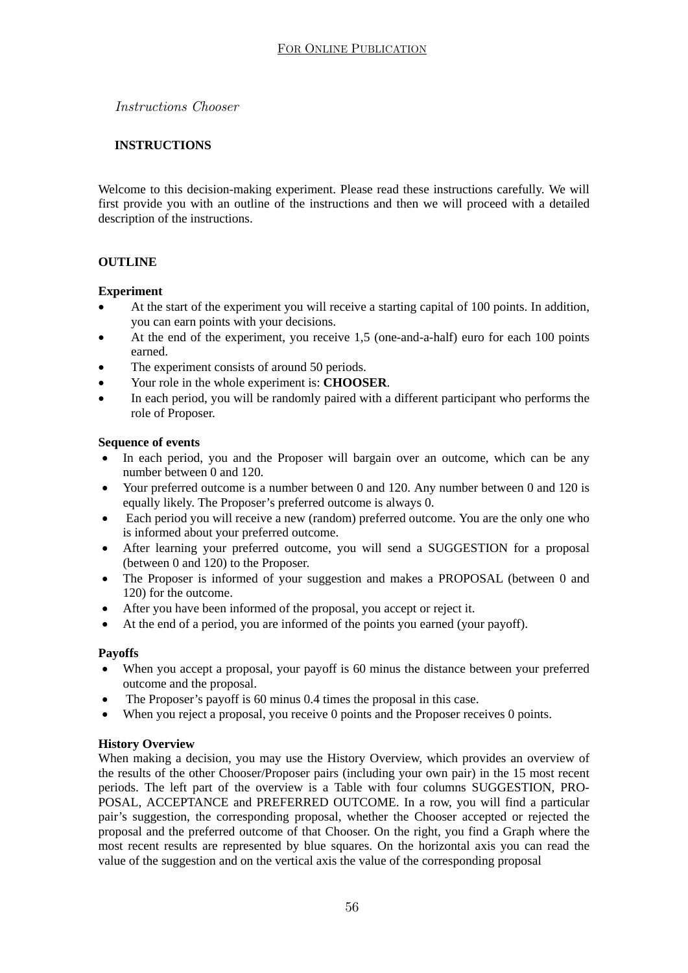*Instructions Chooser* 

#### **INSTRUCTIONS**

Welcome to this decision-making experiment. Please read these instructions carefully. We will first provide you with an outline of the instructions and then we will proceed with a detailed description of the instructions.

#### **OUTLINE**

#### **Experiment**

- At the start of the experiment you will receive a starting capital of 100 points. In addition, you can earn points with your decisions.
- At the end of the experiment, you receive 1,5 (one-and-a-half) euro for each 100 points earned.
- The experiment consists of around 50 periods.
- Your role in the whole experiment is: **CHOOSER**.
- In each period, you will be randomly paired with a different participant who performs the role of Proposer.

#### **Sequence of events**

- In each period, you and the Proposer will bargain over an outcome, which can be any number between 0 and 120.
- Your preferred outcome is a number between 0 and 120. Any number between 0 and 120 is equally likely. The Proposer's preferred outcome is always 0.
- Each period you will receive a new (random) preferred outcome. You are the only one who is informed about your preferred outcome.
- After learning your preferred outcome, you will send a SUGGESTION for a proposal (between 0 and 120) to the Proposer.
- The Proposer is informed of your suggestion and makes a PROPOSAL (between 0 and 120) for the outcome.
- After you have been informed of the proposal, you accept or reject it.
- At the end of a period, you are informed of the points you earned (your payoff).

#### **Payoffs**

- When you accept a proposal, your payoff is 60 minus the distance between your preferred outcome and the proposal.
- The Proposer's payoff is 60 minus 0.4 times the proposal in this case.
- When you reject a proposal, you receive 0 points and the Proposer receives 0 points.

#### **History Overview**

When making a decision, you may use the History Overview, which provides an overview of the results of the other Chooser/Proposer pairs (including your own pair) in the 15 most recent periods. The left part of the overview is a Table with four columns SUGGESTION, PRO-POSAL, ACCEPTANCE and PREFERRED OUTCOME. In a row, you will find a particular pair's suggestion, the corresponding proposal, whether the Chooser accepted or rejected the proposal and the preferred outcome of that Chooser. On the right, you find a Graph where the most recent results are represented by blue squares. On the horizontal axis you can read the value of the suggestion and on the vertical axis the value of the corresponding proposal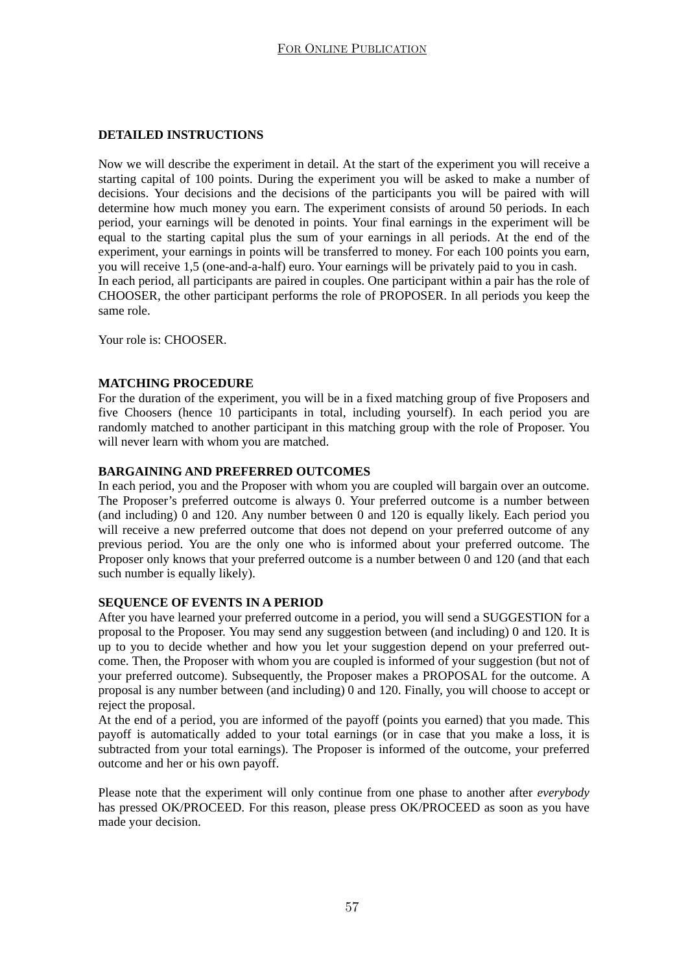#### **DETAILED INSTRUCTIONS**

Now we will describe the experiment in detail. At the start of the experiment you will receive a starting capital of 100 points. During the experiment you will be asked to make a number of decisions. Your decisions and the decisions of the participants you will be paired with will determine how much money you earn. The experiment consists of around 50 periods. In each period, your earnings will be denoted in points. Your final earnings in the experiment will be equal to the starting capital plus the sum of your earnings in all periods. At the end of the experiment, your earnings in points will be transferred to money. For each 100 points you earn, you will receive 1,5 (one-and-a-half) euro. Your earnings will be privately paid to you in cash. In each period, all participants are paired in couples. One participant within a pair has the role of CHOOSER, the other participant performs the role of PROPOSER. In all periods you keep the same role.

Your role is: CHOOSER.

#### **MATCHING PROCEDURE**

For the duration of the experiment, you will be in a fixed matching group of five Proposers and five Choosers (hence 10 participants in total, including yourself). In each period you are randomly matched to another participant in this matching group with the role of Proposer. You will never learn with whom you are matched.

#### **BARGAINING AND PREFERRED OUTCOMES**

In each period, you and the Proposer with whom you are coupled will bargain over an outcome. The Proposer's preferred outcome is always 0. Your preferred outcome is a number between (and including) 0 and 120. Any number between 0 and 120 is equally likely. Each period you will receive a new preferred outcome that does not depend on your preferred outcome of any previous period. You are the only one who is informed about your preferred outcome. The Proposer only knows that your preferred outcome is a number between  $\overline{0}$  and 120 (and that each such number is equally likely).

#### **SEQUENCE OF EVENTS IN A PERIOD**

After you have learned your preferred outcome in a period, you will send a SUGGESTION for a proposal to the Proposer. You may send any suggestion between (and including) 0 and 120. It is up to you to decide whether and how you let your suggestion depend on your preferred outcome. Then, the Proposer with whom you are coupled is informed of your suggestion (but not of your preferred outcome). Subsequently, the Proposer makes a PROPOSAL for the outcome. A proposal is any number between (and including) 0 and 120. Finally, you will choose to accept or reject the proposal.

At the end of a period, you are informed of the payoff (points you earned) that you made. This payoff is automatically added to your total earnings (or in case that you make a loss, it is subtracted from your total earnings). The Proposer is informed of the outcome, your preferred outcome and her or his own payoff.

Please note that the experiment will only continue from one phase to another after *everybody* has pressed OK/PROCEED. For this reason, please press OK/PROCEED as soon as you have made your decision.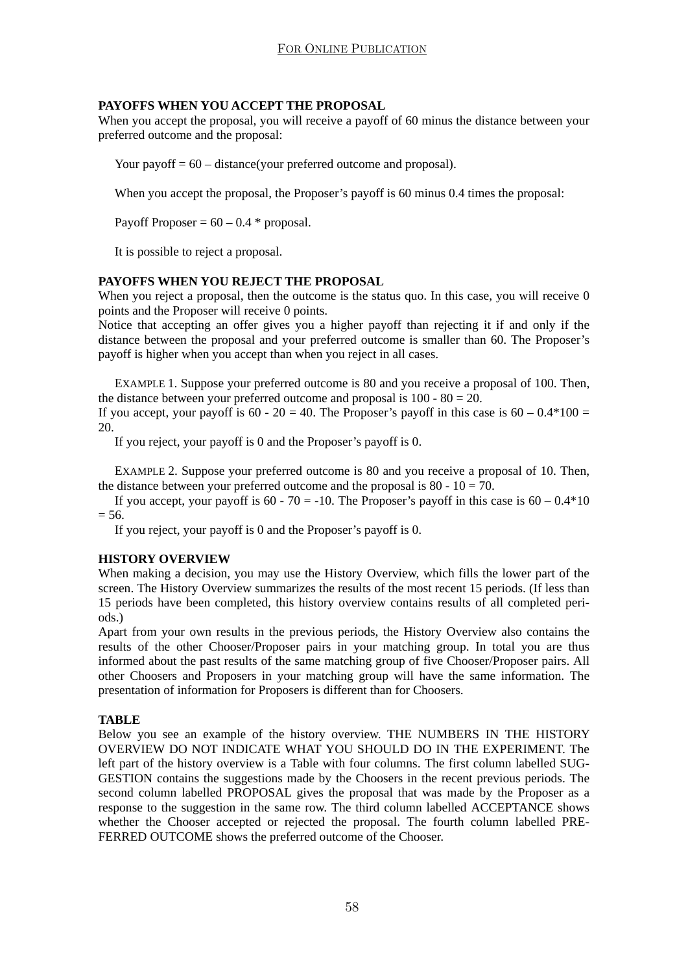#### **PAYOFFS WHEN YOU ACCEPT THE PROPOSAL**

When you accept the proposal, you will receive a payoff of 60 minus the distance between your preferred outcome and the proposal:

Your payoff  $= 60$  – distance(your preferred outcome and proposal).

When you accept the proposal, the Proposer's payoff is 60 minus 0.4 times the proposal:

Payoff Proposer =  $60 - 0.4$  \* proposal.

It is possible to reject a proposal.

#### **PAYOFFS WHEN YOU REJECT THE PROPOSAL**

When you reject a proposal, then the outcome is the status quo. In this case, you will receive 0 points and the Proposer will receive 0 points.

Notice that accepting an offer gives you a higher payoff than rejecting it if and only if the distance between the proposal and your preferred outcome is smaller than 60. The Proposer's payoff is higher when you accept than when you reject in all cases.

EXAMPLE 1. Suppose your preferred outcome is 80 and you receive a proposal of 100. Then, the distance between your preferred outcome and proposal is  $100 - 80 = 20$ .

If you accept, your payoff is  $60 - 20 = 40$ . The Proposer's payoff in this case is  $60 - 0.4*100 =$ 20.

If you reject, your payoff is 0 and the Proposer's payoff is 0.

EXAMPLE 2. Suppose your preferred outcome is 80 and you receive a proposal of 10. Then, the distance between your preferred outcome and the proposal is 80 -  $10 = 70$ .

If you accept, your payoff is  $60 - 70 = -10$ . The Proposer's payoff in this case is  $60 - 0.4*10$  $= 56.$ 

If you reject, your payoff is 0 and the Proposer's payoff is 0.

#### **HISTORY OVERVIEW**

When making a decision, you may use the History Overview, which fills the lower part of the screen. The History Overview summarizes the results of the most recent 15 periods. (If less than 15 periods have been completed, this history overview contains results of all completed periods.)

Apart from your own results in the previous periods, the History Overview also contains the results of the other Chooser/Proposer pairs in your matching group. In total you are thus informed about the past results of the same matching group of five Chooser/Proposer pairs. All other Choosers and Proposers in your matching group will have the same information. The presentation of information for Proposers is different than for Choosers.

#### **TABLE**

Below you see an example of the history overview. THE NUMBERS IN THE HISTORY OVERVIEW DO NOT INDICATE WHAT YOU SHOULD DO IN THE EXPERIMENT. The left part of the history overview is a Table with four columns. The first column labelled SUG-GESTION contains the suggestions made by the Choosers in the recent previous periods. The second column labelled PROPOSAL gives the proposal that was made by the Proposer as a response to the suggestion in the same row. The third column labelled ACCEPTANCE shows whether the Chooser accepted or rejected the proposal. The fourth column labelled PRE-FERRED OUTCOME shows the preferred outcome of the Chooser.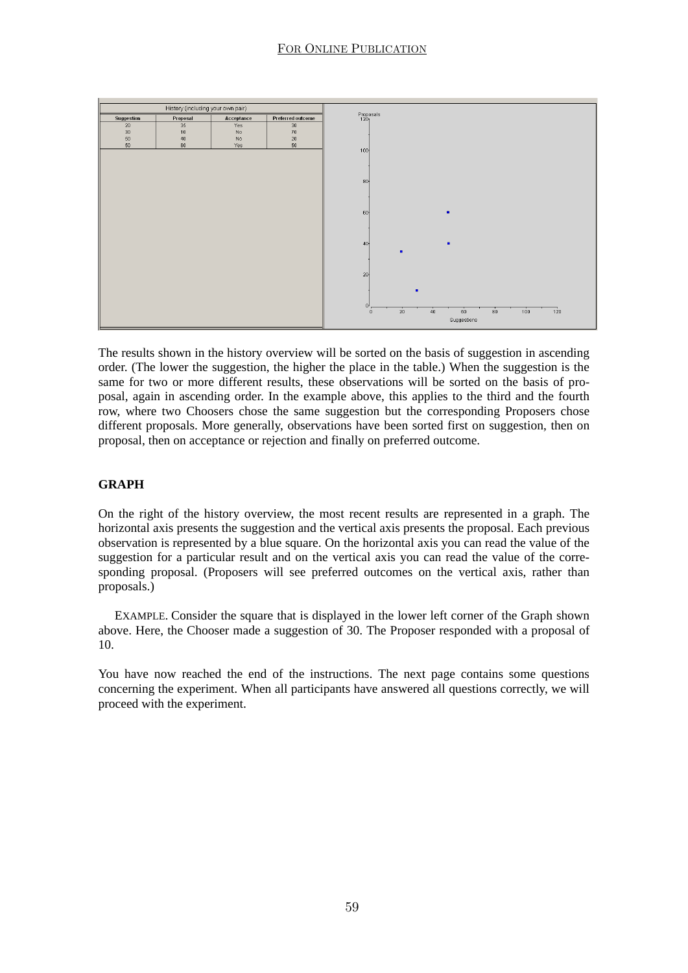

The results shown in the history overview will be sorted on the basis of suggestion in ascending order. (The lower the suggestion, the higher the place in the table.) When the suggestion is the same for two or more different results, these observations will be sorted on the basis of proposal, again in ascending order. In the example above, this applies to the third and the fourth row, where two Choosers chose the same suggestion but the corresponding Proposers chose different proposals. More generally, observations have been sorted first on suggestion, then on proposal, then on acceptance or rejection and finally on preferred outcome.

#### **GRAPH**

On the right of the history overview, the most recent results are represented in a graph. The horizontal axis presents the suggestion and the vertical axis presents the proposal. Each previous observation is represented by a blue square. On the horizontal axis you can read the value of the suggestion for a particular result and on the vertical axis you can read the value of the corresponding proposal. (Proposers will see preferred outcomes on the vertical axis, rather than proposals.)

EXAMPLE. Consider the square that is displayed in the lower left corner of the Graph shown above. Here, the Chooser made a suggestion of 30. The Proposer responded with a proposal of 10.

You have now reached the end of the instructions. The next page contains some questions concerning the experiment. When all participants have answered all questions correctly, we will proceed with the experiment.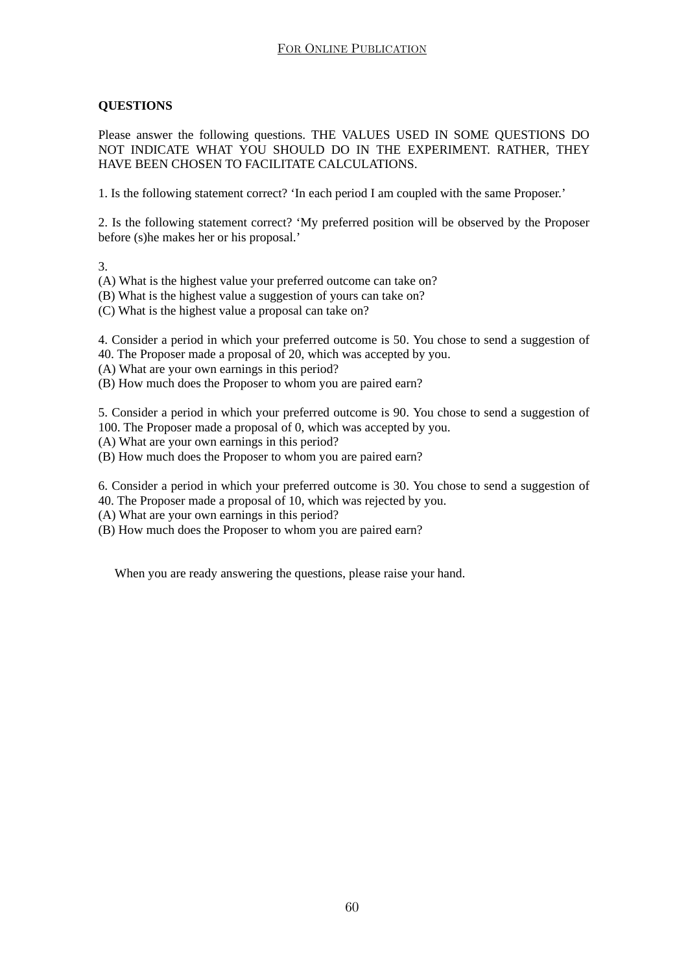#### **QUESTIONS**

Please answer the following questions. THE VALUES USED IN SOME QUESTIONS DO NOT INDICATE WHAT YOU SHOULD DO IN THE EXPERIMENT. RATHER, THEY HAVE BEEN CHOSEN TO FACILITATE CALCULATIONS.

1. Is the following statement correct? 'In each period I am coupled with the same Proposer.'

2. Is the following statement correct? 'My preferred position will be observed by the Proposer before (s)he makes her or his proposal.'

3.

(A) What is the highest value your preferred outcome can take on?

(B) What is the highest value a suggestion of yours can take on?

(C) What is the highest value a proposal can take on?

4. Consider a period in which your preferred outcome is 50. You chose to send a suggestion of 40. The Proposer made a proposal of 20, which was accepted by you.

(A) What are your own earnings in this period?

(B) How much does the Proposer to whom you are paired earn?

5. Consider a period in which your preferred outcome is 90. You chose to send a suggestion of 100. The Proposer made a proposal of 0, which was accepted by you.

(A) What are your own earnings in this period?

(B) How much does the Proposer to whom you are paired earn?

6. Consider a period in which your preferred outcome is 30. You chose to send a suggestion of 40. The Proposer made a proposal of 10, which was rejected by you.

(A) What are your own earnings in this period?

(B) How much does the Proposer to whom you are paired earn?

When you are ready answering the questions, please raise your hand.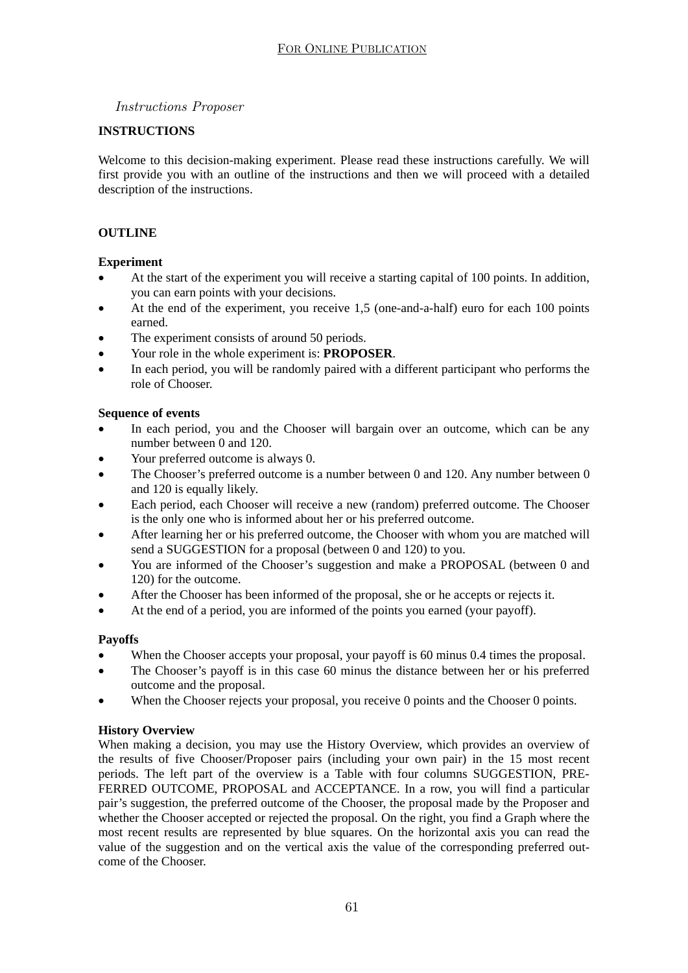#### *Instructions Proposer*

#### **INSTRUCTIONS**

Welcome to this decision-making experiment. Please read these instructions carefully. We will first provide you with an outline of the instructions and then we will proceed with a detailed description of the instructions.

#### **OUTLINE**

#### **Experiment**

- At the start of the experiment you will receive a starting capital of 100 points. In addition, you can earn points with your decisions.
- At the end of the experiment, you receive 1,5 (one-and-a-half) euro for each 100 points earned.
- The experiment consists of around 50 periods.
- Your role in the whole experiment is: **PROPOSER**.
- In each period, you will be randomly paired with a different participant who performs the role of Chooser.

#### **Sequence of events**

- In each period, you and the Chooser will bargain over an outcome, which can be any number between 0 and 120.
- Your preferred outcome is always 0.
- The Chooser's preferred outcome is a number between 0 and 120. Any number between 0 and 120 is equally likely.
- Each period, each Chooser will receive a new (random) preferred outcome. The Chooser is the only one who is informed about her or his preferred outcome.
- After learning her or his preferred outcome, the Chooser with whom you are matched will send a SUGGESTION for a proposal (between 0 and 120) to you.
- You are informed of the Chooser's suggestion and make a PROPOSAL (between 0 and 120) for the outcome.
- After the Chooser has been informed of the proposal, she or he accepts or rejects it.
- At the end of a period, you are informed of the points you earned (your payoff).

#### **Payoffs**

- When the Chooser accepts your proposal, your payoff is 60 minus 0.4 times the proposal.
- The Chooser's payoff is in this case 60 minus the distance between her or his preferred outcome and the proposal.
- When the Chooser rejects your proposal, you receive 0 points and the Chooser 0 points.

#### **History Overview**

When making a decision, you may use the History Overview, which provides an overview of the results of five Chooser/Proposer pairs (including your own pair) in the 15 most recent periods. The left part of the overview is a Table with four columns SUGGESTION, PRE-FERRED OUTCOME, PROPOSAL and ACCEPTANCE. In a row, you will find a particular pair's suggestion, the preferred outcome of the Chooser, the proposal made by the Proposer and whether the Chooser accepted or rejected the proposal. On the right, you find a Graph where the most recent results are represented by blue squares. On the horizontal axis you can read the value of the suggestion and on the vertical axis the value of the corresponding preferred outcome of the Chooser.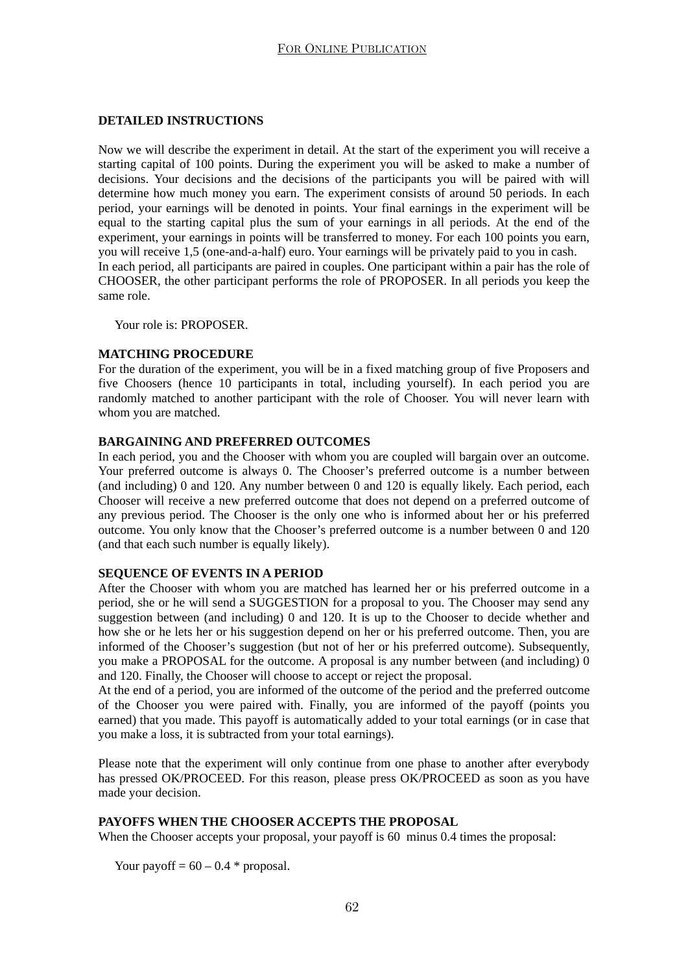#### **DETAILED INSTRUCTIONS**

Now we will describe the experiment in detail. At the start of the experiment you will receive a starting capital of 100 points. During the experiment you will be asked to make a number of decisions. Your decisions and the decisions of the participants you will be paired with will determine how much money you earn. The experiment consists of around 50 periods. In each period, your earnings will be denoted in points. Your final earnings in the experiment will be equal to the starting capital plus the sum of your earnings in all periods. At the end of the experiment, your earnings in points will be transferred to money. For each 100 points you earn, you will receive 1,5 (one-and-a-half) euro. Your earnings will be privately paid to you in cash. In each period, all participants are paired in couples. One participant within a pair has the role of CHOOSER, the other participant performs the role of PROPOSER. In all periods you keep the same role.

Your role is: PROPOSER

#### **MATCHING PROCEDURE**

For the duration of the experiment, you will be in a fixed matching group of five Proposers and five Choosers (hence 10 participants in total, including yourself). In each period you are randomly matched to another participant with the role of Chooser. You will never learn with whom you are matched.

#### **BARGAINING AND PREFERRED OUTCOMES**

In each period, you and the Chooser with whom you are coupled will bargain over an outcome. Your preferred outcome is always 0. The Chooser's preferred outcome is a number between (and including) 0 and 120. Any number between 0 and 120 is equally likely. Each period, each Chooser will receive a new preferred outcome that does not depend on a preferred outcome of any previous period. The Chooser is the only one who is informed about her or his preferred outcome. You only know that the Chooser's preferred outcome is a number between 0 and 120 (and that each such number is equally likely).

#### **SEQUENCE OF EVENTS IN A PERIOD**

After the Chooser with whom you are matched has learned her or his preferred outcome in a period, she or he will send a SUGGESTION for a proposal to you. The Chooser may send any suggestion between (and including) 0 and 120. It is up to the Chooser to decide whether and how she or he lets her or his suggestion depend on her or his preferred outcome. Then, you are informed of the Chooser's suggestion (but not of her or his preferred outcome). Subsequently, you make a PROPOSAL for the outcome. A proposal is any number between (and including) 0 and 120. Finally, the Chooser will choose to accept or reject the proposal.

At the end of a period, you are informed of the outcome of the period and the preferred outcome of the Chooser you were paired with. Finally, you are informed of the payoff (points you earned) that you made. This payoff is automatically added to your total earnings (or in case that you make a loss, it is subtracted from your total earnings).

Please note that the experiment will only continue from one phase to another after everybody has pressed OK/PROCEED. For this reason, please press OK/PROCEED as soon as you have made your decision.

#### **PAYOFFS WHEN THE CHOOSER ACCEPTS THE PROPOSAL**

When the Chooser accepts your proposal, your payoff is 60 minus 0.4 times the proposal:

Your payoff =  $60 - 0.4$  \* proposal.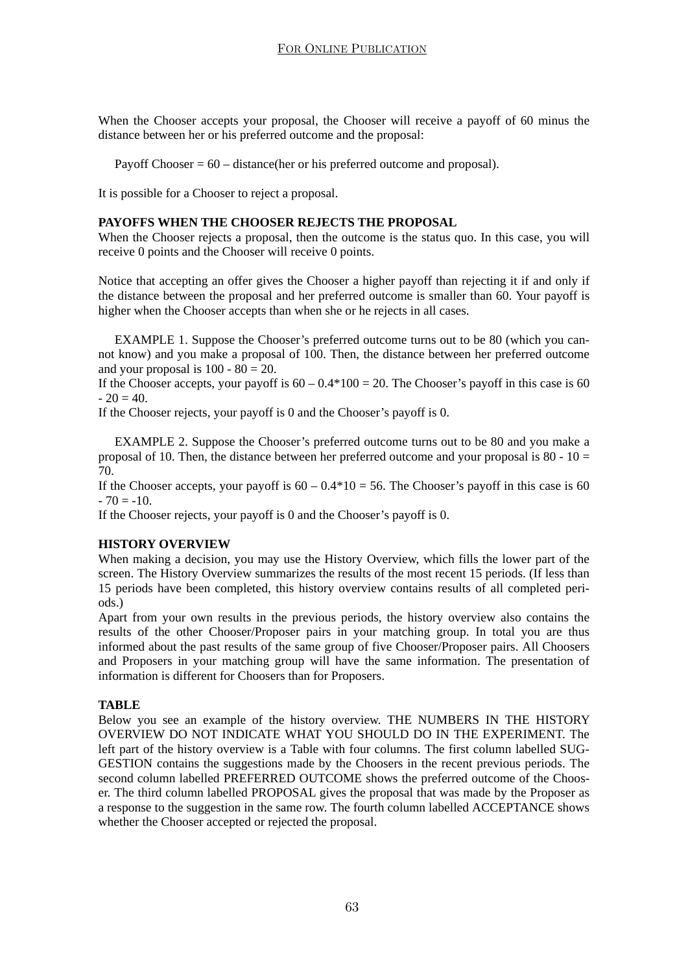When the Chooser accepts your proposal, the Chooser will receive a payoff of 60 minus the distance between her or his preferred outcome and the proposal:

Payoff Chooser  $= 60$  – distance(her or his preferred outcome and proposal).

It is possible for a Chooser to reject a proposal.

#### **PAYOFFS WHEN THE CHOOSER REJECTS THE PROPOSAL**

When the Chooser rejects a proposal, then the outcome is the status quo. In this case, you will receive 0 points and the Chooser will receive 0 points.

Notice that accepting an offer gives the Chooser a higher payoff than rejecting it if and only if the distance between the proposal and her preferred outcome is smaller than 60. Your payoff is higher when the Chooser accepts than when she or he rejects in all cases.

EXAMPLE 1. Suppose the Chooser's preferred outcome turns out to be 80 (which you cannot know) and you make a proposal of 100. Then, the distance between her preferred outcome and your proposal is  $100 - 80 = 20$ .

If the Chooser accepts, your payoff is  $60 - 0.4*100 = 20$ . The Chooser's payoff in this case is 60  $-20 = 40.$ 

If the Chooser rejects, your payoff is 0 and the Chooser's payoff is 0.

EXAMPLE 2. Suppose the Chooser's preferred outcome turns out to be 80 and you make a proposal of 10. Then, the distance between her preferred outcome and your proposal is 80 -  $10 =$ 70.

If the Chooser accepts, your payoff is  $60 - 0.4 \times 10 = 56$ . The Chooser's payoff in this case is 60  $-70 = -10$ .

If the Chooser rejects, your payoff is 0 and the Chooser's payoff is 0.

#### **HISTORY OVERVIEW**

When making a decision, you may use the History Overview, which fills the lower part of the screen. The History Overview summarizes the results of the most recent 15 periods. (If less than 15 periods have been completed, this history overview contains results of all completed periods.)

Apart from your own results in the previous periods, the history overview also contains the results of the other Chooser/Proposer pairs in your matching group. In total you are thus informed about the past results of the same group of five Chooser/Proposer pairs. All Choosers and Proposers in your matching group will have the same information. The presentation of information is different for Choosers than for Proposers.

#### **TABLE**

Below you see an example of the history overview. THE NUMBERS IN THE HISTORY OVERVIEW DO NOT INDICATE WHAT YOU SHOULD DO IN THE EXPERIMENT. The left part of the history overview is a Table with four columns. The first column labelled SUG-GESTION contains the suggestions made by the Choosers in the recent previous periods. The second column labelled PREFERRED OUTCOME shows the preferred outcome of the Chooser. The third column labelled PROPOSAL gives the proposal that was made by the Proposer as a response to the suggestion in the same row. The fourth column labelled ACCEPTANCE shows whether the Chooser accepted or rejected the proposal.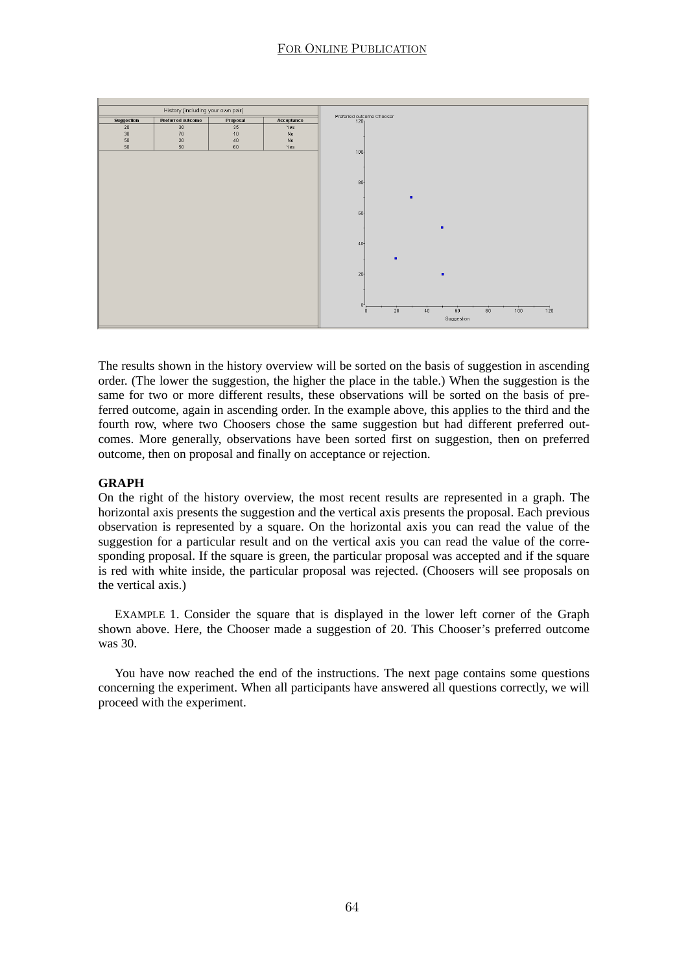

The results shown in the history overview will be sorted on the basis of suggestion in ascending order. (The lower the suggestion, the higher the place in the table.) When the suggestion is the same for two or more different results, these observations will be sorted on the basis of preferred outcome, again in ascending order. In the example above, this applies to the third and the fourth row, where two Choosers chose the same suggestion but had different preferred outcomes. More generally, observations have been sorted first on suggestion, then on preferred outcome, then on proposal and finally on acceptance or rejection.

#### **GRAPH**

On the right of the history overview, the most recent results are represented in a graph. The horizontal axis presents the suggestion and the vertical axis presents the proposal. Each previous observation is represented by a square. On the horizontal axis you can read the value of the suggestion for a particular result and on the vertical axis you can read the value of the corresponding proposal. If the square is green, the particular proposal was accepted and if the square is red with white inside, the particular proposal was rejected. (Choosers will see proposals on the vertical axis.)

EXAMPLE 1. Consider the square that is displayed in the lower left corner of the Graph shown above. Here, the Chooser made a suggestion of 20. This Chooser's preferred outcome was 30.

You have now reached the end of the instructions. The next page contains some questions concerning the experiment. When all participants have answered all questions correctly, we will proceed with the experiment.